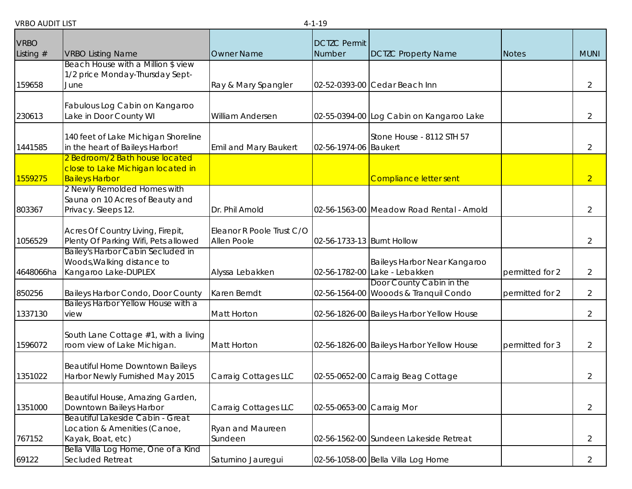|                            |                                                                        |                              | T 1 1 J                       |                                                                   |                 |                |
|----------------------------|------------------------------------------------------------------------|------------------------------|-------------------------------|-------------------------------------------------------------------|-----------------|----------------|
| <b>VRBO</b><br>Listing $#$ | <b>VRBO Listing Name</b>                                               | <b>Owner Name</b>            | <b>DCTZC Permit</b><br>Number | <b>DCTZC Property Name</b>                                        | Notes           | <b>MUNI</b>    |
|                            | Beach House with a Million \$ view                                     |                              |                               |                                                                   |                 |                |
|                            | 1/2 price Monday-Thursday Sept-                                        |                              |                               |                                                                   |                 |                |
| 159658                     | June                                                                   | Ray & Mary Spangler          |                               | 02-52-0393-00 Cedar Beach Inn                                     |                 | $\overline{2}$ |
|                            | Fabulous Log Cabin on Kangaroo                                         |                              |                               |                                                                   |                 |                |
| 230613                     | Lake in Door County WI                                                 | William Andersen             |                               | 02-55-0394-00 Log Cabin on Kangaroo Lake                          |                 | $\overline{2}$ |
|                            |                                                                        |                              |                               |                                                                   |                 |                |
| 1441585                    | 140 feet of Lake Michigan Shoreline<br>in the heart of Baileys Harbor! | <b>Emil and Mary Baukert</b> | 02-56-1974-06 Baukert         | Stone House - 8112 STH 57                                         |                 | 2              |
|                            | 2 Bedroom/2 Bath house located                                         |                              |                               |                                                                   |                 |                |
|                            | close to Lake Michigan located in                                      |                              |                               |                                                                   |                 |                |
| 1559275                    | <b>Baileys Harbor</b>                                                  |                              |                               | <b>Compliance letter sent</b>                                     |                 | $\overline{2}$ |
|                            | 2 Newly Remolded Homes with                                            |                              |                               |                                                                   |                 |                |
|                            | Sauna on 10 Acres of Beauty and                                        |                              |                               |                                                                   |                 |                |
| 803367                     | Privacy. Sleeps 12.                                                    | Dr. Phil Arnold              |                               | 02-56-1563-00 Meadow Road Rental - Arnold                         |                 | 2              |
|                            | Acres Of Country Living, Firepit,                                      | Eleanor R Poole Trust C/O    |                               |                                                                   |                 |                |
| 1056529                    | Plenty Of Parking Wifi, Pets allowed                                   | Allen Poole                  | 02-56-1733-13 Burnt Hollow    |                                                                   |                 | $\overline{2}$ |
|                            | Bailey's Harbor Cabin Secluded in                                      |                              |                               |                                                                   |                 |                |
|                            | Woods, Walking distance to                                             |                              |                               | Baileys Harbor Near Kangaroo                                      |                 |                |
| 4648066ha                  | Kangaroo Lake-DUPLEX                                                   | Alyssa Lebakken              |                               | 02-56-1782-00 Lake - Lebakken                                     | permitted for 2 | $\overline{2}$ |
| 850256                     | Baileys Harbor Condo, Door County                                      | Karen Berndt                 |                               | Door County Cabin in the<br>02-56-1564-00 Wooods & Tranquil Condo | permitted for 2 | $\overline{2}$ |
|                            | Baileys Harbor Yellow House with a                                     |                              |                               |                                                                   |                 |                |
| 1337130                    | view                                                                   | Matt Horton                  |                               | 02-56-1826-00 Baileys Harbor Yellow House                         |                 | $\overline{2}$ |
|                            |                                                                        |                              |                               |                                                                   |                 |                |
| 1596072                    | South Lane Cottage #1, with a living                                   | Matt Horton                  |                               |                                                                   |                 |                |
|                            | room view of Lake Michigan.                                            |                              |                               | 02-56-1826-00 Baileys Harbor Yellow House                         | permitted for 3 | $\overline{2}$ |
|                            | <b>Beautiful Home Downtown Baileys</b>                                 |                              |                               |                                                                   |                 |                |
| 1351022                    | Harbor Newly Furnished May 2015                                        | Carraig Cottages LLC         |                               | 02-55-0652-00 Carraig Beag Cottage                                |                 | $\overline{2}$ |
|                            |                                                                        |                              |                               |                                                                   |                 |                |
|                            | Beautiful House, Amazing Garden,                                       |                              |                               |                                                                   |                 |                |
| 1351000                    | Downtown Baileys Harbor                                                | Carraig Cottages LLC         | 02-55-0653-00 Carraig Mor     |                                                                   |                 | 2              |
|                            | Beautiful Lakeside Cabin - Great<br>Location & Amenities (Canoe,       | Ryan and Maureen             |                               |                                                                   |                 |                |
| 767152                     | Kayak, Boat, etc)                                                      | Sundeen                      |                               | 02-56-1562-00 Sundeen Lakeside Retreat                            |                 | $\overline{2}$ |
|                            | Bella Villa Log Home, One of a Kind                                    |                              |                               |                                                                   |                 |                |
| 69122                      | Secluded Retreat                                                       | Saturnino Jauregui           |                               | 02-56-1058-00 Bella Villa Log Home                                |                 | 2              |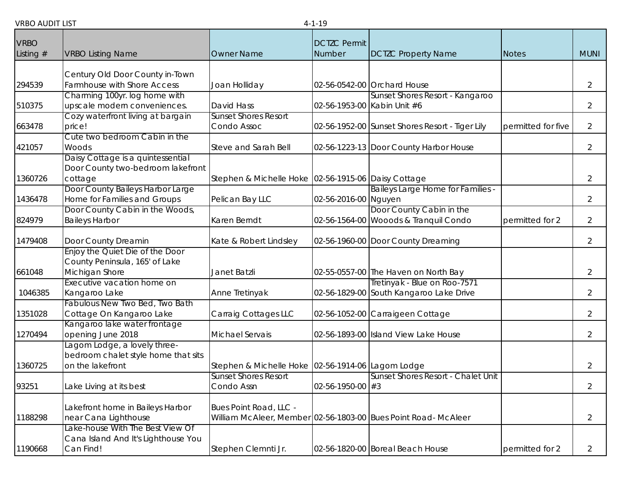| <b>VRBO</b> |                                                  |                                                                                  | <b>DCTZC Permit</b>         |                                                                |                    |                |
|-------------|--------------------------------------------------|----------------------------------------------------------------------------------|-----------------------------|----------------------------------------------------------------|--------------------|----------------|
| Listing $#$ | <b>VRBO Listing Name</b>                         | <b>Owner Name</b>                                                                | <b>Number</b>               | <b>DCTZC Property Name</b>                                     | <b>Notes</b>       | <b>MUNI</b>    |
|             | Century Old Door County in-Town                  |                                                                                  |                             |                                                                |                    |                |
| 294539      | Farmhouse with Shore Access                      | Joan Holliday                                                                    |                             | 02-56-0542-00 Orchard House                                    |                    | $\overline{2}$ |
|             | Charming 100yr. log home with                    |                                                                                  |                             | Sunset Shores Resort - Kangaroo                                |                    |                |
| 510375      | upscale modern conveniences.                     | <b>David Hass</b>                                                                | 02-56-1953-00 Kabin Unit #6 |                                                                |                    | $\overline{2}$ |
| 663478      | Cozy waterfront living at bargain<br>price!      | <b>Sunset Shores Resort</b><br>Condo Assoc                                       |                             | 02-56-1952-00 Sunset Shores Resort - Tiger Lily                | permitted for five | $\overline{2}$ |
|             | Cute two bedroom Cabin in the                    |                                                                                  |                             |                                                                |                    |                |
| 421057      | Woods                                            | Steve and Sarah Bell                                                             |                             | 02-56-1223-13 Door County Harbor House                         |                    | $\overline{2}$ |
|             | Daisy Cottage is a quintessential                |                                                                                  |                             |                                                                |                    |                |
|             | Door County two-bedroom lakefront                |                                                                                  |                             |                                                                |                    |                |
| 1360726     | cottage<br>Door County Baileys Harbor Large      | Stephen & Michelle Hoke 02-56-1915-06 Daisy Cottage                              |                             | <b>Baileys Large Home for Families -</b>                       |                    | $\overline{2}$ |
| 1436478     | Home for Families and Groups                     | Pelican Bay LLC                                                                  | 02-56-2016-00 Nguyen        |                                                                |                    | $\overline{2}$ |
|             | Door County Cabin in the Woods,                  |                                                                                  |                             | Door County Cabin in the                                       |                    |                |
| 824979      | <b>Baileys Harbor</b>                            | Karen Berndt                                                                     |                             | 02-56-1564-00 Wooods & Tranquil Condo                          | permitted for 2    | $\overline{2}$ |
| 1479408     | Door County Dreamin                              | Kate & Robert Lindsley                                                           |                             | 02-56-1960-00 Door County Dreaming                             |                    | $\overline{2}$ |
|             | Enjoy the Quiet Die of the Door                  |                                                                                  |                             |                                                                |                    |                |
|             | County Peninsula, 165' of Lake                   |                                                                                  |                             |                                                                |                    |                |
| 661048      | Michigan Shore                                   | Janet Batzli                                                                     |                             | 02-55-0557-00 The Haven on North Bay                           |                    | $\overline{2}$ |
|             | Executive vacation home on                       |                                                                                  |                             | Tretinyak - Blue on Roo-7571                                   |                    |                |
| 1046385     | Kangaroo Lake<br>Fabulous New Two Bed, Two Bath  | Anne Tretinyak                                                                   |                             | 02-56-1829-00 South Kangaroo Lake Drive                        |                    | $\overline{2}$ |
| 1351028     | Cottage On Kangaroo Lake                         | Carraig Cottages LLC                                                             |                             | 02-56-1052-00 Carraigeen Cottage                               |                    | $\overline{2}$ |
|             | Kangaroo lake water frontage                     |                                                                                  |                             |                                                                |                    |                |
| 1270494     | opening June 2018                                | Michael Servais                                                                  |                             | 02-56-1893-00 Island View Lake House                           |                    | 2              |
|             | Lagom Lodge, a lovely three-                     |                                                                                  |                             |                                                                |                    |                |
|             | bedroom chalet style home that sits              |                                                                                  |                             |                                                                |                    |                |
| 1360725     | on the lakefront                                 | Stephen & Michelle Hoke 02-56-1914-06 Lagom Lodge<br><b>Sunset Shores Resort</b> |                             | Sunset Shores Resort - Chalet Unit                             |                    | $\overline{2}$ |
| 93251       | Lake Living at its best                          | Condo Assn                                                                       | 02-56-1950-00 #3            |                                                                |                    | 2              |
|             |                                                  |                                                                                  |                             |                                                                |                    |                |
|             | Lakefront home in Baileys Harbor                 | Bues Point Road, LLC -                                                           |                             |                                                                |                    |                |
| 1188298     | near Cana Lighthouse                             |                                                                                  |                             | William McAleer, Member 02-56-1803-00 Bues Point Road- McAleer |                    | $\overline{2}$ |
|             | Lake-house With The Best View Of                 |                                                                                  |                             |                                                                |                    |                |
| 1190668     | Cana Island And It's Lighthouse You<br>Can Find! | Stephen Clemnti Jr.                                                              |                             | 02-56-1820-00 Boreal Beach House                               | permitted for 2    | 2              |
|             |                                                  |                                                                                  |                             |                                                                |                    |                |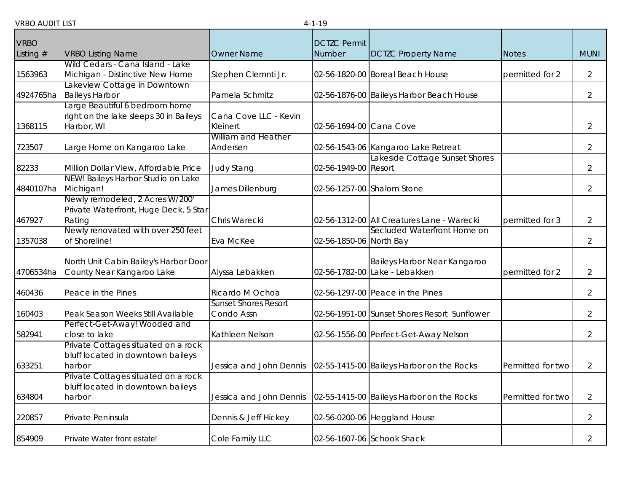| <b>VRBO</b> |                                        |                             | <b>DCTZC Permit</b>     |                                              |                   |                |
|-------------|----------------------------------------|-----------------------------|-------------------------|----------------------------------------------|-------------------|----------------|
| Listing $#$ | <b>VRBO Listing Name</b>               | <b>Owner Name</b>           | Number                  | <b>DCTZC Property Name</b>                   | <b>Notes</b>      | <b>MUNI</b>    |
|             | Wild Cedars - Cana Island - Lake       |                             |                         |                                              |                   |                |
| 1563963     | Michigan - Distinctive New Home        | Stephen Clemnti Jr.         |                         | 02-56-1820-00 Boreal Beach House             | permitted for 2   | $\overline{2}$ |
|             | akeview Cottage in Downtown            |                             |                         |                                              |                   |                |
| 4924765ha   | <b>Baileys Harbor</b>                  | Pamela Schmitz              |                         | 02-56-1876-00 Baileys Harbor Beach House     |                   | $\overline{2}$ |
|             | arge Beautiful 6 bedroom home          |                             |                         |                                              |                   |                |
|             | right on the lake sleeps 30 in Baileys | Cana Cove LLC - Kevin       |                         |                                              |                   |                |
| 1368115     | Harbor, WI                             | Kleinert                    | 02-56-1694-00 Cana Cove |                                              |                   | $\overline{2}$ |
|             |                                        | William and Heather         |                         |                                              |                   |                |
| 723507      | Large Home on Kangaroo Lake            | Andersen                    |                         | 02-56-1543-06 Kangaroo Lake Retreat          |                   | $\overline{2}$ |
|             |                                        |                             |                         | Lakeside Cottage Sunset Shores               |                   |                |
| 82233       | Million Dollar View, Affordable Price  | <b>Judy Stang</b>           | 02-56-1949-00 Resort    |                                              |                   | $\overline{2}$ |
|             | NEW! Baileys Harbor Studio on Lake     |                             |                         |                                              |                   |                |
| 4840107ha   | Michigan!                              | James Dillenburg            |                         | 02-56-1257-00 Shalom Stone                   |                   | $\overline{2}$ |
|             | Newly remodeled, 2 Acres W/200'        |                             |                         |                                              |                   |                |
|             | Private Waterfront, Huge Deck, 5 Star  |                             |                         |                                              |                   |                |
| 467927      | Rating                                 | Chris Warecki               |                         | 02-56-1312-00 All Creatures Lane - Warecki   | permitted for 3   | $\overline{2}$ |
|             | Newly renovated with over 250 feet     |                             |                         | Secluded Waterfront Home on                  |                   |                |
| 1357038     | of Shoreline!                          | Eva McKee                   | 02-56-1850-06 North Bay |                                              |                   | $\overline{2}$ |
|             |                                        |                             |                         |                                              |                   |                |
|             | North Unit Cabin Bailey's Harbor Door  |                             |                         | Baileys Harbor Near Kangaroo                 |                   |                |
| 4706534ha   | County Near Kangaroo Lake              | Alyssa Lebakken             |                         | 02-56-1782-00 Lake - Lebakken                | permitted for 2   | $\overline{2}$ |
| 460436      | Peace in the Pines                     | Ricardo M Ochoa             |                         | 02-56-1297-00 Peace in the Pines             |                   | $\overline{2}$ |
|             |                                        | <b>Sunset Shores Resort</b> |                         |                                              |                   |                |
| 160403      | Peak Season Weeks Still Available      | Condo Assn                  |                         | 02-56-1951-00 Sunset Shores Resort Sunflower |                   | $\overline{2}$ |
|             | Perfect-Get-Away! Wooded and           |                             |                         |                                              |                   |                |
| 582941      | close to lake                          | Kathleen Nelson             |                         | 02-56-1556-00 Perfect-Get-Away Nelson        |                   | $\overline{2}$ |
|             | Private Cottages situated on a rock    |                             |                         |                                              |                   |                |
|             | bluff located in downtown baileys      |                             |                         |                                              |                   |                |
| 633251      | harbor                                 | Jessica and John Dennis     |                         | 02-55-1415-00 Baileys Harbor on the Rocks    | Permitted for two | $\overline{2}$ |
|             | Private Cottages situated on a rock    |                             |                         |                                              |                   |                |
|             | bluff located in downtown baileys      |                             |                         |                                              |                   |                |
| 634804      | harbor                                 | Jessica and John Dennis     |                         | 02-55-1415-00 Baileys Harbor on the Rocks    | Permitted for two | $\overline{2}$ |
|             |                                        |                             |                         |                                              |                   |                |
| 220857      | Private Peninsula                      | Dennis & Jeff Hickey        |                         | 02-56-0200-06 Heggland House                 |                   | $\overline{2}$ |
| 854909      | Private Water front estate!            | Cole Family LLC             |                         | 02-56-1607-06 Schook Shack                   |                   | $\overline{2}$ |
|             |                                        |                             |                         |                                              |                   |                |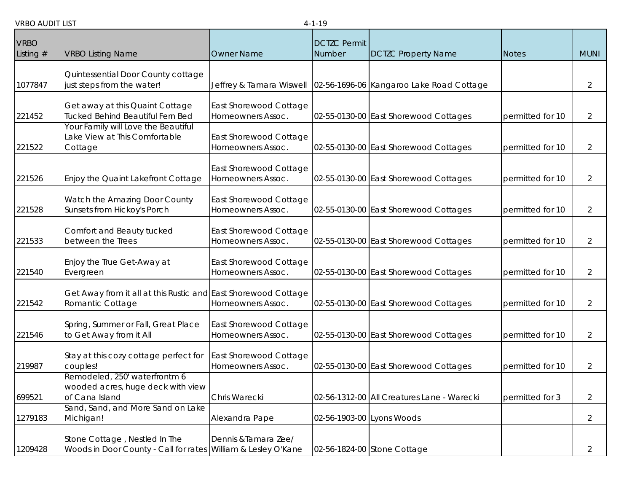| ו טוויו וער שטח            |                                                                                                |                                             | - 1 10                        |                                            |                  |                |
|----------------------------|------------------------------------------------------------------------------------------------|---------------------------------------------|-------------------------------|--------------------------------------------|------------------|----------------|
| <b>VRBO</b><br>Listing $#$ | <b>VRBO Listing Name</b>                                                                       | <b>Owner Name</b>                           | <b>DCTZC Permit</b><br>Number | <b>DCTZC Property Name</b>                 | <b>Notes</b>     | <b>MUNI</b>    |
| 1077847                    | Quintessential Door County cottage<br>just steps from the water!                               | Jeffrey & Tamara Wiswell                    |                               | 02-56-1696-06 Kangaroo Lake Road Cottage   |                  | 2              |
| 221452                     | Get away at this Quaint Cottage<br>Tucked Behind Beautiful Fern Bed                            | East Shorewood Cottage<br>Homeowners Assoc. |                               | 02-55-0130-00 East Shorewood Cottages      | permitted for 10 | $\overline{2}$ |
| 221522                     | Your Family will Love the Beautiful<br>ake View at This Comfortable<br>Cottage                 | East Shorewood Cottage<br>Homeowners Assoc. |                               | 02-55-0130-00 East Shorewood Cottages      | permitted for 10 | 2              |
| 221526                     | Enjoy the Quaint Lakefront Cottage                                                             | East Shorewood Cottage<br>Homeowners Assoc. |                               | 02-55-0130-00 East Shorewood Cottages      | permitted for 10 | $\overline{2}$ |
| 221528                     | Watch the Amazing Door County<br>Sunsets from Hickoy's Porch                                   | East Shorewood Cottage<br>Homeowners Assoc. |                               | 02-55-0130-00 East Shorewood Cottages      | permitted for 10 | 2              |
| 221533                     | Comfort and Beauty tucked<br>between the Trees                                                 | East Shorewood Cottage<br>Homeowners Assoc. |                               | 02-55-0130-00 East Shorewood Cottages      | permitted for 10 | 2              |
| 221540                     | Enjoy the True Get-Away at<br>Evergreen                                                        | East Shorewood Cottage<br>Homeowners Assoc. |                               | 02-55-0130-00 East Shorewood Cottages      | permitted for 10 | 2              |
| 221542                     | Get Away from it all at this Rustic and East Shorewood Cottage<br>Romantic Cottage             | Homeowners Assoc.                           |                               | 02-55-0130-00 East Shorewood Cottages      | permitted for 10 | 2              |
| 221546                     | Spring, Summer or Fall, Great Place<br>to Get Away from it All                                 | East Shorewood Cottage<br>Homeowners Assoc. |                               | 02-55-0130-00 East Shorewood Cottages      | permitted for 10 | 2              |
| 219987                     | Stay at this cozy cottage perfect for<br>couples!                                              | East Shorewood Cottage<br>Homeowners Assoc. |                               | 02-55-0130-00 East Shorewood Cottages      | permitted for 10 | 2              |
| 699521                     | Remodeled, 250' waterfrontm 6<br>wooded acres, huge deck with view<br>of Cana Island           | Chris Warecki                               |                               | 02-56-1312-00 All Creatures Lane - Warecki | permitted for 3  | $\overline{2}$ |
| 1279183                    | Sand, Sand, and More Sand on Lake<br>Michigan!                                                 | Alexandra Pape                              |                               | 02-56-1903-00 Lyons Woods                  |                  | $\overline{2}$ |
| 1209428                    | Stone Cottage, Nestled In The<br>Woods in Door County - Call for rates William & Lesley O'Kane | Dennis & Tamara Zee/                        |                               | 02-56-1824-00 Stone Cottage                |                  | 2              |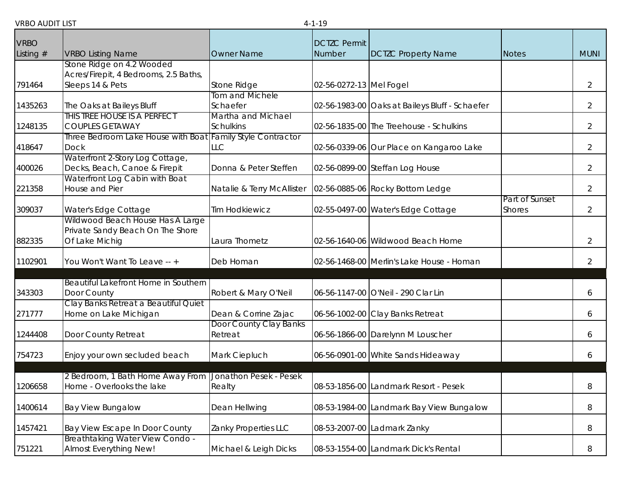| <b>VRBO</b> |                                                                                      |                            | <b>DCTZC Permit</b>     |                                                |                |                |
|-------------|--------------------------------------------------------------------------------------|----------------------------|-------------------------|------------------------------------------------|----------------|----------------|
| Listing $#$ | <b>VRBO Listing Name</b>                                                             | <b>Owner Name</b>          | Number                  | <b>DCTZC Property Name</b>                     | <b>Notes</b>   | <b>MUNI</b>    |
|             | Stone Ridge on 4.2 Wooded                                                            |                            |                         |                                                |                |                |
|             | Acres/Firepit, 4 Bedrooms, 2.5 Baths,                                                |                            |                         |                                                |                |                |
| 791464      | Sleeps 14 & Pets                                                                     | Stone Ridge                | 02-56-0272-13 Mel Fogel |                                                |                | $\overline{2}$ |
|             |                                                                                      | <b>Tom and Michele</b>     |                         |                                                |                |                |
| 1435263     | The Oaks at Baileys Bluff                                                            | Schaefer                   |                         | 02-56-1983-00 Oaks at Baileys Bluff - Schaefer |                | $\overline{2}$ |
|             | THIS TREE HOUSE IS A PERFECT                                                         | Martha and Michael         |                         |                                                |                |                |
| 1248135     | <b>COUPLES GETAWAY</b>                                                               | <b>Schulkins</b>           |                         | 02-56-1835-00 The Treehouse - Schulkins        |                | $\overline{2}$ |
|             | Three Bedroom Lake House with Boat Family Style Contractor                           | LLC                        |                         |                                                |                | $\overline{2}$ |
| 418647      | <b>Dock</b><br>Waterfront 2-Story Log Cottage,                                       |                            |                         | 02-56-0339-06 Our Place on Kangaroo Lake       |                |                |
| 400026      | Decks, Beach, Canoe & Firepit                                                        | Donna & Peter Steffen      |                         | 02-56-0899-00 Steffan Log House                |                | $\overline{2}$ |
|             | Waterfront Log Cabin with Boat                                                       |                            |                         |                                                |                |                |
| 221358      | House and Pier                                                                       | Natalie & Terry McAllister |                         | 02-56-0885-06 Rocky Bottom Ledge               |                | $\overline{2}$ |
|             |                                                                                      |                            |                         |                                                | Part of Sunset |                |
| 309037      | Water's Edge Cottage                                                                 | <b>Tim Hodkiewicz</b>      |                         | 02-55-0497-00 Water's Edge Cottage             | <b>Shores</b>  | $\overline{2}$ |
|             | Wildwood Beach House Has A Large                                                     |                            |                         |                                                |                |                |
|             | Private Sandy Beach On The Shore                                                     |                            |                         |                                                |                |                |
| 882335      | Of Lake Michig                                                                       | Laura Thometz              |                         | 02-56-1640-06 Wildwood Beach Home              |                | $\overline{2}$ |
|             |                                                                                      |                            |                         |                                                |                |                |
| 1102901     | You Won't Want To Leave -- +                                                         | Deb Homan                  |                         | 02-56-1468-00 Merlin's Lake House - Homan      |                | $\overline{2}$ |
|             | Beautiful Lakefront Home in Southern                                                 |                            |                         |                                                |                |                |
| 343303      | Door County                                                                          | Robert & Mary O'Neil       |                         | 06-56-1147-00 O'Neil - 290 Clar Lin            |                | 6              |
|             | Clay Banks Retreat a Beautiful Quiet                                                 |                            |                         |                                                |                |                |
| 271777      | Home on Lake Michigan                                                                | Dean & Corrine Zajac       |                         | 06-56-1002-00 Clay Banks Retreat               |                | 6              |
|             |                                                                                      | Door County Clay Banks     |                         |                                                |                |                |
| 1244408     | Door County Retreat                                                                  | Retreat                    |                         | 06-56-1866-00 Darelynn M Louscher              |                | 6              |
|             |                                                                                      |                            |                         |                                                |                |                |
| 754723      | Enjoy your own secluded beach                                                        | Mark Ciepluch              |                         | 06-56-0901-00 White Sands Hideaway             |                | 6              |
|             |                                                                                      |                            |                         |                                                |                |                |
| 1206658     | 2 Bedroom, 1 Bath Home Away From Jonathon Pesek - Pesek<br>Home - Overlooks the lake | Realty                     |                         | 08-53-1856-00 Landmark Resort - Pesek          |                |                |
|             |                                                                                      |                            |                         |                                                |                | 8              |
| 1400614     | <b>Bay View Bungalow</b>                                                             | Dean Hellwing              |                         | 08-53-1984-00 Landmark Bay View Bungalow       |                | 8              |
|             |                                                                                      |                            |                         |                                                |                |                |
| 1457421     | Bay View Escape In Door County                                                       | Zanky Properties LLC       |                         | 08-53-2007-00 Ladmark Zanky                    |                | 8              |
|             | <b>Breathtaking Water View Condo -</b>                                               |                            |                         |                                                |                |                |
| 751221      | <b>Almost Everything New!</b>                                                        | Michael & Leigh Dicks      |                         | 08-53-1554-00 Landmark Dick's Rental           |                | 8              |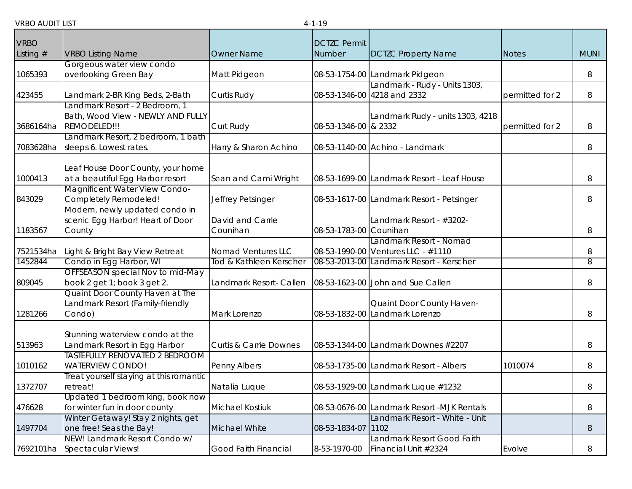|             |                                         |                                   | .                      |                                            |                 |             |
|-------------|-----------------------------------------|-----------------------------------|------------------------|--------------------------------------------|-----------------|-------------|
| <b>VRBO</b> |                                         |                                   | <b>DCTZC Permit</b>    |                                            |                 |             |
| Listing $#$ | <b>VRBO Listing Name</b>                | <b>Owner Name</b>                 | Number                 | <b>DCTZC Property Name</b>                 | <b>Notes</b>    | <b>MUNI</b> |
|             | Gorgeous water view condo               |                                   |                        |                                            |                 |             |
| 1065393     | overlooking Green Bay                   | Matt Pidgeon                      |                        | 08-53-1754-00 Landmark Pidgeon             |                 | 8           |
|             |                                         |                                   |                        | Landmark - Rudy - Units 1303,              |                 |             |
| 423455      | Landmark 2-BR King Beds, 2-Bath         | Curtis Rudy                       |                        | 08-53-1346-00 4218 and 2332                | permitted for 2 | 8           |
|             | andmark Resort - 2 Bedroom, 1           |                                   |                        |                                            |                 |             |
|             | Bath, Wood View - NEWLY AND FULLY       |                                   |                        | Landmark Rudy - units 1303, 4218           |                 |             |
| 3686164ha   | REMODELED!!!                            | Curt Rudy                         | 08-53-1346-00 & 2332   |                                            | permitted for 2 | 8           |
|             | Landmark Resort, 2 bedroom, 1 bath      |                                   |                        |                                            |                 |             |
| 7083628ha   | sleeps 6. Lowest rates.                 | Harry & Sharon Achino             |                        | 08-53-1140-00 Achino - Landmark            |                 | 8           |
|             |                                         |                                   |                        |                                            |                 |             |
|             | Leaf House Door County, your home       |                                   |                        |                                            |                 |             |
| 1000413     | at a beautiful Egg Harbor resort        | Sean and Cami Wright              |                        | 08-53-1699-00 Landmark Resort - Leaf House |                 | 8           |
|             | <b>Magnificent Water View Condo-</b>    |                                   |                        |                                            |                 |             |
| 843029      | Completely Remodeled!                   | Jeffrey Petsinger                 |                        | 08-53-1617-00 Landmark Resort - Petsinger  |                 | 8           |
|             | Modern, newly updated condo in          | David and Carrie                  |                        | Landmark Resort - #3202-                   |                 |             |
| 1183567     | scenic Egg Harbor! Heart of Door        | Counihan                          | 08-53-1783-00 Counihan |                                            |                 | 8           |
|             | County                                  |                                   |                        | Landmark Resort - Nomad                    |                 |             |
| 7521534ha   | Light & Bright Bay View Retreat         | Nomad Ventures LLC                |                        | 08-53-1990-00 Ventures LLC - #1110         |                 | 8           |
| 1452844     | Condo in Egg Harbor, WI                 | Tod & Kathleen Kerscher           |                        | 08-53-2013-00 Landmark Resort - Kerscher   |                 | 8           |
|             | OFFSEASON special Nov to mid-May        |                                   |                        |                                            |                 |             |
| 809045      | book 2 get 1; book 3 get 2.             | Landmark Resort- Callen           |                        | 08-53-1623-00 John and Sue Callen          |                 | 8           |
|             | Quaint Door County Haven at The         |                                   |                        |                                            |                 |             |
|             | andmark Resort (Family-friendly         |                                   |                        | Quaint Door County Haven-                  |                 |             |
| 1281266     | Condo)                                  | Mark Lorenzo                      |                        | 08-53-1832-00 Landmark Lorenzo             |                 | 8           |
|             |                                         |                                   |                        |                                            |                 |             |
|             | Stunning waterview condo at the         |                                   |                        |                                            |                 |             |
| 513963      | Landmark Resort in Egg Harbor           | <b>Curtis &amp; Carrie Downes</b> |                        | 08-53-1344-00 Landmark Downes #2207        |                 | 8           |
|             | <b>TASTEFULLY RENOVATED 2 BEDROOM</b>   |                                   |                        |                                            |                 |             |
| 1010162     | <b>WATERVIEW CONDO!</b>                 | Penny Albers                      |                        | 08-53-1735-00 Landmark Resort - Albers     | 1010074         | 8           |
|             | Treat yourself staying at this romantic |                                   |                        |                                            |                 |             |
| 1372707     | retreat!                                | Natalia Luque                     |                        | 08-53-1929-00 Landmark Luque #1232         |                 | 8           |
|             | Updated 1 bedroom king, book now        |                                   |                        |                                            |                 |             |
| 476628      | for winter fun in door county           | <b>Michael Kostiuk</b>            |                        | 08-53-0676-00 Landmark Resort -MJK Rentals |                 | 8           |
|             | Winter Getaway! Stay 2 nights, get      |                                   |                        | Landmark Resort - White - Unit             |                 |             |
| 1497704     | one free! Seas the Bay!                 | Michael White                     | 08-53-1834-07 1102     |                                            |                 | 8           |
|             | NEW! Landmark Resort Condo w/           |                                   |                        | Landmark Resort Good Faith                 |                 |             |
| 7692101ha   | Spectacular Views!                      | Good Faith Financial              | 8-53-1970-00           | Financial Unit #2324                       | Evolve          | 8           |
|             |                                         |                                   |                        |                                            |                 |             |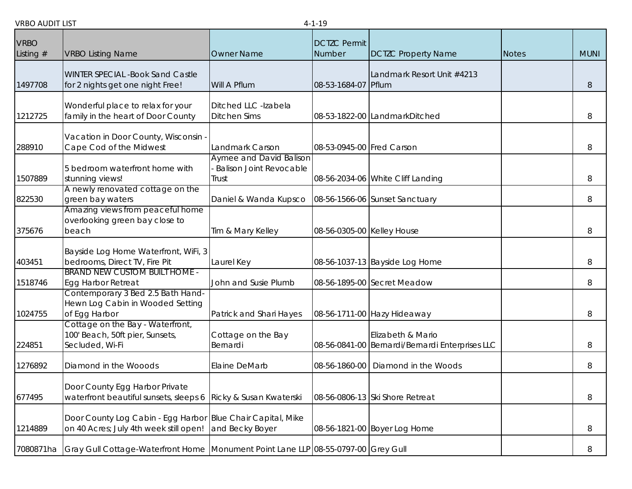| <b>VRBO</b> |                                                                                                       |                                                                    | <b>DCTZC Permit</b>        |                                                                      |              |             |
|-------------|-------------------------------------------------------------------------------------------------------|--------------------------------------------------------------------|----------------------------|----------------------------------------------------------------------|--------------|-------------|
| Listing $#$ | <b>VRBO Listing Name</b>                                                                              | <b>Owner Name</b>                                                  | Number                     | <b>DCTZC Property Name</b>                                           | <b>Notes</b> | <b>MUNI</b> |
| 1497708     | <b>WINTER SPECIAL -Book Sand Castle</b><br>for 2 nights get one night Free!                           | Will A Pflum                                                       | 08-53-1684-07              | Landmark Resort Unit #4213<br>Pflum                                  |              | 8           |
| 1212725     | Wonderful place to relax for your<br>family in the heart of Door County                               | Ditched LLC -Izabela<br><b>Ditchen Sims</b>                        |                            | 08-53-1822-00 LandmarkDitched                                        |              | 8           |
| 288910      | Vacation in Door County, Wisconsin -<br>Cape Cod of the Midwest                                       | Landmark Carson                                                    | 08-53-0945-00 Fred Carson  |                                                                      |              | 8           |
| 1507889     | 5 bedroom waterfront home with<br>stunning views!                                                     | Aymee and David Balison<br><b>Balison Joint Revocable</b><br>Trust |                            | 08-56-2034-06 White Cliff Landing                                    |              | 8           |
| 822530      | A newly renovated cottage on the<br>green bay waters                                                  | Daniel & Wanda Kupsco                                              |                            | 08-56-1566-06 Sunset Sanctuary                                       |              | 8           |
| 375676      | Amazing views from peaceful home<br>overlooking green bay close to<br>beach                           | Tim & Mary Kelley                                                  | 08-56-0305-00 Kelley House |                                                                      |              | 8           |
| 403451      | Bayside Log Home Waterfront, WiFi, 3<br>bedrooms, Direct TV, Fire Pit                                 | Laurel Key                                                         |                            | 08-56-1037-13 Bayside Log Home                                       |              | 8           |
| 1518746     | <b>BRAND NEW CUSTOM BUILT HOME -</b><br><b>Egg Harbor Retreat</b>                                     | John and Susie Plumb                                               |                            | 08-56-1895-00 Secret Meadow                                          |              | 8           |
| 1024755     | Contemporary 3 Bed 2.5 Bath Hand-<br>Hewn Log Cabin in Wooded Setting<br>of Egg Harbor                | Patrick and Shari Hayes                                            |                            | 08-56-1711-00 Hazy Hideaway                                          |              | 8           |
| 224851      | Cottage on the Bay - Waterfront,<br>100' Beach, 50ft pier, Sunsets,<br>Secluded, Wi-Fi                | Cottage on the Bay<br>Bernardi                                     |                            | Elizabeth & Mario<br>08-56-0841-00 Bernardi/Bernardi Enterprises LLC |              | 8           |
| 1276892     | Diamond in the Wooods                                                                                 | Elaine DeMarb                                                      | 08-56-1860-00              | Diamond in the Woods                                                 |              | 8           |
| 677495      | Door County Egg Harbor Private<br>waterfront beautiful sunsets, sleeps 6                              | Ricky & Susan Kwaterski                                            |                            | 08-56-0806-13 Ski Shore Retreat                                      |              | 8           |
| 1214889     | Door County Log Cabin - Egg Harbor Blue Chair Capital, Mike<br>on 40 Acres; July 4th week still open! | and Becky Boyer                                                    |                            | 08-56-1821-00 Boyer Log Home                                         |              | 8           |
| 7080871ha   | Gray Gull Cottage-Waterfront Home Monument Point Lane LLP 08-55-0797-00 Grey Gull                     |                                                                    |                            |                                                                      |              | 8           |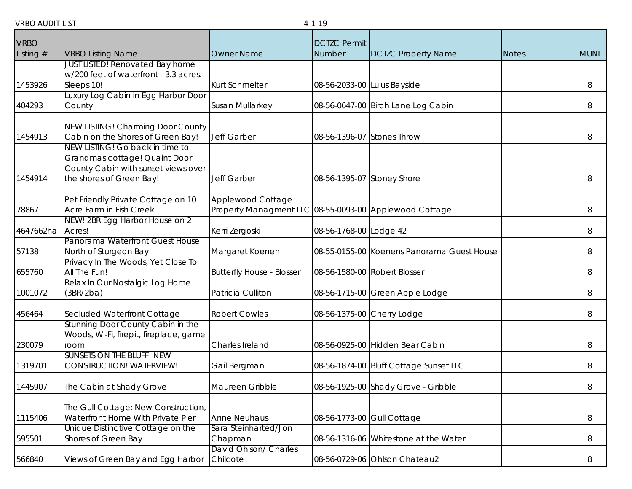| <b>VRBO</b> |                                                                                                                                     |                                                                             | <b>DCTZC Permit</b>         |                                            |              |             |
|-------------|-------------------------------------------------------------------------------------------------------------------------------------|-----------------------------------------------------------------------------|-----------------------------|--------------------------------------------|--------------|-------------|
| Listing $#$ | <b>VRBO Listing Name</b>                                                                                                            | Owner Name                                                                  | Number                      | <b>DCTZC Property Name</b>                 | <b>Notes</b> | <b>MUNI</b> |
| 1453926     | <b>JUST LISTED! Renovated Bay home</b><br>w/200 feet of waterfront - 3.3 acres.<br>Sleeps 10!                                       | <b>Kurt Schmelter</b>                                                       | 08-56-2033-00 Lulus Bayside |                                            |              | 8           |
| 404293      | Luxury Log Cabin in Egg Harbor Door<br>County                                                                                       | Susan Mullarkey                                                             |                             | 08-56-0647-00 Birch Lane Log Cabin         |              | 8           |
| 1454913     | NEW LISTING! Charming Door County<br>Cabin on the Shores of Green Bay!                                                              | Jeff Garber                                                                 | 08-56-1396-07 Stones Throw  |                                            |              | 8           |
| 1454914     | NEW LISTING! Go back in time to<br>Grandmas cottage! Quaint Door<br>County Cabin with sunset views over<br>the shores of Green Bay! | Jeff Garber                                                                 | 08-56-1395-07 Stoney Shore  |                                            |              | 8           |
| 78867       | Pet Friendly Private Cottage on 10<br>Acre Farm in Fish Creek                                                                       | Applewood Cottage<br>Property Managment LLC 08-55-0093-00 Applewood Cottage |                             |                                            |              | 8           |
| 4647662ha   | NEW! 2BR Egg Harbor House on 2<br>Acres!                                                                                            | Kerri Zergoski                                                              | 08-56-1768-00 Lodge 42      |                                            |              | 8           |
| 57138       | Panorama Waterfront Guest House<br>North of Sturgeon Bay                                                                            | Margaret Koenen                                                             |                             | 08-55-0155-00 Koenens Panorama Guest House |              | 8           |
| 655760      | Privacy In The Woods, Yet Close To<br>All The Fun!                                                                                  | <b>Butterfly House - Blosser</b>                                            |                             | 08-56-1580-00 Robert Blosser               |              | 8           |
| 1001072     | Relax In Our Nostalgic Log Home<br>(3BR/2ba)                                                                                        | Patricia Culliton                                                           |                             | 08-56-1715-00 Green Apple Lodge            |              | 8           |
| 456464      | Secluded Waterfront Cottage                                                                                                         | <b>Robert Cowles</b>                                                        |                             | 08-56-1375-00 Cherry Lodge                 |              | 8           |
| 230079      | Stunning Door County Cabin in the<br>Woods, Wi-Fi, firepit, fireplace, game<br>room                                                 | Charles Ireland                                                             |                             | 08-56-0925-00 Hidden Bear Cabin            |              | 8           |
| 1319701     | <b>SUNSETS ON THE BLUFF! NEW</b><br><b>CONSTRUCTION! WATERVIEW!</b>                                                                 | Gail Bergman                                                                |                             | 08-56-1874-00 Bluff Cottage Sunset LLC     |              | 8           |
| 1445907     | The Cabin at Shady Grove                                                                                                            | Maureen Gribble                                                             |                             | 08-56-1925-00 Shady Grove - Gribble        |              | 8           |
| 1115406     | The Gull Cottage: New Construction,<br>Waterfront Home With Private Pier                                                            | <b>Anne Neuhaus</b>                                                         | 08-56-1773-00 Gull Cottage  |                                            |              | 8           |
| 595501      | Unique Distinctive Cottage on the<br>Shores of Green Bay                                                                            | Sara Steinharted/Jon<br>Chapman                                             |                             | 08-56-1316-06 Whitestone at the Water      |              | 8           |
| 566840      | Views of Green Bay and Egg Harbor                                                                                                   | David Ohlson/ Charles<br>Chilcote                                           |                             | 08-56-0729-06 Ohlson Chateau2              |              | 8           |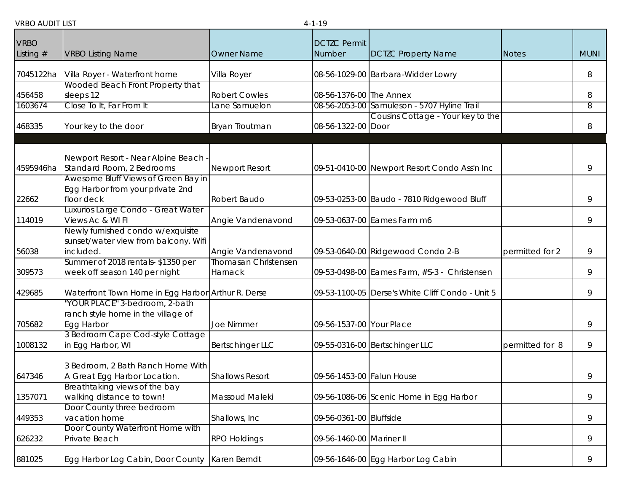| <b>VRBO</b> |                                                                         |                             | <b>DCTZC Permit</b>       |                                                  |                 |                |
|-------------|-------------------------------------------------------------------------|-----------------------------|---------------------------|--------------------------------------------------|-----------------|----------------|
| Listing $#$ | <b>VRBO Listing Name</b>                                                | <b>Owner Name</b>           | Number                    | <b>DCTZC Property Name</b>                       | <b>Notes</b>    | <b>MUNI</b>    |
| 7045122ha   | Villa Royer - Waterfront home                                           | Villa Royer                 |                           | 08-56-1029-00 Barbara-Widder Lowry               |                 | 8              |
|             | Wooded Beach Front Property that                                        |                             |                           |                                                  |                 |                |
| 456458      | sleeps 12                                                               | <b>Robert Cowles</b>        | 08-56-1376-00 The Annex   |                                                  |                 | 8              |
| 1603674     | Close To It, Far From It                                                | Lane Samuelon               |                           | 08-56-2053-00 Samuleson - 5707 Hyline Trail      |                 | $\overline{8}$ |
|             |                                                                         |                             |                           | Cousins Cottage - Your key to the                |                 |                |
| 468335      | Your key to the door                                                    | Bryan Troutman              | 08-56-1322-00 Door        |                                                  |                 | 8              |
|             |                                                                         |                             |                           |                                                  |                 |                |
|             | Newport Resort - Near Alpine Beach                                      |                             |                           |                                                  |                 |                |
| 4595946ha   | Standard Room, 2 Bedrooms                                               | <b>Newport Resort</b>       |                           | 09-51-0410-00 Newport Resort Condo Ass'n Inc     |                 | 9              |
|             | Awesome Bluff Views of Green Bay in<br>Egg Harbor from your private 2nd |                             |                           |                                                  |                 |                |
| 22662       | floor deck                                                              | Robert Baudo                |                           | 09-53-0253-00 Baudo - 7810 Ridgewood Bluff       |                 | 9              |
|             | Luxurios Large Condo - Great Water                                      |                             |                           |                                                  |                 |                |
| 114019      | Views Ac & WI FI                                                        | Angie Vandenavond           |                           | 09-53-0637-00 Eames Farm m6                      |                 | 9              |
|             | Newly furnished condo w/exquisite                                       |                             |                           |                                                  |                 |                |
|             | sunset/water view from balcony. Wifi                                    |                             |                           |                                                  |                 |                |
| 56038       | included.                                                               | Angie Vandenavond           |                           | 09-53-0640-00 Ridgewood Condo 2-B                | permitted for 2 | 9              |
|             | Summer of 2018 rentals-\$1350 per                                       | <b>Thomasan Christensen</b> |                           |                                                  |                 |                |
| 309573      | week off season 140 per night                                           | Harnack                     |                           | 09-53-0498-00 Eames Farm, #S-3 - Christensen     |                 | 9              |
| 429685      | Waterfront Town Home in Egg Harbor Arthur R. Derse                      |                             |                           | 09-53-1100-05 Derse's White Cliff Condo - Unit 5 |                 | 9              |
|             | YOUR PLACE" 3-bedroom, 2-bath                                           |                             |                           |                                                  |                 |                |
|             | ranch style home in the village of                                      |                             |                           |                                                  |                 |                |
| 705682      | Egg Harbor                                                              | <b>Joe Nimmer</b>           | 09-56-1537-00 Your Place  |                                                  |                 | 9              |
| 1008132     | 3 Bedroom Cape Cod-style Cottage<br>in Egg Harbor, WI                   | <b>Bertschinger LLC</b>     |                           | 09-55-0316-00 Bertschinger LLC                   | permitted for 8 | 9              |
|             |                                                                         |                             |                           |                                                  |                 |                |
|             | 3 Bedroom, 2 Bath Ranch Home With                                       |                             |                           |                                                  |                 |                |
| 647346      | A Great Egg Harbor Location.                                            | <b>Shallows Resort</b>      | 09-56-1453-00 Falun House |                                                  |                 | 9              |
|             | Breathtaking views of the bay                                           |                             |                           |                                                  |                 |                |
| 1357071     | walking distance to town!                                               | Massoud Maleki              |                           | 09-56-1086-06 Scenic Home in Egg Harbor          |                 | 9              |
| 449353      | Door County three bedroom<br>vacation home                              | Shallows, Inc               | 09-56-0361-00 Bluffside   |                                                  |                 | 9              |
|             | Door County Waterfront Home with                                        |                             |                           |                                                  |                 |                |
| 626232      | Private Beach                                                           | RPO Holdings                | 09-56-1460-00 Mariner II  |                                                  |                 | 9              |
|             |                                                                         |                             |                           |                                                  |                 |                |
| 881025      | Egg Harbor Log Cabin, Door County Karen Berndt                          |                             |                           | 09-56-1646-00 Egg Harbor Log Cabin               |                 | 9              |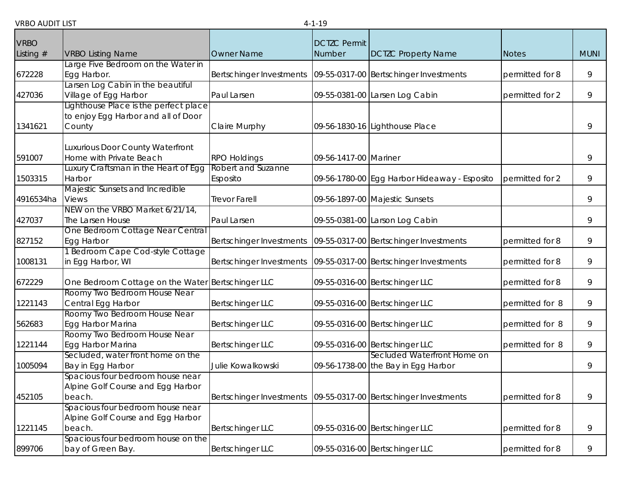| <b>VRBO</b> |                                                                                        |                                | <b>DCTZC Permit</b>   |                                                                    |                 |             |
|-------------|----------------------------------------------------------------------------------------|--------------------------------|-----------------------|--------------------------------------------------------------------|-----------------|-------------|
| Listing $#$ | <b>VRBO Listing Name</b>                                                               | <b>Owner Name</b>              | Number                | <b>DCTZC Property Name</b>                                         | <b>Notes</b>    | <b>MUNI</b> |
| 672228      | Large Five Bedroom on the Water in<br>Egg Harbor.                                      | Bertschinger Investments       |                       | 09-55-0317-00 Bertschinger Investments                             | permitted for 8 | 9           |
| 427036      | arsen Log Cabin in the beautiful<br>Village of Egg Harbor                              | Paul Larsen                    |                       | 09-55-0381-00 Larsen Log Cabin                                     | permitted for 2 | 9           |
| 1341621     | Lighthouse Place is the perfect place<br>to enjoy Egg Harbor and all of Door<br>County | Claire Murphy                  |                       | 09-56-1830-16 Lighthouse Place                                     |                 | 9           |
| 591007      | Luxurious Door County Waterfront<br>Home with Private Beach                            | <b>RPO Holdings</b>            | 09-56-1417-00 Mariner |                                                                    |                 | 9           |
| 1503315     | Luxury Craftsman in the Heart of Egg<br>Harbor                                         | Robert and Suzanne<br>Esposito |                       | 09-56-1780-00 Egg Harbor Hideaway - Esposito                       | permitted for 2 | 9           |
| 4916534ha   | Majestic Sunsets and Incredible<br><b>Views</b>                                        | <b>Trevor Farell</b>           |                       | 09-56-1897-00 Majestic Sunsets                                     |                 | 9           |
| 427037      | NEW on the VRBO Market 6/21/14,<br>The Larsen House                                    | Paul Larsen                    |                       | 09-55-0381-00 Larson Log Cabin                                     |                 | 9           |
| 827152      | One Bedroom Cottage Near Central<br>Egg Harbor                                         | Bertschinger Investments       |                       | 09-55-0317-00 Bertschinger Investments                             | permitted for 8 | 9           |
| 1008131     | 1 Bedroom Cape Cod-style Cottage<br>in Egg Harbor, WI                                  | Bertschinger Investments       |                       | 09-55-0317-00 Bertschinger Investments                             | permitted for 8 | 9           |
| 672229      | One Bedroom Cottage on the Water Bertschinger LLC                                      |                                |                       | 09-55-0316-00 Bertschinger LLC                                     | permitted for 8 | 9           |
| 1221143     | Roomy Two Bedroom House Near<br>Central Egg Harbor                                     | <b>Bertschinger LLC</b>        |                       | 09-55-0316-00 Bertschinger LLC                                     | permitted for 8 | 9           |
| 562683      | Roomy Two Bedroom House Near<br>Egg Harbor Marina                                      | <b>Bertschinger LLC</b>        |                       | 09-55-0316-00 Bertschinger LLC                                     | permitted for 8 | 9           |
| 1221144     | Roomy Two Bedroom House Near<br>Egg Harbor Marina                                      | <b>Bertschinger LLC</b>        |                       | 09-55-0316-00 Bertschinger LLC                                     | permitted for 8 | 9           |
| 1005094     | Secluded, water front home on the<br>Bay in Egg Harbor                                 | Julie Kowalkowski              |                       | Secluded Waterfront Home on<br>09-56-1738-00 the Bay in Egg Harbor |                 | 9           |
| 452105      | Spacious four bedroom house near<br>Alpine Golf Course and Egg Harbor<br>beach.        | Bertschinger Investments       |                       | 09-55-0317-00 Bertschinger Investments                             | permitted for 8 | 9           |
| 1221145     | Spacious four bedroom house near<br>Alpine Golf Course and Egg Harbor<br>beach.        | <b>Bertschinger LLC</b>        |                       | 09-55-0316-00 Bertschinger LLC                                     | permitted for 8 | 9           |
| 899706      | Spacious four bedroom house on the<br>bay of Green Bay.                                | <b>Bertschinger LLC</b>        |                       | 09-55-0316-00 Bertschinger LLC                                     | permitted for 8 | 9           |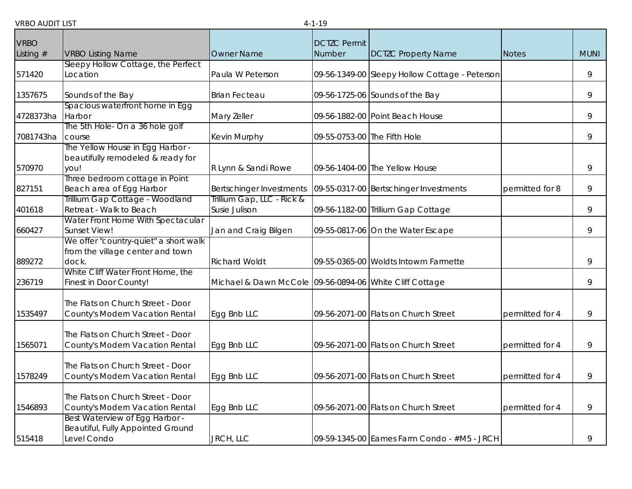| <b>VRBO</b> |                                        |                                                         | <b>DCTZC Permit</b>          |                                                |                 |             |
|-------------|----------------------------------------|---------------------------------------------------------|------------------------------|------------------------------------------------|-----------------|-------------|
| Listing $#$ | <b>VRBO Listing Name</b>               | <b>Owner Name</b>                                       | Number                       | <b>DCTZC Property Name</b>                     | <b>Notes</b>    | <b>MUNI</b> |
|             | Sleepy Hollow Cottage, the Perfect     |                                                         |                              |                                                |                 |             |
| 571420      | Location                               | Paula W Peterson                                        |                              | 09-56-1349-00 Sleepy Hollow Cottage - Peterson |                 | 9           |
|             |                                        |                                                         |                              |                                                |                 |             |
| 1357675     | Sounds of the Bay                      | <b>Brian Fecteau</b>                                    |                              | 09-56-1725-06 Sounds of the Bay                |                 | 9           |
|             | Spacious waterfront home in Egg        |                                                         |                              |                                                |                 |             |
| 4728373ha   | Harbor                                 | Mary Zeller                                             |                              | 09-56-1882-00 Point Beach House                |                 | 9           |
|             | The 5th Hole- On a 36 hole golf        |                                                         |                              |                                                |                 |             |
| 7081743ha   | course                                 | Kevin Murphy                                            | 09-55-0753-00 The Fifth Hole |                                                |                 | 9           |
|             | The Yellow House in Egg Harbor -       |                                                         |                              |                                                |                 |             |
| 570970      | beautifully remodeled & ready for      |                                                         |                              | 09-56-1404-00 The Yellow House                 |                 | 9           |
|             | you!<br>Three bedroom cottage in Point | R Lynn & Sandi Rowe                                     |                              |                                                |                 |             |
| 827151      | Beach area of Egg Harbor               | Bertschinger Investments                                |                              | 09-55-0317-00 Bertschinger Investments         | permitted for 8 | 9           |
|             | Trillium Gap Cottage - Woodland        | Trillium Gap, LLC - Rick &                              |                              |                                                |                 |             |
| 401618      | Retreat - Walk to Beach                | Susie Julison                                           |                              | 09-56-1182-00 Trillium Gap Cottage             |                 | 9           |
|             | Water Front Home With Spectacular      |                                                         |                              |                                                |                 |             |
| 660427      | Sunset View!                           | Jan and Craig Bilgen                                    |                              | 09-55-0817-06 On the Water Escape              |                 | 9           |
|             | We offer "country-quiet" a short walk  |                                                         |                              |                                                |                 |             |
|             | from the village center and town       |                                                         |                              |                                                |                 |             |
| 889272      | dock.                                  | <b>Richard Woldt</b>                                    |                              | 09-55-0365-00 Woldts Intowm Farmette           |                 | 9           |
|             | White Cliff Water Front Home, the      |                                                         |                              |                                                |                 |             |
| 236719      | Finest in Door County!                 | Michael & Dawn McCole 09-56-0894-06 White Cliff Cottage |                              |                                                |                 | 9           |
|             |                                        |                                                         |                              |                                                |                 |             |
|             | The Flats on Church Street - Door      |                                                         |                              |                                                |                 |             |
| 1535497     | County's Modern Vacation Rental        | Egg Bnb LLC                                             |                              | 09-56-2071-00 Flats on Church Street           | permitted for 4 | 9           |
|             | The Flats on Church Street - Door      |                                                         |                              |                                                |                 |             |
| 1565071     | County's Modern Vacation Rental        | Egg Bnb LLC                                             |                              | 09-56-2071-00 Flats on Church Street           | permitted for 4 | 9           |
|             |                                        |                                                         |                              |                                                |                 |             |
|             | The Flats on Church Street - Door      |                                                         |                              |                                                |                 |             |
| 1578249     | County's Modern Vacation Rental        | Egg Bnb LLC                                             |                              | 09-56-2071-00 Flats on Church Street           | permitted for 4 | 9           |
|             |                                        |                                                         |                              |                                                |                 |             |
|             | The Flats on Church Street - Door      |                                                         |                              |                                                |                 |             |
| 1546893     | County's Modern Vacation Rental        | Egg Bnb LLC                                             |                              | 09-56-2071-00 Flats on Church Street           | permitted for 4 | 9           |
|             | Best Waterview of Egg Harbor -         |                                                         |                              |                                                |                 |             |
|             | Beautiful, Fully Appointed Ground      |                                                         |                              |                                                |                 |             |
| 515418      | Level Condo                            | JRCH, LLC                                               |                              | 09-59-1345-00 Eames Farm Condo - #M5 - JRCH    |                 | 9           |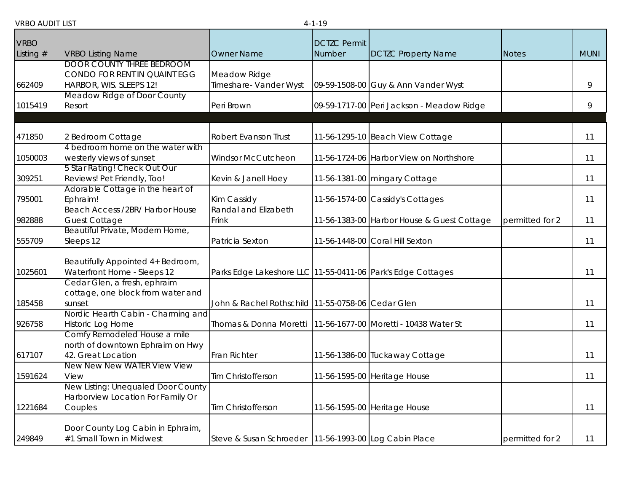|             |                                                                                             |                                                                   | .                   |                                            |                 |             |
|-------------|---------------------------------------------------------------------------------------------|-------------------------------------------------------------------|---------------------|--------------------------------------------|-----------------|-------------|
| <b>VRBO</b> |                                                                                             |                                                                   | <b>DCTZC Permit</b> |                                            |                 |             |
| Listing $#$ | <b>VRBO Listing Name</b>                                                                    | <b>Owner Name</b>                                                 | Number              | <b>DCTZC Property Name</b>                 | Notes           | <b>MUNI</b> |
| 662409      | <b>DOOR COUNTY THREE BEDROOM</b><br>CONDO FOR RENT IN QUAINT EGG<br>HARBOR, WIS. SLEEPS 12! | Meadow Ridge<br>Timeshare- Vander Wyst                            |                     | 09-59-1508-00 Guy & Ann Vander Wyst        |                 | 9           |
|             | Meadow Ridge of Door County                                                                 |                                                                   |                     |                                            |                 |             |
| 1015419     | Resort                                                                                      | Peri Brown                                                        |                     | 09-59-1717-00 Peri Jackson - Meadow Ridge  |                 | 9           |
|             |                                                                                             |                                                                   |                     |                                            |                 |             |
| 471850      | 2 Bedroom Cottage                                                                           | Robert Evanson Trust                                              |                     | 11-56-1295-10 Beach View Cottage           |                 | 11          |
|             | 4 bedroom home on the water with                                                            |                                                                   |                     |                                            |                 |             |
| 1050003     | westerly views of sunset                                                                    | <b>Windsor McCutcheon</b>                                         |                     | 11-56-1724-06 Harbor View on Northshore    |                 | 11          |
| 309251      | 5 Star Rating! Check Out Our<br>Reviews! Pet Friendly, Too!                                 | Kevin & Janell Hoey                                               |                     | 11-56-1381-00 mingary Cottage              |                 | 11          |
|             | Adorable Cottage in the heart of                                                            |                                                                   |                     |                                            |                 |             |
| 795001      | Ephraim!                                                                                    | Kim Cassidy                                                       |                     | 11-56-1574-00 Cassidy's Cottages           |                 | 11          |
|             | Beach Access /2BR/ Harbor House                                                             | Randal and Elizabeth                                              |                     |                                            |                 |             |
| 982888      | <b>Guest Cottage</b>                                                                        | Frink                                                             |                     | 11-56-1383-00 Harbor House & Guest Cottage | permitted for 2 | 11          |
|             | Beautiful Private, Modern Home,                                                             |                                                                   |                     |                                            |                 |             |
| 555709      | Sleeps 12                                                                                   | Patricia Sexton                                                   |                     | 11-56-1448-00 Coral Hill Sexton            |                 | 11          |
| 1025601     | Beautifully Appointed 4+ Bedroom,<br>Waterfront Home - Sleeps 12                            | Parks Edge Lakeshore LLC 11-55-0411-06 Park's Edge Cottages       |                     |                                            |                 | 11          |
| 185458      | Cedar Glen, a fresh, ephraim<br>cottage, one block from water and<br>sunset                 | John & Rachel Rothschild   11-55-0758-06 Cedar Glen               |                     |                                            |                 | 11          |
| 926758      | Nordic Hearth Cabin - Charming and<br>Historic Log Home                                     | Thomas & Donna Moretti   11-56-1677-00   Moretti - 10438 Water St |                     |                                            |                 | 11          |
| 617107      | Comfy Remodeled House a mile<br>north of downtown Ephraim on Hwy<br>42. Great Location      | Fran Richter                                                      |                     | 11-56-1386-00 Tuckaway Cottage             |                 | 11          |
| 1591624     | New New New WATER View View<br>View                                                         | Tim Christofferson                                                |                     | 11-56-1595-00 Heritage House               |                 | 11          |
| 1221684     | New Listing: Unequaled Door County<br>Harborview Location For Family Or<br>Couples          | Tim Christofferson                                                |                     | 11-56-1595-00 Heritage House               |                 | 11          |
| 249849      | Door County Log Cabin in Ephraim,<br>#1 Small Town in Midwest                               | Steve & Susan Schroeder   11-56-1993-00 Log Cabin Place           |                     |                                            | permitted for 2 | 11          |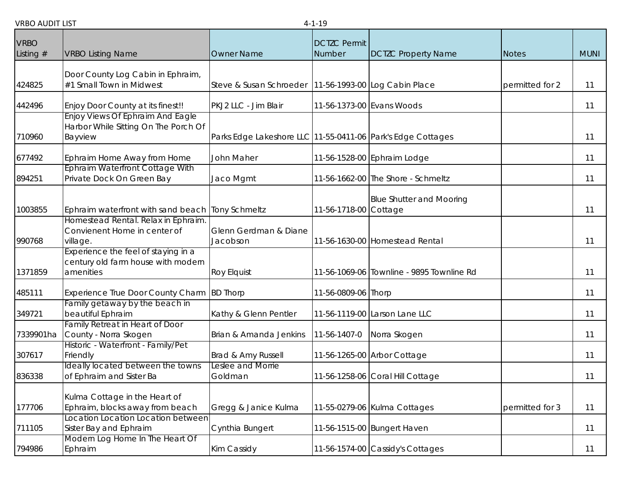| <b>VRBO</b> |                                                          |                                                             | <b>DCTZC Permit</b>   |                                           |                 |             |
|-------------|----------------------------------------------------------|-------------------------------------------------------------|-----------------------|-------------------------------------------|-----------------|-------------|
| Listing $#$ | <b>VRBO Listing Name</b>                                 | <b>Owner Name</b>                                           | Number                | <b>DCTZC Property Name</b>                | <b>Notes</b>    | <b>MUNI</b> |
|             |                                                          |                                                             |                       |                                           |                 |             |
|             | Door County Log Cabin in Ephraim,                        |                                                             |                       |                                           |                 |             |
| 424825      | #1 Small Town in Midwest                                 | Steve & Susan Schroeder   11-56-1993-00 Log Cabin Place     |                       |                                           | permitted for 2 | 11          |
| 442496      | Enjoy Door County at its finest!!                        | PKJ2 LLC - Jim Blair                                        |                       | 11-56-1373-00 Evans Woods                 |                 | 11          |
|             | <b>Enjoy Views Of Ephraim And Eagle</b>                  |                                                             |                       |                                           |                 |             |
|             | Harbor While Sitting On The Porch Of                     |                                                             |                       |                                           |                 |             |
| 710960      | Bayview                                                  | Parks Edge Lakeshore LLC 11-55-0411-06 Park's Edge Cottages |                       |                                           |                 | 11          |
| 677492      | Ephraim Home Away from Home                              | John Maher                                                  |                       | 11-56-1528-00 Ephraim Lodge               |                 | 11          |
|             | Ephraim Waterfront Cottage With                          |                                                             |                       |                                           |                 |             |
| 894251      | Private Dock On Green Bay                                | Jaco Mgmt                                                   |                       | 11-56-1662-00 The Shore - Schmeltz        |                 | 11          |
|             |                                                          |                                                             |                       | <b>Blue Shutter and Mooring</b>           |                 |             |
| 1003855     | Ephraim waterfront with sand beach Tony Schmeltz         |                                                             | 11-56-1718-00 Cottage |                                           |                 | 11          |
|             | Homestead Rental. Relax in Ephraim                       |                                                             |                       |                                           |                 |             |
|             | Convienent Home in center of                             | Glenn Gerdman & Diane                                       |                       | 11-56-1630-00 Homestead Rental            |                 |             |
| 990768      | village.<br>Experience the feel of staying in a          | Jacobson                                                    |                       |                                           |                 | 11          |
|             | century old farm house with modern                       |                                                             |                       |                                           |                 |             |
| 1371859     | amenities                                                | Roy Elquist                                                 |                       | 11-56-1069-06 Townline - 9895 Townline Rd |                 | 11          |
| 485111      | Experience True Door County Charm                        | <b>BD Thorp</b>                                             | 11-56-0809-06 Thorp   |                                           |                 | 11          |
|             | amily getaway by the beach in                            |                                                             |                       |                                           |                 |             |
| 349721      | beautiful Ephraim                                        | Kathy & Glenn Pentler                                       |                       | 11-56-1119-00 Larson Lane LLC             |                 | 11          |
| 7339901ha   | Family Retreat in Heart of Door<br>County - Norra Skogen | Brian & Amanda Jenkins                                      | 11-56-1407-0          | Norra Skogen                              |                 | 11          |
|             | Historic - Waterfront - Family/Pet                       |                                                             |                       |                                           |                 |             |
| 307617      | Friendly                                                 | Brad & Amy Russell                                          |                       | 11-56-1265-00 Arbor Cottage               |                 | 11          |
|             | Ideally located between the towns                        | Leslee and Morrie                                           |                       |                                           |                 |             |
| 836338      | of Ephraim and Sister Ba                                 | Goldman                                                     |                       | 11-56-1258-06 Coral Hill Cottage          |                 | 11          |
|             | Kulma Cottage in the Heart of                            |                                                             |                       |                                           |                 |             |
| 177706      | Ephraim, blocks away from beach                          | Gregg & Janice Kulma                                        |                       | 11-55-0279-06 Kulma Cottages              | permitted for 3 | 11          |
|             | Location Location Location between                       |                                                             |                       |                                           |                 |             |
| 711105      | Sister Bay and Ephraim                                   | Cynthia Bungert                                             |                       | 11-56-1515-00 Bungert Haven               |                 | 11          |
|             | Modern Log Home In The Heart Of                          |                                                             |                       |                                           |                 |             |
| 794986      | Ephraim                                                  | Kim Cassidy                                                 |                       | 11-56-1574-00 Cassidy's Cottages          |                 | 11          |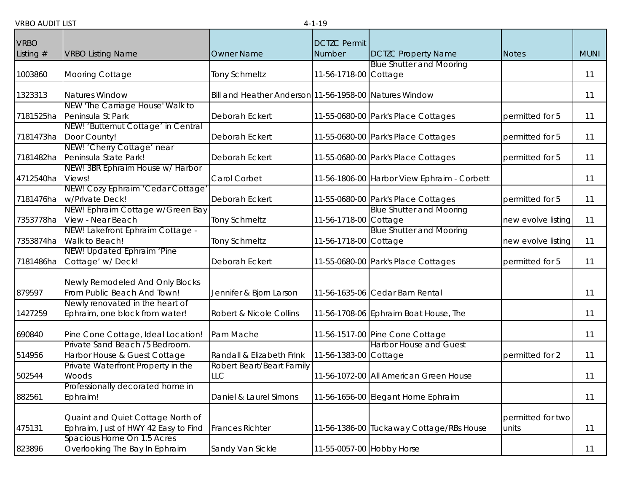| <b>VRBO</b> |                                            |                                                        | <b>DCTZC Permit</b>       |                                             |                    |             |
|-------------|--------------------------------------------|--------------------------------------------------------|---------------------------|---------------------------------------------|--------------------|-------------|
| Listing $#$ | <b>VRBO Listing Name</b>                   | <b>Owner Name</b>                                      | Number                    | <b>DCTZC Property Name</b>                  | <b>Notes</b>       | <b>MUNI</b> |
|             |                                            |                                                        |                           | <b>Blue Shutter and Mooring</b>             |                    |             |
| 1003860     | Mooring Cottage                            | <b>Tony Schmeltz</b>                                   | 11-56-1718-00 Cottage     |                                             |                    | 11          |
| 1323313     | <b>Natures Window</b>                      | Bill and Heather Anderson 11-56-1958-00 Natures Window |                           |                                             |                    | 11          |
|             | NEW 'The Carriage House' Walk to           |                                                        |                           |                                             |                    |             |
| 7181525ha   | Peninsula St Park                          | Deborah Eckert                                         |                           | 11-55-0680-00 Park's Place Cottages         | permitted for 5    | 11          |
|             | NEW! 'Butternut Cottage' in Central        |                                                        |                           |                                             |                    |             |
| 7181473ha   | Door County!                               | Deborah Eckert                                         |                           | 11-55-0680-00 Park's Place Cottages         | permitted for 5    | 11          |
|             | NEW! 'Cherry Cottage' near                 |                                                        |                           |                                             |                    |             |
| 7181482ha   | Peninsula State Park!                      | Deborah Eckert                                         |                           | 11-55-0680-00 Park's Place Cottages         | permitted for 5    | 11          |
| 4712540ha   | NEW! 3BR Ephraim House w/ Harbor<br>Views! | Carol Corbet                                           |                           | 11-56-1806-00 Harbor View Ephraim - Corbett |                    | 11          |
|             | NEW! Cozy Ephraim 'Cedar Cottage'          |                                                        |                           |                                             |                    |             |
| 7181476ha   | w/Private Deck!                            | Deborah Eckert                                         |                           | 11-55-0680-00 Park's Place Cottages         | permitted for 5    | 11          |
|             | NEW! Ephraim Cottage w/Green Bay           |                                                        |                           | <b>Blue Shutter and Mooring</b>             |                    |             |
| 7353778ha   | View - Near Beach                          | <b>Tony Schmeltz</b>                                   | 11-56-1718-00 Cottage     |                                             | new evolve listing | 11          |
|             | NEW! Lakefront Ephraim Cottage -           |                                                        |                           | <b>Blue Shutter and Mooring</b>             |                    |             |
| 7353874ha   | Walk to Beach!                             | <b>Tony Schmeltz</b>                                   | 11-56-1718-00 Cottage     |                                             | new evolve listing | 11          |
|             | NEW! Updated Ephraim 'Pine                 |                                                        |                           |                                             |                    |             |
| 7181486ha   | Cottage' w/ Deck!                          | Deborah Eckert                                         |                           | 11-55-0680-00 Park's Place Cottages         | permitted for 5    | 11          |
|             | Newly Remodeled And Only Blocks            |                                                        |                           |                                             |                    |             |
| 879597      | From Public Beach And Town!                | Jennifer & Bjorn Larson                                |                           | 11-56-1635-06 Cedar Barn Rental             |                    | 11          |
|             | Newly renovated in the heart of            |                                                        |                           |                                             |                    |             |
| 1427259     | Ephraim, one block from water!             | Robert & Nicole Collins                                |                           | 11-56-1708-06 Ephraim Boat House, The       |                    | 11          |
| 690840      | Pine Cone Cottage, Ideal Location!         | Pam Mache                                              |                           | 11-56-1517-00 Pine Cone Cottage             |                    | 11          |
|             | Private Sand Beach /5 Bedroom.             |                                                        |                           | <b>Harbor House and Guest</b>               |                    |             |
| 514956      | Harbor House & Guest Cottage               | Randall & Elizabeth Frink                              | 11-56-1383-00 Cottage     |                                             | permitted for 2    | 11          |
|             | Private Waterfront Property in the         | Robert Beart/Beart Family                              |                           |                                             |                    |             |
| 502544      | Woods                                      | LLC                                                    |                           | 11-56-1072-00 All American Green House      |                    | 11          |
|             | Professionally decorated home in           |                                                        |                           |                                             |                    |             |
| 882561      | Ephraim!                                   | Daniel & Laurel Simons                                 |                           | 11-56-1656-00 Elegant Home Ephraim          |                    | 11          |
|             | Quaint and Quiet Cottage North of          |                                                        |                           |                                             | permitted for two  |             |
| 475131      | Ephraim, Just of HWY 42 Easy to Find       | <b>Frances Richter</b>                                 |                           | 11-56-1386-00 Tuckaway Cottage/RBs House    | units              | 11          |
|             | Spacious Home On 1.5 Acres                 |                                                        |                           |                                             |                    |             |
| 823896      | Overlooking The Bay In Ephraim             | Sandy Van Sickle                                       | 11-55-0057-00 Hobby Horse |                                             |                    | 11          |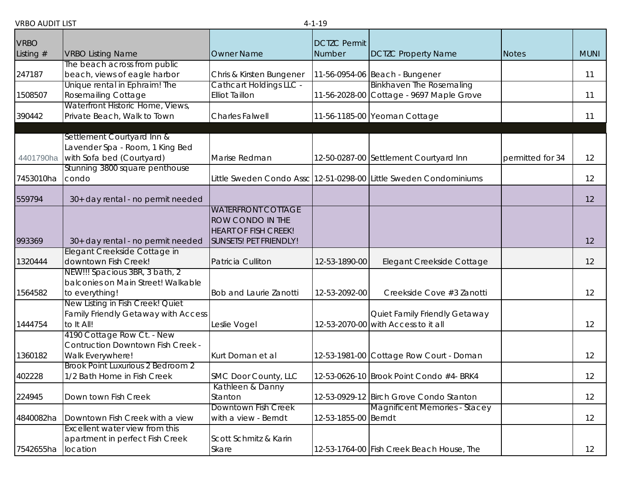| <b>VRBO</b> |                                                                                            |                                                                                                               | <b>DCTZC Permit</b>  |                                                                             |                  |             |
|-------------|--------------------------------------------------------------------------------------------|---------------------------------------------------------------------------------------------------------------|----------------------|-----------------------------------------------------------------------------|------------------|-------------|
| Listing $#$ | <b>VRBO Listing Name</b>                                                                   | <b>Owner Name</b>                                                                                             | Number               | <b>DCTZC Property Name</b>                                                  | <b>Notes</b>     | <b>MUNI</b> |
| 247187      | The beach across from public<br>beach, views of eagle harbor                               | Chris & Kirsten Bungener                                                                                      |                      | 11-56-0954-06 Beach - Bungener                                              |                  | 11          |
| 1508507     | Unique rental in Ephraim! The<br>Rosemailing Cottage                                       | Cathcart Holdings LLC -<br><b>Elliot Taillon</b>                                                              |                      | <b>Binkhaven The Rosemaling</b><br>11-56-2028-00 Cottage - 9697 Maple Grove |                  | 11          |
| 390442      | Waterfront Historic Home, Views,<br>Private Beach, Walk to Town                            | <b>Charles Falwell</b>                                                                                        |                      | 11-56-1185-00 Yeoman Cottage                                                |                  | 11          |
| 4401790ha   | Settlement Courtyard Inn &<br>Lavender Spa - Room, 1 King Bed<br>with Sofa bed (Courtyard) | Marise Redman                                                                                                 |                      | 12-50-0287-00 Settlement Courtyard Inn                                      | permitted for 34 | 12          |
| 7453010ha   | Stunning 3800 square penthouse<br>condo                                                    |                                                                                                               |                      | Little Sweden Condo Assc 12-51-0298-00 Little Sweden Condominiums           |                  | 12          |
| 559794      | 30+ day rental - no permit needed                                                          |                                                                                                               |                      |                                                                             |                  | 12          |
| 993369      | 30+ day rental - no permit needed                                                          | <b>WATERFRONT COTTAGE</b><br><b>ROW CONDO IN THE</b><br><b>HEART OF FISH CREEK!</b><br>SUNSETS! PET FRIENDLY! |                      |                                                                             |                  | 12          |
| 1320444     | Elegant Creekside Cottage in<br>downtown Fish Creek!                                       | Patricia Culliton                                                                                             | 12-53-1890-00        | Elegant Creekside Cottage                                                   |                  | 12          |
| 1564582     | NEW!!! Spacious 3BR, 3 bath, 2<br>balconies on Main Street! Walkable<br>to everything!     | <b>Bob and Laurie Zanotti</b>                                                                                 | 12-53-2092-00        | Creekside Cove #3 Zanotti                                                   |                  | 12          |
| 1444754     | New Listing in Fish Creek! Quiet<br>Family Friendly Getaway with Access<br>to It All!      | Leslie Vogel                                                                                                  |                      | Quiet Family Friendly Getaway<br>12-53-2070-00 with Access to it all        |                  | 12          |
| 1360182     | 4190 Cottage Row Ct. - New<br><b>Contruction Downtown Fish Creek -</b><br>Walk Everywhere! | Kurt Doman et al                                                                                              |                      | 12-53-1981-00 Cottage Row Court - Doman                                     |                  | 12          |
| 402228      | Brook Point Luxurious 2 Bedroom 2<br>1/2 Bath Home in Fish Creek                           | SMC Door County, LLC                                                                                          |                      | 12-53-0626-10 Brook Point Condo #4- BRK4                                    |                  | 12          |
| 224945      | Down town Fish Creek                                                                       | Kathleen & Danny<br>Stanton                                                                                   |                      | 12-53-0929-12 Birch Grove Condo Stanton                                     |                  | 12          |
| 4840082ha   | Downtown Fish Creek with a view                                                            | Downtown Fish Creek<br>with a view - Berndt                                                                   | 12-53-1855-00 Berndt | Magnificent Memories - Stacey                                               |                  | 12          |
| 7542655ha   | Excellent water view from this<br>apartment in perfect Fish Creek<br>location              | Scott Schmitz & Karin<br>Skare                                                                                |                      | 12-53-1764-00 Fish Creek Beach House, The                                   |                  | 12          |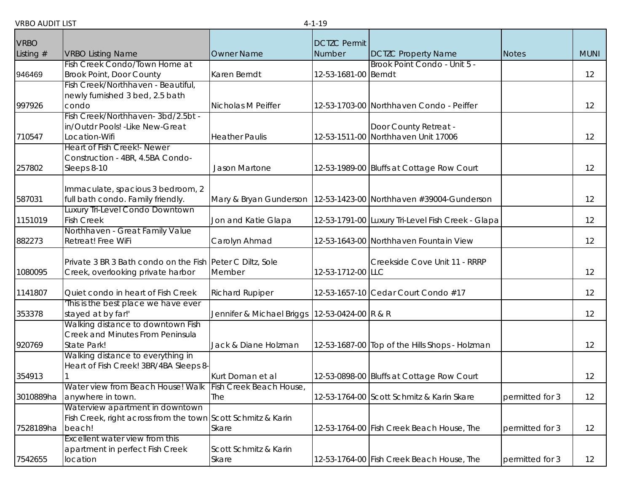| <b>VRBO</b> |                                                              |                           |                               |                                                   |                 |             |
|-------------|--------------------------------------------------------------|---------------------------|-------------------------------|---------------------------------------------------|-----------------|-------------|
| Listing $#$ | <b>VRBO Listing Name</b>                                     | <b>Owner Name</b>         | <b>DCTZC Permit</b><br>Number | <b>DCTZC Property Name</b>                        | <b>Notes</b>    | <b>MUNI</b> |
|             | Fish Creek Condo/Town Home at                                |                           |                               | Brook Point Condo - Unit 5 -                      |                 |             |
| 946469      | <b>Brook Point, Door County</b>                              | Karen Berndt              | 12-53-1681-00 Berndt          |                                                   |                 | 12          |
|             | Fish Creek/Northhaven - Beautiful,                           |                           |                               |                                                   |                 |             |
|             | newly furnished 3 bed, 2.5 bath                              |                           |                               |                                                   |                 |             |
| 997926      | condo                                                        | Nicholas M Peiffer        |                               | 12-53-1703-00 Northhaven Condo - Peiffer          |                 | 12          |
|             | Fish Creek/Northhaven-3bd/2.5bt -                            |                           |                               |                                                   |                 |             |
|             | in/Outdr Pools! - Like New-Great                             |                           |                               | Door County Retreat -                             |                 |             |
| 710547      | Location-Wifi                                                | <b>Heather Paulis</b>     |                               | 12-53-1511-00 Northhaven Unit 17006               |                 | 12          |
|             | Heart of Fish Creek!- Newer                                  |                           |                               |                                                   |                 |             |
| 257802      | Construction - 4BR, 4.5BA Condo-                             | Jason Martone             |                               |                                                   |                 | 12          |
|             | Sleeps 8-10                                                  |                           |                               | 12-53-1989-00 Bluffs at Cottage Row Court         |                 |             |
|             | Immaculate, spacious 3 bedroom, 2                            |                           |                               |                                                   |                 |             |
| 587031      | full bath condo. Family friendly.                            | Mary & Bryan Gunderson    |                               | 12-53-1423-00 Northhaven #39004-Gunderson         |                 | 12          |
|             | Luxury Tri-Level Condo Downtown                              |                           |                               |                                                   |                 |             |
| 1151019     | <b>Fish Creek</b>                                            | Jon and Katie Glapa       |                               | 12-53-1791-00 Luxury Tri-Level Fish Creek - Glapa |                 | 12          |
|             | Northhaven - Great Family Value                              |                           |                               |                                                   |                 |             |
| 882273      | Retreat! Free WiFi                                           | Carolyn Ahmad             |                               | 12-53-1643-00 Northhaven Fountain View            |                 | 12          |
|             |                                                              |                           |                               |                                                   |                 |             |
|             | Private 3 BR 3 Bath condo on the Fish Peter C Diltz, Sole    |                           |                               | Creekside Cove Unit 11 - RRRP                     |                 |             |
| 1080095     | Creek, overlooking private harbor                            | Member                    | 12-53-1712-00 LLC             |                                                   |                 | 12          |
| 1141807     | Quiet condo in heart of Fish Creek                           | <b>Richard Rupiper</b>    |                               | 12-53-1657-10 Cedar Court Condo #17               |                 | 12          |
|             | This is the best place we have ever                          |                           |                               |                                                   |                 |             |
| 353378      | stayed at by far!'                                           | Jennifer & Michael Briggs | 12-53-0424-00 R & R           |                                                   |                 | 12          |
|             | Walking distance to downtown Fish                            |                           |                               |                                                   |                 |             |
|             | Creek and Minutes From Peninsula                             |                           |                               |                                                   |                 |             |
| 920769      | State Park!                                                  | Jack & Diane Holzman      |                               | 12-53-1687-00 Top of the Hills Shops - Holzman    |                 | 12          |
|             | Walking distance to everything in                            |                           |                               |                                                   |                 |             |
| 354913      | Heart of Fish Creek! 3BR/4BA Sleeps 8-                       | Kurt Doman et al          |                               | 12-53-0898-00 Bluffs at Cottage Row Court         |                 | 12          |
|             | Water view from Beach House! Walk   Fish Creek Beach House,  |                           |                               |                                                   |                 |             |
| 3010889ha   | anywhere in town.                                            | The                       |                               | 12-53-1764-00 Scott Schmitz & Karin Skare         | permitted for 3 | 12          |
|             | Waterview apartment in downtown                              |                           |                               |                                                   |                 |             |
|             | Fish Creek, right across from the town Scott Schmitz & Karin |                           |                               |                                                   |                 |             |
| 7528189ha   | beach!                                                       | Skare                     |                               | 12-53-1764-00 Fish Creek Beach House, The         | permitted for 3 | 12          |
|             | Excellent water view from this                               |                           |                               |                                                   |                 |             |
|             | apartment in perfect Fish Creek                              | Scott Schmitz & Karin     |                               |                                                   |                 |             |
| 7542655     | location                                                     | Skare                     |                               | 12-53-1764-00 Fish Creek Beach House, The         | permitted for 3 | 12          |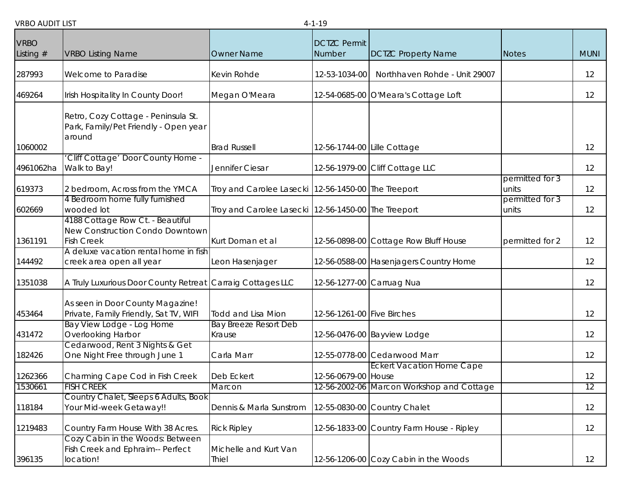| <b>VRBO</b> |                                                                                          |                                                     | <b>DCTZC Permit</b>         |                                           |                          |             |
|-------------|------------------------------------------------------------------------------------------|-----------------------------------------------------|-----------------------------|-------------------------------------------|--------------------------|-------------|
| Listing $#$ | <b>VRBO Listing Name</b>                                                                 | <b>Owner Name</b>                                   | Number                      | <b>DCTZC Property Name</b>                | <b>Notes</b>             | <b>MUNI</b> |
| 287993      | Welcome to Paradise                                                                      | Kevin Rohde                                         | 12-53-1034-00               | Northhaven Rohde - Unit 29007             |                          | 12          |
| 469264      | Irish Hospitality In County Door!                                                        | Megan O'Meara                                       |                             | 12-54-0685-00 O'Meara's Cottage Loft      |                          | 12          |
|             | Retro, Cozy Cottage - Peninsula St.<br>Park, Family/Pet Friendly - Open year<br>around   |                                                     |                             |                                           |                          |             |
| 1060002     |                                                                                          | <b>Brad Russell</b>                                 | 12-56-1744-00 Lille Cottage |                                           |                          | 12          |
| 4961062ha   | Cliff Cottage' Door County Home -<br>Walk to Bay!                                        | Jennifer Ciesar                                     |                             | 12-56-1979-00 Cliff Cottage LLC           |                          | 12          |
| 619373      | 2 bedroom, Across from the YMCA                                                          | Troy and Carolee Lasecki 12-56-1450-00 The Treeport |                             |                                           | permitted for 3<br>units | 12          |
| 602669      | 4 Bedroom home fully furnished<br>wooded lot                                             | Troy and Carolee Lasecki 12-56-1450-00 The Treeport |                             |                                           | permitted for 3<br>units | 12          |
| 1361191     | 4188 Cottage Row Ct. - Beautiful<br>New Construction Condo Downtown<br><b>Fish Creek</b> | Kurt Doman et al                                    |                             | 12-56-0898-00 Cottage Row Bluff House     | permitted for 2          | 12          |
| 144492      | A deluxe vacation rental home in fish<br>creek area open all year                        | Leon Hasenjager                                     |                             | 12-56-0588-00 Hasenjagers Country Home    |                          | 12          |
| 1351038     | A Truly Luxurious Door County Retreat Carraig Cottages LLC                               |                                                     |                             | 12-56-1277-00 Carruag Nua                 |                          | 12          |
| 453464      | As seen in Door County Magazine!<br>Private, Family Friendly, Sat TV, WIFI               | <b>Todd and Lisa Mion</b>                           | 12-56-1261-00 Five Birches  |                                           |                          | 12          |
| 431472      | Bay View Lodge - Log Home<br>Overlooking Harbor                                          | <b>Bay Breeze Resort Deb</b><br>Krause              |                             | 12-56-0476-00 Bayview Lodge               |                          | 12          |
| 182426      | Cedarwood, Rent 3 Nights & Get<br>One Night Free through June 1                          | Carla Marr                                          |                             | 12-55-0778-00 Cedarwood Marr              |                          | 12          |
| 1262366     | Charming Cape Cod in Fish Creek                                                          | Deb Eckert                                          | 12-56-0679-00 House         | <b>Eckert Vacation Home Cape</b>          |                          | 12          |
| 1530661     | FISH CREEK                                                                               | <b>Marcon</b>                                       |                             | 12-56-2002-06 Marcon Workshop and Cottage |                          | 12          |
| 118184      | Country Chalet, Sleeps 6 Adults, Book<br>Your Mid-week Getaway!!                         | Dennis & Marla Sunstrom                             |                             | 12-55-0830-00 Country Chalet              |                          | 12          |
| 1219483     | Country Farm House With 38 Acres.                                                        | <b>Rick Ripley</b>                                  |                             | 12-56-1833-00 Country Farm House - Ripley |                          | 12          |
| 396135      | Cozy Cabin in the Woods: Between<br>Fish Creek and Ephraim-- Perfect<br>location!        | Michelle and Kurt Van<br>Thiel                      |                             | 12-56-1206-00 Cozy Cabin in the Woods     |                          | 12          |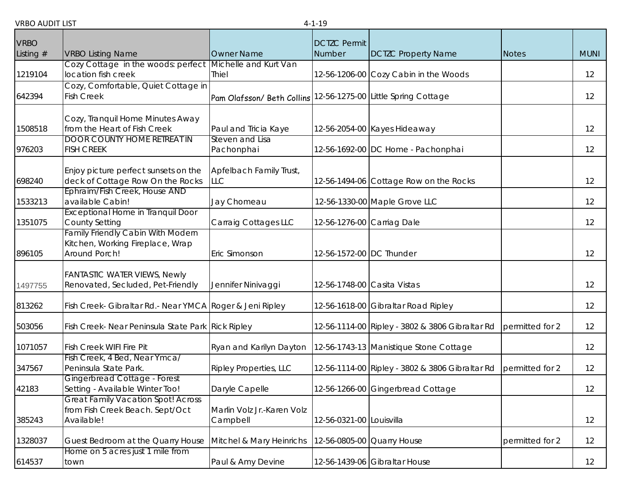| <b>VRBO</b> |                                                                                               |                                                                | <b>DCTZC Permit</b>        |                                                 |                 |             |
|-------------|-----------------------------------------------------------------------------------------------|----------------------------------------------------------------|----------------------------|-------------------------------------------------|-----------------|-------------|
| Listing $#$ | <b>VRBO Listing Name</b>                                                                      | <b>Owner Name</b>                                              | Number                     | <b>DCTZC Property Name</b>                      | <b>Notes</b>    | <b>MUNI</b> |
| 1219104     | Cozy Cottage in the woods: perfect Michelle and Kurt Van<br>location fish creek               | Thiel                                                          |                            | 12-56-1206-00 Cozy Cabin in the Woods           |                 | 12          |
| 642394      | Cozy, Comfortable, Quiet Cottage in<br><b>Fish Creek</b>                                      | Pam Olafsson/ Beth Collins 12-56-1275-00 Little Spring Cottage |                            |                                                 |                 | 12          |
| 1508518     | Cozy, Tranquil Home Minutes Away<br>from the Heart of Fish Creek                              | Paul and Tricia Kaye                                           |                            | 12-56-2054-00 Kayes Hideaway                    |                 | 12          |
| 976203      | <b>DOOR COUNTY HOME RETREAT IN</b><br><b>FISH CREEK</b>                                       | Steven and Lisa<br>Pachonphai                                  |                            | 12-56-1692-00 DC Home - Pachonphai              |                 | 12          |
| 698240      | Enjoy picture perfect sunsets on the<br>deck of Cottage Row On the Rocks                      | Apfelbach Family Trust,<br><b>LLC</b>                          |                            | 12-56-1494-06 Cottage Row on the Rocks          |                 | 12          |
| 1533213     | Ephraim/Fish Creek, House AND<br>available Cabin!                                             | Jay Chomeau                                                    |                            | 12-56-1330-00 Maple Grove LLC                   |                 | 12          |
| 1351075     | <b>Exceptional Home in Tranquil Door</b><br><b>County Setting</b>                             | Carraig Cottages LLC                                           | 12-56-1276-00 Carriag Dale |                                                 |                 | 12          |
| 896105      | <b>Family Friendly Cabin With Modern</b><br>Kitchen, Working Fireplace, Wrap<br>Around Porch! | Eric Simonson                                                  | 12-56-1572-00 DC Thunder   |                                                 |                 | 12          |
| 1497755     | <b>FANTASTIC WATER VIEWS, Newly</b><br>Renovated, Secluded, Pet-Friendly                      | Jennifer Ninivaggi                                             |                            | 12-56-1748-00 Casita Vistas                     |                 | 12          |
| 813262      | Fish Creek- Gibraltar Rd.- Near YMCA Roger & Jeni Ripley                                      |                                                                |                            | 12-56-1618-00 Gibraltar Road Ripley             |                 | 12          |
| 503056      | Fish Creek- Near Peninsula State Park Rick Ripley                                             |                                                                |                            | 12-56-1114-00 Ripley - 3802 & 3806 Gibraltar Rd | permitted for 2 | 12          |
| 1071057     | <b>Fish Creek WIFI Fire Pit</b>                                                               | Ryan and Karilyn Dayton                                        |                            | 12-56-1743-13 Manistique Stone Cottage          |                 | 12          |
| 347567      | Fish Creek, 4 Bed, Near Ymca/<br>Peninsula State Park.                                        | <b>Ripley Properties, LLC</b>                                  |                            | 12-56-1114-00 Ripley - 3802 & 3806 Gibraltar Rd | permitted for 2 | 12          |
| 42183       | Gingerbread Cottage - Forest<br>Setting - Available Winter Too!                               | Daryle Capelle                                                 |                            | 12-56-1266-00 Gingerbread Cottage               |                 | 12          |
| 385243      | <b>Great Family Vacation Spot! Across</b><br>from Fish Creek Beach. Sept/Oct<br>Available!    | Marlin Volz Jr.-Karen Volz<br>Campbell                         | 12-56-0321-00 Louisvilla   |                                                 |                 | 12          |
| 1328037     | Guest Bedroom at the Quarry House                                                             | Mitchel & Mary Heinrichs                                       |                            | 12-56-0805-00 Quarry House                      | permitted for 2 | 12          |
| 614537      | Home on 5 acres just 1 mile from<br>town                                                      | Paul & Amy Devine                                              |                            | 12-56-1439-06 Gibraltar House                   |                 | 12          |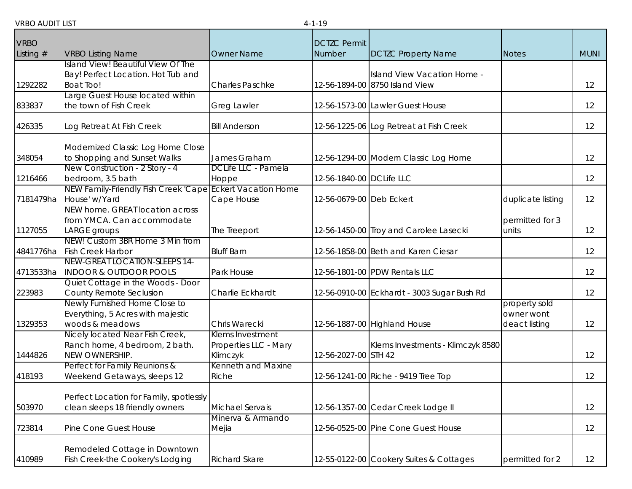| <b>VRBO</b> |                                                                   |                              | <b>DCTZC Permit</b>      |                                             |                             |             |
|-------------|-------------------------------------------------------------------|------------------------------|--------------------------|---------------------------------------------|-----------------------------|-------------|
| Listing $#$ | <b>VRBO Listing Name</b>                                          | <b>Owner Name</b>            | Number                   | <b>DCTZC Property Name</b>                  | <b>Notes</b>                | <b>MUNI</b> |
|             | Island View! Beautiful View Of The                                |                              |                          |                                             |                             |             |
|             | Bay! Perfect Location. Hot Tub and                                |                              |                          | Island View Vacation Home -                 |                             |             |
| 1292282     | <b>Boat Too!</b>                                                  | <b>Charles Paschke</b>       |                          | 12-56-1894-00 8750 Island View              |                             | 12          |
| 833837      | Large Guest House located within<br>the town of Fish Creek        | <b>Greg Lawler</b>           |                          | 12-56-1573-00 Lawler Guest House            |                             | 12          |
| 426335      | Log Retreat At Fish Creek                                         | <b>Bill Anderson</b>         |                          | 12-56-1225-06 Log Retreat at Fish Creek     |                             | 12          |
|             | Modernized Classic Log Home Close                                 |                              |                          |                                             |                             |             |
| 348054      | to Shopping and Sunset Walks                                      | James Graham                 |                          | 12-56-1294-00 Modern Classic Log Home       |                             | 12          |
| 1216466     | New Construction - 2 Story - 4<br>bedroom, 3.5 bath               | DCLife LLC - Pamela<br>Hoppe | 12-56-1840-00 DCLife LLC |                                             |                             | 12          |
|             | NEW Family-Friendly Fish Creek 'Cape Eckert Vacation Home         |                              |                          |                                             |                             |             |
| 7181479ha   | House' w/Yard                                                     | Cape House                   | 12-56-0679-00 Deb Eckert |                                             | duplicate listing           | 12          |
|             | NEW home. GREAT location across                                   |                              |                          |                                             |                             |             |
|             | from YMCA. Can accommodate                                        |                              |                          |                                             | permitted for 3             |             |
| 1127055     | LARGE groups                                                      | The Treeport                 |                          | 12-56-1450-00 Troy and Carolee Lasecki      | units                       | 12          |
| 4841776ha   | NEW! Custom 3BR Home 3 Min from<br><b>Fish Creek Harbor</b>       | <b>Bluff Barn</b>            |                          | 12-56-1858-00 Beth and Karen Ciesar         |                             | 12          |
|             | NEW-GREAT LOCATION-SLEEPS 14-                                     |                              |                          |                                             |                             |             |
| 4713533ha   | <b>INDOOR &amp; OUTDOOR POOLS</b>                                 | Park House                   |                          | 12-56-1801-00 PDW Rentals LLC               |                             | 12          |
|             | Quiet Cottage in the Woods - Door                                 |                              |                          |                                             |                             |             |
| 223983      | County Remote Seclusion                                           | Charlie Eckhardt             |                          | 12-56-0910-00 Eckhardt - 3003 Sugar Bush Rd |                             | 12          |
|             | Newly Furnished Home Close to                                     |                              |                          |                                             | property sold               |             |
| 1329353     | Everything, 5 Acres with majestic<br>woods & meadows              | Chris Warecki                |                          | 12-56-1887-00 Highland House                | owner wont<br>deact listing | 12          |
|             | Nicely located Near Fish Creek,                                   | Klems Investment             |                          |                                             |                             |             |
|             | Ranch home, 4 bedroom, 2 bath.                                    | Properties LLC - Mary        |                          | Klems Investments - Klimczyk 8580           |                             |             |
| 1444826     | NEW OWNERSHIP.                                                    | Klimczyk                     | 12-56-2027-00 STH 42     |                                             |                             | 12          |
|             | Perfect for Family Reunions &                                     | Kenneth and Maxine           |                          |                                             |                             |             |
| 418193      | Weekend Getaways, sleeps 12                                       | Riche                        |                          | 12-56-1241-00 Riche - 9419 Tree Top         |                             | 12          |
|             | Perfect Location for Family, spotlessly                           |                              |                          |                                             |                             |             |
| 503970      | clean sleeps 18 friendly owners                                   | Michael Servais              |                          | 12-56-1357-00 Cedar Creek Lodge II          |                             | 12          |
|             |                                                                   | Minerva & Armando            |                          |                                             |                             |             |
| 723814      | Pine Cone Guest House                                             | Mejia                        |                          | 12-56-0525-00 Pine Cone Guest House         |                             | 12          |
|             | Remodeled Cottage in Downtown<br>Fish Creek-the Cookery's Lodging |                              |                          | 12-55-0122-00 Cookery Suites & Cottages     |                             | 12          |
| 410989      |                                                                   | <b>Richard Skare</b>         |                          |                                             | permitted for 2             |             |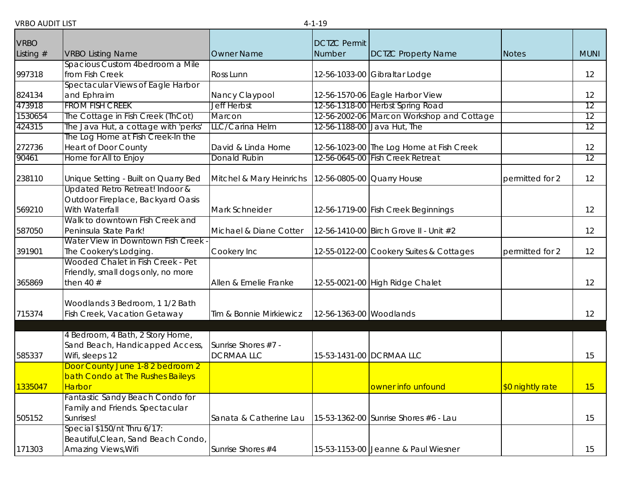| <b>VRBO</b> |                                                                                           |                                         | <b>DCTZC Permit</b>     |                                           |                  |             |
|-------------|-------------------------------------------------------------------------------------------|-----------------------------------------|-------------------------|-------------------------------------------|------------------|-------------|
| Listing $#$ | <b>VRBO Listing Name</b>                                                                  | Owner Name                              | Number                  | <b>DCTZC Property Name</b>                | <b>Notes</b>     | <b>MUNI</b> |
|             | Spacious Custom 4bedroom a Mile                                                           |                                         |                         |                                           |                  |             |
| 997318      | from Fish Creek                                                                           | Ross Lunn                               |                         | 12-56-1033-00 Gibraltar Lodge             |                  | 12          |
|             | Spectacular Views of Eagle Harbor                                                         |                                         |                         |                                           |                  |             |
| 824134      | and Ephraim                                                                               | Nancy Claypool                          |                         | 12-56-1570-06 Eagle Harbor View           |                  | 12          |
| 473918      | <b>FROM FISH CREEK</b>                                                                    | <b>Jeff Herbst</b>                      |                         | 12-56-1318-00 Herbst Spring Road          |                  | 12          |
| 1530654     | The Cottage in Fish Creek (ThCot)                                                         | Marcon                                  |                         | 12-56-2002-06 Marcon Workshop and Cottage |                  | 12          |
| 424315      | The Java Hut, a cottage with 'perks'                                                      | LLC/Carina Helm                         |                         | 12-56-1188-00 Java Hut, The               |                  | 12          |
|             | The Log Home at Fish Creek-In the                                                         |                                         |                         |                                           |                  |             |
| 272736      | <b>Heart of Door County</b>                                                               | David & Linda Horne                     |                         | 12-56-1023-00 The Log Home at Fish Creek  |                  | 12          |
| 90461       | Home for All to Enjoy                                                                     | Donald Rubin                            |                         | 12-56-0645-00 Fish Creek Retreat          |                  | 12          |
| 238110      | Unique Setting - Built on Quarry Bed                                                      | Mitchel & Mary Heinrichs                |                         | 12-56-0805-00 Quarry House                | permitted for 2  | 12          |
| 569210      | Updated Retro Retreat! Indoor &<br>Outdoor Fireplace, Backyard Oasis<br>With Waterfall    | Mark Schneider                          |                         | 12-56-1719-00 Fish Creek Beginnings       |                  | 12          |
|             | Walk to downtown Fish Creek and                                                           |                                         |                         |                                           |                  |             |
| 587050      | Peninsula State Park!                                                                     | Michael & Diane Cotter                  |                         | 12-56-1410-00 Birch Grove II - Unit #2    |                  | 12          |
| 391901      | Water View in Downtown Fish Creek<br>The Cookery's Lodging.                               | Cookery Inc                             |                         | 12-55-0122-00 Cookery Suites & Cottages   | permitted for 2  | 12          |
| 365869      | Wooded Chalet in Fish Creek - Pet<br>Friendly, small dogs only, no more<br>then 40 $#$    | Allen & Emelie Franke                   |                         | 12-55-0021-00 High Ridge Chalet           |                  | 12          |
|             | Woodlands 3 Bedroom, 1 1/2 Bath                                                           |                                         |                         |                                           |                  |             |
| 715374      | Fish Creek, Vacation Getaway                                                              | Tim & Bonnie Mirkiewicz                 | 12-56-1363-00 Woodlands |                                           |                  | 12          |
|             |                                                                                           |                                         |                         |                                           |                  |             |
| 585337      | 4 Bedroom, 4 Bath, 2 Story Home,<br>Sand Beach, Handicapped Access,<br>Wifi, sleeps 12    | Sunrise Shores #7 -<br><b>DCRMAALLC</b> |                         | 15-53-1431-00 DCRMAA LLC                  |                  | 15          |
|             | Door County June 1-8 2 bedroom 2<br>bath Condo at The Rushes Baileys                      |                                         |                         |                                           |                  |             |
| 1335047     | <b>Harbor</b>                                                                             |                                         |                         | owner info unfound                        | \$0 nightly rate | <u> 15</u>  |
|             | Fantastic Sandy Beach Condo for                                                           |                                         |                         |                                           |                  |             |
|             | Family and Friends. Spectacular                                                           |                                         |                         |                                           |                  |             |
| 505152      | Sunrises!                                                                                 | Sanata & Catherine Lau                  |                         | 15-53-1362-00 Sunrise Shores #6 - Lau     |                  | 15          |
| 171303      | Special \$150/nt Thru 6/17:<br>Beautiful, Clean, Sand Beach Condo,<br>Amazing Views, Wifi | Sunrise Shores #4                       |                         | 15-53-1153-00 Jeanne & Paul Wiesner       |                  | 15          |
|             |                                                                                           |                                         |                         |                                           |                  |             |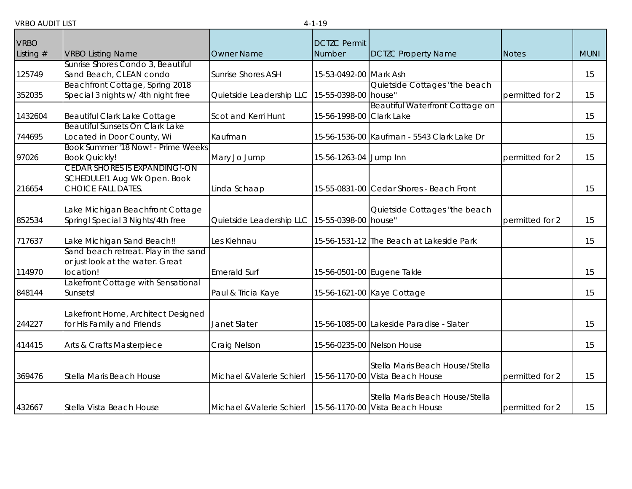| <b>VRBO</b> |                                                            |                                               | <b>DCTZC Permit</b>      |                                            |                 |             |
|-------------|------------------------------------------------------------|-----------------------------------------------|--------------------------|--------------------------------------------|-----------------|-------------|
| Listing #   | <b>VRBO Listing Name</b>                                   | <b>Owner Name</b>                             | Number                   | <b>DCTZC Property Name</b>                 | <b>Notes</b>    | <b>MUNI</b> |
|             | Sunrise Shores Condo 3, Beautiful                          |                                               |                          |                                            |                 |             |
| 125749      | Sand Beach, CLEAN condo                                    | <b>Sunrise Shores ASH</b>                     | 15-53-0492-00 Mark Ash   |                                            |                 | 15          |
|             | Beachfront Cottage, Spring 2018                            |                                               |                          | Quietside Cottages "the beach              |                 |             |
| 352035      | Special 3 nights w/ 4th night free                         | Quietside Leadership LLC                      | 15-55-0398-00 house"     |                                            | permitted for 2 | 15          |
| 1432604     | Beautiful Clark Lake Cottage                               | Scot and Kerri Hunt                           | 15-56-1998-00 Clark Lake | Beautiful Waterfront Cottage on            |                 | 15          |
|             | Beautiful Sunsets On Clark Lake                            |                                               |                          |                                            |                 |             |
| 744695      | Located in Door County, Wi                                 | Kaufman                                       |                          | 15-56-1536-00 Kaufman - 5543 Clark Lake Dr |                 | 15          |
| 97026       | Book Summer '18 Now! - Prime Weeks<br><b>Book Quickly!</b> | Mary Jo Jump                                  | 15-56-1263-04 Jump Inn   |                                            | permitted for 2 | 15          |
|             | <b>CEDAR SHORES IS EXPANDING!-ON</b>                       |                                               |                          |                                            |                 |             |
|             | SCHEDULE!1 Aug Wk Open. Book                               |                                               |                          |                                            |                 |             |
| 216654      | <b>CHOICE FALL DATES.</b>                                  | Linda Schaap                                  |                          | 15-55-0831-00 Cedar Shores - Beach Front   |                 | 15          |
|             |                                                            |                                               |                          |                                            |                 |             |
|             | Lake Michigan Beachfront Cottage                           |                                               |                          | Quietside Cottages "the beach              |                 |             |
| 852534      | Springl Special 3 Nights/4th free                          | Quietside Leadership LLC 15-55-0398-00 house" |                          |                                            | permitted for 2 | 15          |
| 717637      | Lake Michigan Sand Beach!!                                 | Les Kiehnau                                   |                          | 15-56-1531-12 The Beach at Lakeside Park   |                 | 15          |
|             | Sand beach retreat. Play in the sand                       |                                               |                          |                                            |                 |             |
|             | or just look at the water. Great                           |                                               |                          |                                            |                 |             |
| 114970      | location!                                                  | <b>Emerald Surf</b>                           |                          | 15-56-0501-00 Eugene Takle                 |                 | 15          |
| 848144      | Lakefront Cottage with Sensational<br>Sunsets!             | Paul & Tricia Kaye                            |                          | 15-56-1621-00 Kaye Cottage                 |                 | 15          |
|             |                                                            |                                               |                          |                                            |                 |             |
|             | Lakefront Home, Architect Designed                         |                                               |                          |                                            |                 |             |
| 244227      | for His Family and Friends                                 | Janet Slater                                  |                          | 15-56-1085-00 Lakeside Paradise - Slater   |                 | 15          |
| 414415      | Arts & Crafts Masterpiece                                  | Craig Nelson                                  |                          | 15-56-0235-00 Nelson House                 |                 | 15          |
|             |                                                            |                                               |                          |                                            |                 |             |
|             |                                                            |                                               |                          | Stella Maris Beach House/Stella            |                 |             |
| 369476      | Stella Maris Beach House                                   | Michael & Valerie Schierl                     |                          | 15-56-1170-00 Vista Beach House            | permitted for 2 | 15          |
|             |                                                            |                                               |                          | Stella Maris Beach House/Stella            |                 |             |
| 432667      | Stella Vista Beach House                                   | Michael & Valerie Schierl                     |                          | 15-56-1170-00 Vista Beach House            | permitted for 2 | 15          |
|             |                                                            |                                               |                          |                                            |                 |             |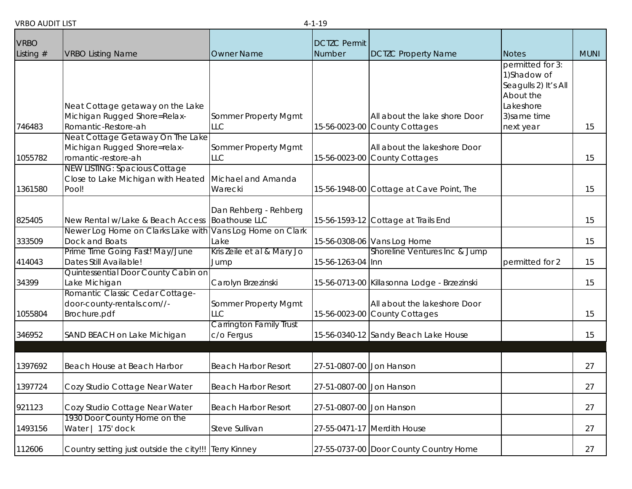| ונוויוטח טעוו         |                                                                                                                     |                                                         | ┭╌⊥╌⊥◡                        |                                                                                              |                                                                                                                                |             |
|-----------------------|---------------------------------------------------------------------------------------------------------------------|---------------------------------------------------------|-------------------------------|----------------------------------------------------------------------------------------------|--------------------------------------------------------------------------------------------------------------------------------|-------------|
| <b>VRBO</b>           |                                                                                                                     |                                                         | <b>DCTZC Permit</b><br>Number |                                                                                              |                                                                                                                                | <b>MUNI</b> |
| Listing $#$<br>746483 | <b>VRBO Listing Name</b><br>Neat Cottage getaway on the Lake<br>Michigan Rugged Shore=Relax-<br>Romantic-Restore-ah | <b>Owner Name</b><br>Sommer Property Mgmt<br><b>LLC</b> |                               | <b>DCTZC Property Name</b><br>All about the lake shore Door<br>15-56-0023-00 County Cottages | <b>Notes</b><br>permitted for 3:<br>1)Shadow of<br>Seagulls 2) It's All<br>About the<br>Lakeshore<br>3) same time<br>next year | 15          |
| 1055782               | Neat Cottage Getaway On The Lake<br>Michigan Rugged Shore=relax-<br>romantic-restore-ah                             | Sommer Property Mgmt<br><b>LLC</b>                      |                               | All about the lakeshore Door<br>15-56-0023-00 County Cottages                                |                                                                                                                                | 15          |
| 1361580               | <b>NEW LISTING: Spacious Cottage</b><br>Close to Lake Michigan with Heated<br>Pool!                                 | Michael and Amanda<br>Warecki                           |                               | 15-56-1948-00 Cottage at Cave Point, The                                                     |                                                                                                                                | 15          |
| 825405                | New Rental w/Lake & Beach Access                                                                                    | Dan Rehberg - Rehberg<br><b>Boathouse LLC</b>           |                               | 15-56-1593-12 Cottage at Trails End                                                          |                                                                                                                                | 15          |
| 333509                | Newer Log Home on Clarks Lake with<br>Dock and Boats                                                                | Vans Log Home on Clark<br>Lake                          |                               | 15-56-0308-06 Vans Log Home                                                                  |                                                                                                                                | 15          |
| 414043                | Prime Time Going Fast! May/June<br>Dates Still Available!                                                           | Kris Zeile et al & Mary Jo<br>Jump                      | 15-56-1263-04 Inn             | Shoreline Ventures Inc & Jump                                                                | permitted for 2                                                                                                                | 15          |
| 34399                 | Quintessential Door County Cabin on<br>Lake Michigan                                                                | Carolyn Brzezinski                                      |                               | 15-56-0713-00 Killasonna Lodge - Brzezinski                                                  |                                                                                                                                | 15          |
| 1055804               | Romantic Classic Cedar Cottage-<br>door-county-rentals.com//-<br>Brochure.pdf                                       | Sommer Property Mgmt<br>LLC                             |                               | All about the lakeshore Door<br>15-56-0023-00 County Cottages                                |                                                                                                                                | 15          |
| 346952                | SAND BEACH on Lake Michigan                                                                                         | <b>Carrington Family Trust</b><br>c/o Fergus            |                               | 15-56-0340-12 Sandy Beach Lake House                                                         |                                                                                                                                | 15          |
| 1397692               | Beach House at Beach Harbor                                                                                         | <b>Beach Harbor Resort</b>                              | 27-51-0807-00 Jon Hanson      |                                                                                              |                                                                                                                                | 27          |
| 1397724               | Cozy Studio Cottage Near Water                                                                                      | <b>Beach Harbor Resort</b>                              | 27-51-0807-00 Jon Hanson      |                                                                                              |                                                                                                                                | 27          |
| 921123                | Cozy Studio Cottage Near Water                                                                                      | <b>Beach Harbor Resort</b>                              | 27-51-0807-00 Jon Hanson      |                                                                                              |                                                                                                                                | 27          |
| 1493156               | 1930 Door County Home on the<br>Water   175' dock                                                                   | Steve Sullivan                                          |                               | 27-55-0471-17 Merdith House                                                                  |                                                                                                                                | 27          |
| 112606                | Country setting just outside the city!!! Terry Kinney                                                               |                                                         |                               | 27-55-0737-00 Door County Country Home                                                       |                                                                                                                                | 27          |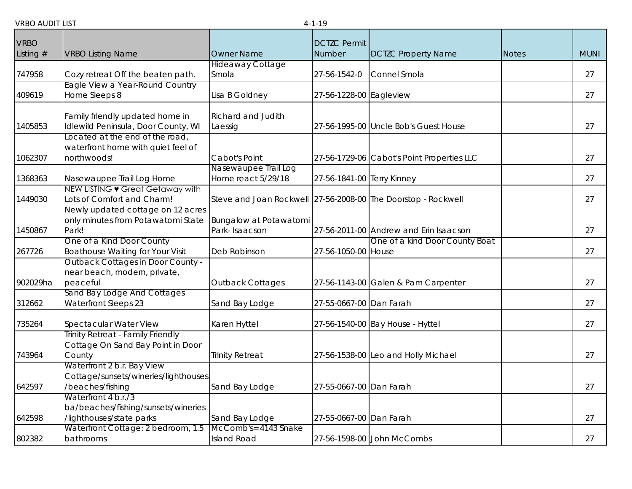| <b>VRBO</b> |                                                                    |                                                               | <b>DCTZC Permit</b>        |                                            |              |             |
|-------------|--------------------------------------------------------------------|---------------------------------------------------------------|----------------------------|--------------------------------------------|--------------|-------------|
| Listing $#$ | <b>VRBO Listing Name</b>                                           | <b>Owner Name</b>                                             | Number                     | <b>DCTZC Property Name</b>                 | <b>Notes</b> | <b>MUNI</b> |
|             |                                                                    | <b>Hideaway Cottage</b>                                       |                            |                                            |              |             |
| 747958      | Cozy retreat Off the beaten path.                                  | Smola                                                         | 27-56-1542-0               | Connel Smola                               |              | 27          |
|             | Eagle View a Year-Round Country                                    |                                                               |                            |                                            |              |             |
| 409619      | Home Sleeps 8                                                      | Lisa B Goldney                                                | 27-56-1228-00 Eagleview    |                                            |              | 27          |
|             |                                                                    |                                                               |                            |                                            |              |             |
|             | Family friendly updated home in                                    | <b>Richard and Judith</b>                                     |                            |                                            |              |             |
| 1405853     | Idlewild Peninsula, Door County, WI                                | Laessig                                                       |                            | 27-56-1995-00 Uncle Bob's Guest House      |              | 27          |
|             | Located at the end of the road,                                    |                                                               |                            |                                            |              |             |
|             | waterfront home with quiet feel of                                 |                                                               |                            |                                            |              |             |
| 1062307     | northwoods!                                                        | Cabot's Point                                                 |                            | 27-56-1729-06 Cabot's Point Properties LLC |              | 27          |
|             |                                                                    | Nasewaupee Trail Log                                          |                            |                                            |              |             |
| 1368363     | Nasewaupee Trail Log Home                                          | Home react 5/29/18                                            | 27-56-1841-00 Terry Kinney |                                            |              | 27          |
| 1449030     | NEW LISTING • Great Getaway with<br>Lots of Comfort and Charm!     | Steve and Joan Rockwell 27-56-2008-00 The Doorstop - Rockwell |                            |                                            |              | 27          |
|             | Newly updated cottage on 12 acres                                  |                                                               |                            |                                            |              |             |
|             | only minutes from Potawatomi State                                 | Bungalow at Potawatomi                                        |                            |                                            |              |             |
| 1450867     | Park!                                                              | Park-Isaacson                                                 |                            | 27-56-2011-00 Andrew and Erin Isaacson     |              | 27          |
|             | One of a Kind Door County                                          |                                                               |                            | One of a kind Door County Boat             |              |             |
| 267726      | <b>Boathouse Waiting for Your Visit</b>                            | Deb Robinson                                                  | 27-56-1050-00 House        |                                            |              | 27          |
|             | <b>Outback Cottages in Door County -</b>                           |                                                               |                            |                                            |              |             |
|             | near beach, modern, private,                                       |                                                               |                            |                                            |              |             |
| 902029ha    | peaceful                                                           | <b>Outback Cottages</b>                                       |                            | 27-56-1143-00 Galen & Pam Carpenter        |              | 27          |
|             | Sand Bay Lodge And Cottages                                        |                                                               |                            |                                            |              |             |
| 312662      | <b>Waterfront Sleeps 23</b>                                        | Sand Bay Lodge                                                | 27-55-0667-00 Dan Farah    |                                            |              | 27          |
|             |                                                                    |                                                               |                            |                                            |              |             |
| 735264      | Spectacular Water View                                             | Karen Hyttel                                                  |                            | 27-56-1540-00 Bay House - Hyttel           |              | 27          |
|             | Trinity Retreat - Family Friendly                                  |                                                               |                            |                                            |              |             |
|             | Cottage On Sand Bay Point in Door                                  |                                                               |                            |                                            |              |             |
| 743964      | County                                                             | <b>Trinity Retreat</b>                                        |                            | 27-56-1538-00 Leo and Holly Michael        |              | 27          |
|             | Waterfront 2 b.r. Bay View<br>Cottage/sunsets/wineries/lighthouses |                                                               |                            |                                            |              |             |
| 642597      | /beaches/fishing                                                   | Sand Bay Lodge                                                | 27-55-0667-00 Dan Farah    |                                            |              | 27          |
|             | Waterfront 4 b.r./3                                                |                                                               |                            |                                            |              |             |
|             | ba/beaches/fishing/sunsets/wineries                                |                                                               |                            |                                            |              |             |
| 642598      | /lighthouses/state parks                                           | Sand Bay Lodge                                                | 27-55-0667-00 Dan Farah    |                                            |              | 27          |
|             | Waterfront Cottage: 2 bedroom, 1.5                                 | McComb's= 4143 Snake                                          |                            |                                            |              |             |
| 802382      | bathrooms                                                          | <b>Island Road</b>                                            |                            | 27-56-1598-00 John McCombs                 |              | 27          |
|             |                                                                    |                                                               |                            |                                            |              |             |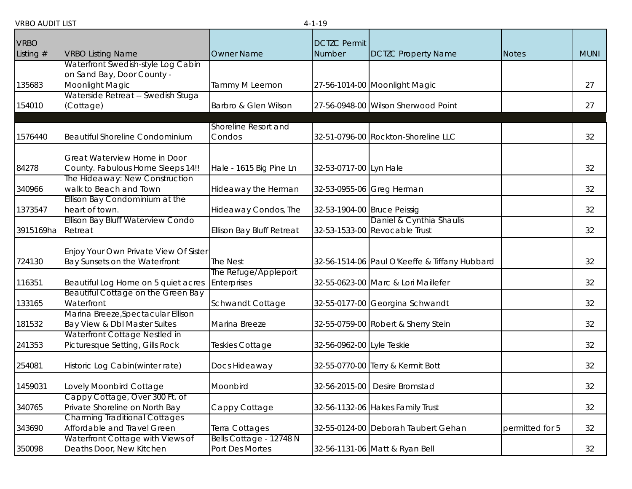| <b>VRBO</b> |                                                                 |                                            | <b>DCTZC Permit</b>         |                                                           |                 |             |
|-------------|-----------------------------------------------------------------|--------------------------------------------|-----------------------------|-----------------------------------------------------------|-----------------|-------------|
| Listing $#$ | <b>VRBO Listing Name</b>                                        | <b>Owner Name</b>                          | Number                      | <b>DCTZC Property Name</b>                                | <b>Notes</b>    | <b>MUNI</b> |
|             | Waterfront Swedish-style Log Cabin                              |                                            |                             |                                                           |                 |             |
|             | on Sand Bay, Door County -                                      |                                            |                             |                                                           |                 |             |
| 135683      | Moonlight Magic                                                 | Tammy M Leemon                             |                             | 27-56-1014-00 Moonlight Magic                             |                 | 27          |
|             | Waterside Retreat -- Swedish Stuga                              |                                            |                             |                                                           |                 |             |
| 154010      | (Cottage)                                                       | Barbro & Glen Wilson                       |                             | 27-56-0948-00 Wilson Sherwood Point                       |                 | 27          |
|             |                                                                 |                                            |                             |                                                           |                 |             |
| 1576440     | <b>Beautiful Shoreline Condominium</b>                          | Shoreline Resort and<br>Condos             |                             | 32-51-0796-00 Rockton-Shoreline LLC                       |                 | 32          |
|             |                                                                 |                                            |                             |                                                           |                 |             |
|             | Great Waterview Home in Door                                    |                                            |                             |                                                           |                 |             |
| 84278       | County. Fabulous Home Sleeps 14!!                               | Hale - 1615 Big Pine Ln                    | 32-53-0717-00 Lyn Hale      |                                                           |                 | 32          |
|             | The Hideaway: New Construction                                  |                                            |                             |                                                           |                 |             |
| 340966      | walk to Beach and Town                                          | Hideaway the Herman                        |                             | 32-53-0955-06 Greg Herman                                 |                 | 32          |
|             | Ellison Bay Condominium at the                                  |                                            |                             |                                                           |                 |             |
| 1373547     | heart of town.                                                  | Hideaway Condos, The                       | 32-53-1904-00 Bruce Peissig |                                                           |                 | 32          |
| 3915169ha   | Ellison Bay Bluff Waterview Condo<br>Retreat                    |                                            |                             | Daniel & Cynthia Shaulis<br>32-53-1533-00 Revocable Trust |                 | 32          |
|             |                                                                 | <b>Ellison Bay Bluff Retreat</b>           |                             |                                                           |                 |             |
|             | Enjoy Your Own Private View Of Sister                           |                                            |                             |                                                           |                 |             |
| 724130      | Bay Sunsets on the Waterfront                                   | The Nest                                   |                             | 32-56-1514-06 Paul O'Keeffe & Tiffany Hubbard             |                 | 32          |
|             |                                                                 | The Refuge/Appleport                       |                             |                                                           |                 |             |
| 116351      | Beautiful Log Home on 5 quiet acres                             | Enterprises                                |                             | 32-55-0623-00 Marc & Lori Maillefer                       |                 | 32          |
|             | Beautiful Cottage on the Green Bay                              |                                            |                             |                                                           |                 |             |
| 133165      | Waterfront                                                      | Schwandt Cottage                           |                             | 32-55-0177-00 Georgina Schwandt                           |                 | 32          |
|             | Marina Breeze, Spectacular Ellison                              |                                            |                             |                                                           |                 |             |
| 181532      | Bay View & Dbl Master Suites<br>Waterfront Cottage Nestled in   | Marina Breeze                              |                             | 32-55-0759-00 Robert & Sherry Stein                       |                 | 32          |
| 241353      | Picturesque Setting, Gills Rock                                 | Teskies Cottage                            | 32-56-0962-00 Lyle Teskie   |                                                           |                 | 32          |
|             |                                                                 |                                            |                             |                                                           |                 |             |
| 254081      | Historic Log Cabin(winter rate)                                 | Docs Hideaway                              |                             | 32-55-0770-00 Terry & Kermit Bott                         |                 | 32          |
|             |                                                                 |                                            |                             |                                                           |                 |             |
| 1459031     | Lovely Moonbird Cottage                                         | Moonbird                                   |                             | 32-56-2015-00 Desire Bromstad                             |                 | 32          |
|             | Cappy Cottage, Over 300 Ft. of                                  |                                            |                             |                                                           |                 |             |
| 340765      | Private Shoreline on North Bay                                  | Cappy Cottage                              |                             | 32-56-1132-06 Hakes Family Trust                          |                 | 32          |
|             | <b>Charming Traditional Cottages</b>                            |                                            |                             |                                                           |                 |             |
| 343690      | Affordable and Travel Green<br>Waterfront Cottage with Views of | Terra Cottages                             |                             | 32-55-0124-00 Deborah Taubert Gehan                       | permitted for 5 | 32          |
| 350098      | Deaths Door, New Kitchen                                        | Bells Cottage - 12748 N<br>Port Des Mortes |                             | 32-56-1131-06 Matt & Ryan Bell                            |                 | 32          |
|             |                                                                 |                                            |                             |                                                           |                 |             |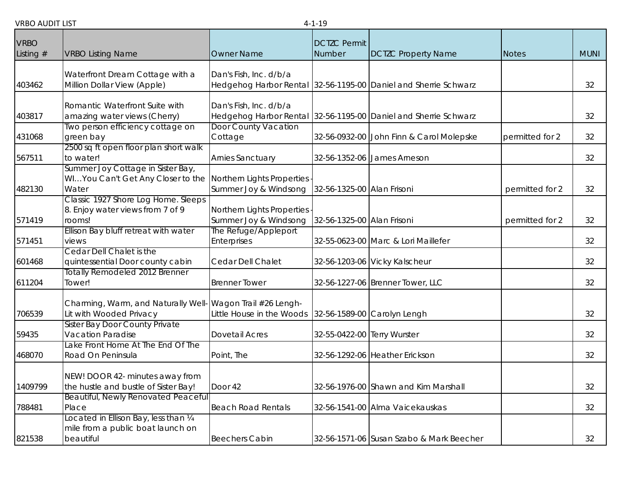|                            |                                                                                                            |                                                     | .                             |                                                                 |                 |             |
|----------------------------|------------------------------------------------------------------------------------------------------------|-----------------------------------------------------|-------------------------------|-----------------------------------------------------------------|-----------------|-------------|
| <b>VRBO</b><br>Listing $#$ | <b>VRBO Listing Name</b>                                                                                   | <b>Owner Name</b>                                   | <b>DCTZC Permit</b><br>Number | <b>DCTZC Property Name</b>                                      | <b>Notes</b>    | <b>MUNI</b> |
| 403462                     | Waterfront Dream Cottage with a<br>Million Dollar View (Apple)                                             | Dan's Fish, Inc. d/b/a                              |                               | Hedgehog Harbor Rental 32-56-1195-00 Daniel and Sherrie Schwarz |                 | 32          |
| 403817                     | Romantic Waterfront Suite with<br>amazing water views (Cherry)                                             | Dan's Fish, Inc. d/b/a                              |                               | Hedgehog Harbor Rental 32-56-1195-00 Daniel and Sherrie Schwarz |                 | 32          |
| 431068                     | Two person efficiency cottage on<br>green bay                                                              | Door County Vacation<br>Cottage                     |                               | 32-56-0932-00 John Finn & Carol Molepske                        | permitted for 2 | 32          |
| 567511                     | 2500 sq ft open floor plan short walk<br>to water!                                                         | <b>Arnies Sanctuary</b>                             |                               | 32-56-1352-06 James Arneson                                     |                 | 32          |
| 482130                     | Summer Joy Cottage in Sister Bay,<br>WIYou Can't Get Any Closer to the Northern Lights Properties<br>Water | Summer Joy & Windsong                               | 32-56-1325-00 Alan Frisoni    |                                                                 | permitted for 2 | 32          |
| 571419                     | Classic 1927 Shore Log Home. Sleeps<br>8. Enjoy water views from 7 of 9<br>rooms!                          | Northern Lights Properties<br>Summer Joy & Windsong | 32-56-1325-00 Alan Frisoni    |                                                                 | permitted for 2 | 32          |
| 571451                     | Ellison Bay bluff retreat with water<br>views                                                              | The Refuge/Appleport<br>Enterprises                 |                               | 32-55-0623-00 Marc & Lori Maillefer                             |                 | 32          |
| 601468                     | Cedar Dell Chalet is the<br>quintessential Door county cabin                                               | Cedar Dell Chalet                                   |                               | 32-56-1203-06 Vicky Kalscheur                                   |                 | 32          |
| 611204                     | <b>Totally Remodeled 2012 Brenner</b><br>Tower!                                                            | <b>Brenner Tower</b>                                |                               | 32-56-1227-06 Brenner Tower, LLC                                |                 | 32          |
| 706539                     | Charming, Warm, and Naturally Well- Wagon Trail #26 Lengh-<br>Lit with Wooded Privacy                      | Little House in the Woods                           |                               | 32-56-1589-00 Carolyn Lengh                                     |                 | 32          |
| 59435                      | Sister Bay Door County Private<br><b>Vacation Paradise</b>                                                 | Dovetail Acres                                      | 32-55-0422-00 Terry Wurster   |                                                                 |                 | 32          |
| 468070                     | Lake Front Home At The End Of The<br>Road On Peninsula                                                     | Point, The                                          |                               | 32-56-1292-06 Heather Erickson                                  |                 | 32          |
| 1409799                    | NEW! DOOR 42- minutes away from<br>the hustle and bustle of Sister Bay!                                    | Door 42                                             |                               | 32-56-1976-00 Shawn and Kim Marshall                            |                 | 32          |
| 788481                     | Beautiful, Newly Renovated Peaceful<br>Place                                                               | <b>Beach Road Rentals</b>                           |                               | 32-56-1541-00 Alma Vaicekauskas                                 |                 | 32          |
| 821538                     | Located in Ellison Bay, less than 1/4<br>mile from a public boat launch on<br>beautiful                    | <b>Beechers Cabin</b>                               |                               | 32-56-1571-06 Susan Szabo & Mark Beecher                        |                 | 32          |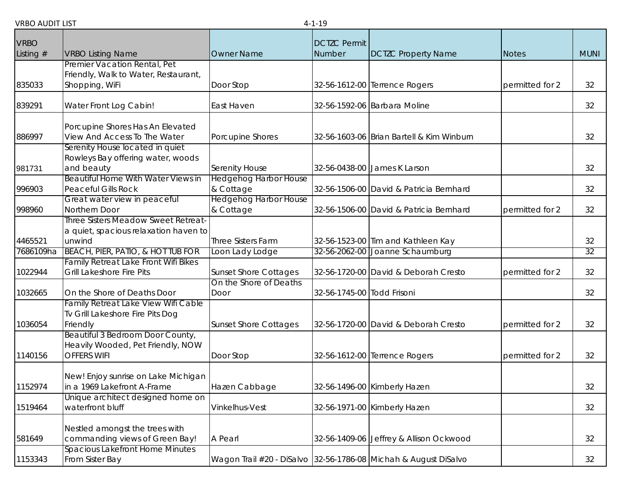| <b>VRBO</b> |                                                                                             |                                           | <b>DCTZC Permit</b>        |                                                                 |                 |             |
|-------------|---------------------------------------------------------------------------------------------|-------------------------------------------|----------------------------|-----------------------------------------------------------------|-----------------|-------------|
| Listing $#$ | <b>VRBO Listing Name</b>                                                                    | <b>Owner Name</b>                         | Number                     | <b>DCTZC Property Name</b>                                      | <b>Notes</b>    | <b>MUNI</b> |
| 835033      | Premier Vacation Rental, Pet<br>Friendly, Walk to Water, Restaurant,<br>Shopping, WiFi      | Door Stop                                 |                            | 32-56-1612-00 Terrence Rogers                                   | permitted for 2 | 32          |
| 839291      | Water Front Log Cabin!                                                                      | East Haven                                |                            | 32-56-1592-06 Barbara Moline                                    |                 | 32          |
| 886997      | Porcupine Shores Has An Elevated<br>View And Access To The Water                            | Porcupine Shores                          |                            | 32-56-1603-06 Brian Bartell & Kim Winburn                       |                 | 32          |
| 981731      | Serenity House located in quiet<br>Rowleys Bay offering water, woods<br>and beauty          | Serenity House                            |                            | 32-56-0438-00 James K Larson                                    |                 | 32          |
| 996903      | Beautiful Home With Water Views in<br><b>Peaceful Gills Rock</b>                            | <b>Hedgehog Harbor House</b><br>& Cottage |                            | 32-56-1506-00 David & Patricia Bernhard                         |                 | 32          |
| 998960      | Great water view in peaceful<br>Northern Door                                               | <b>Hedgehog Harbor House</b><br>& Cottage |                            | 32-56-1506-00 David & Patricia Bernhard                         | permitted for 2 | 32          |
|             | Three Sisters Meadow Sweet Retreat-<br>a quiet, spacious relaxation haven to                |                                           |                            |                                                                 |                 |             |
| 4465521     | unwind                                                                                      | Three Sisters Farm                        |                            | 32-56-1523-00 Tim and Kathleen Kay                              |                 | 32          |
| 7686109ha   | BEACH, PIER, PATIO, & HOT TUB FOR                                                           | Loon Lady Lodge                           |                            | 32-56-2062-00 Joanne Schaumburg                                 |                 | 32          |
| 1022944     | Family Retreat Lake Front Wifi Bikes<br>Grill Lakeshore Fire Pits                           | <b>Sunset Shore Cottages</b>              |                            | 32-56-1720-00 David & Deborah Cresto                            | permitted for 2 | 32          |
| 1032665     | On the Shore of Deaths Door                                                                 | On the Shore of Deaths<br>Door            | 32-56-1745-00 Todd Frisoni |                                                                 |                 | 32          |
| 1036054     | Family Retreat Lake View Wifi Cable<br>Tv Grill Lakeshore Fire Pits Dog<br>Friendly         | <b>Sunset Shore Cottages</b>              |                            | 32-56-1720-00 David & Deborah Cresto                            | permitted for 2 | 32          |
| 1140156     | Beautiful 3 Bedroom Door County,<br>Heavily Wooded, Pet Friendly, NOW<br><b>OFFERS WIFI</b> | Door Stop                                 |                            | 32-56-1612-00 Terrence Rogers                                   | permitted for 2 | 32          |
| 1152974     | New! Enjoy sunrise on Lake Michigan<br>in a 1969 Lakefront A-Frame                          | Hazen Cabbage                             |                            | 32-56-1496-00 Kimberly Hazen                                    |                 | 32          |
| 1519464     | Unique architect designed home on<br>waterfront bluff                                       | Vinkelhus-Vest                            |                            | 32-56-1971-00 Kimberly Hazen                                    |                 | 32          |
| 581649      | Nestled amongst the trees with<br>commanding views of Green Bay!                            | A Pearl                                   |                            | 32-56-1409-06 Jeffrey & Allison Ockwood                         |                 | 32          |
| 1153343     | Spacious Lakefront Home Minutes<br>From Sister Bay                                          |                                           |                            | Wagon Trail #20 - DiSalvo 32-56-1786-08 Michah & August DiSalvo |                 | 32          |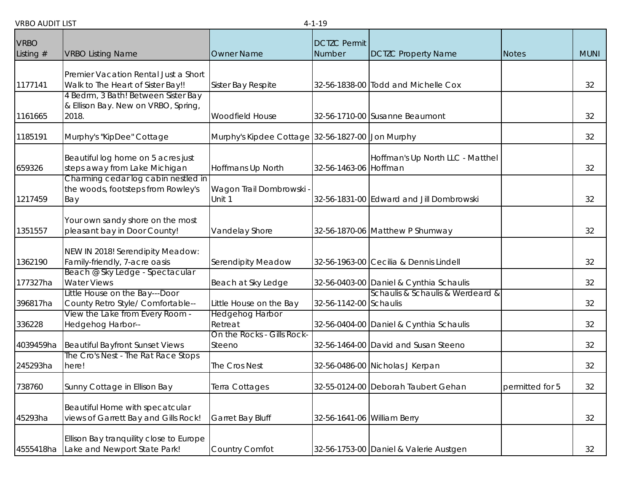| <b>VRBO</b> |                                                                          |                                                   | <b>DCTZC Permit</b>         |                                          |                 |             |
|-------------|--------------------------------------------------------------------------|---------------------------------------------------|-----------------------------|------------------------------------------|-----------------|-------------|
| Listing $#$ | <b>VRBO Listing Name</b>                                                 | <b>Owner Name</b>                                 | Number                      | <b>DCTZC Property Name</b>               | <b>Notes</b>    | <b>MUNI</b> |
|             |                                                                          |                                                   |                             |                                          |                 |             |
|             | Premier Vacation Rental Just a Short                                     |                                                   |                             |                                          |                 |             |
| 1177141     | Walk to The Heart of Sister Bay!!<br>4 Bedrm, 3 Bath! Between Sister Bay | Sister Bay Respite                                |                             | 32-56-1838-00 Todd and Michelle Cox      |                 | 32          |
|             | & Ellison Bay. New on VRBO, Spring,                                      |                                                   |                             |                                          |                 |             |
| 1161665     | 2018.                                                                    | <b>Woodfield House</b>                            |                             | 32-56-1710-00 Susanne Beaumont           |                 | 32          |
| 1185191     | Murphy's "KipDee" Cottage                                                | Murphy's Kipdee Cottage 32-56-1827-00 Jon Murphy  |                             |                                          |                 | 32          |
|             |                                                                          |                                                   |                             |                                          |                 |             |
| 659326      | Beautiful log home on 5 acres just<br>steps away from Lake Michigan      | Hoffmans Up North                                 | 32-56-1463-06 Hoffman       | Hoffman's Up North LLC - Matthel         |                 | 32          |
|             | Charming cedar log cabin nestled in                                      |                                                   |                             |                                          |                 |             |
|             | the woods, footsteps from Rowley's                                       | Wagon Trail Dombrowski -                          |                             | 32-56-1831-00 Edward and Jill Dombrowski |                 |             |
| 1217459     | Bay                                                                      | Unit 1                                            |                             |                                          |                 | 32          |
|             | Your own sandy shore on the most                                         |                                                   |                             |                                          |                 |             |
| 1351557     | pleasant bay in Door County!                                             | Vandelay Shore                                    |                             | 32-56-1870-06 Matthew P Shumway          |                 | 32          |
|             | NEW IN 2018! Serendipity Meadow:                                         |                                                   |                             |                                          |                 |             |
| 1362190     | Family-friendly, 7-acre oasis                                            | <b>Serendipity Meadow</b>                         |                             | 32-56-1963-00 Cecilia & Dennis Lindell   |                 | 32          |
|             | Beach @ Sky Ledge - Spectacular                                          |                                                   |                             |                                          |                 |             |
| 177327ha    | <b>Water Views</b>                                                       | Beach at Sky Ledge                                |                             | 32-56-0403-00 Daniel & Cynthia Schaulis  |                 | 32          |
|             | Little House on the Bay---Door                                           |                                                   |                             | Schaulis & Schaulis & Werdeard &         |                 |             |
| 396817ha    | County Retro Style/ Comfortable--<br>View the Lake from Every Room -     | Little House on the Bay<br><b>Hedgehog Harbor</b> | 32-56-1142-00 Schaulis      |                                          |                 | 32          |
| 336228      | Hedgehog Harbor--                                                        | Retreat                                           |                             | 32-56-0404-00 Daniel & Cynthia Schaulis  |                 | 32          |
|             |                                                                          | On the Rocks - Gills Rock-                        |                             |                                          |                 |             |
| 4039459ha   | <b>Beautiful Bayfront Sunset Views</b>                                   | Steeno                                            |                             | 32-56-1464-00 David and Susan Steeno     |                 | 32          |
| 245293ha    | The Cro's Nest - The Rat Race Stops<br>here!                             | The Cros Nest                                     |                             | 32-56-0486-00 Nicholas J Kerpan          |                 | 32          |
|             |                                                                          |                                                   |                             |                                          |                 |             |
| 738760      | Sunny Cottage in Ellison Bay                                             | Terra Cottages                                    |                             | 32-55-0124-00 Deborah Taubert Gehan      | permitted for 5 | 32          |
|             | Beautiful Home with specatcular                                          |                                                   |                             |                                          |                 |             |
| 45293ha     | views of Garrett Bay and Gills Rock!                                     | Garret Bay Bluff                                  | 32-56-1641-06 William Berry |                                          |                 | 32          |
|             |                                                                          |                                                   |                             |                                          |                 |             |
| 4555418ha   | Ellison Bay tranquility close to Europe<br>Lake and Newport State Park!  | Country Comfot                                    |                             | 32-56-1753-00 Daniel & Valerie Austgen   |                 | 32          |
|             |                                                                          |                                                   |                             |                                          |                 |             |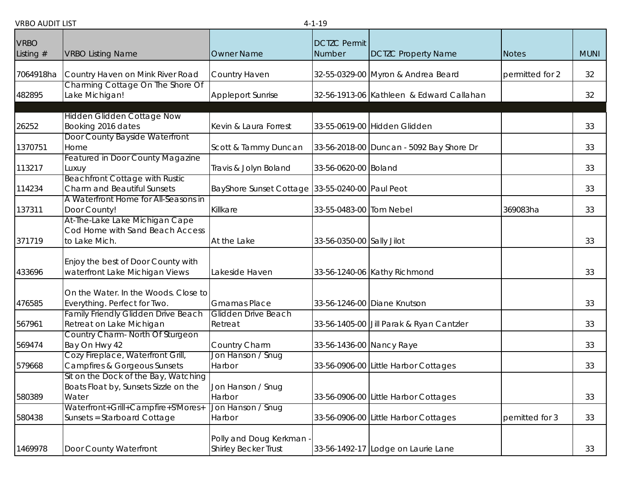|                            |                                                                      |                                                         | .                             |                                          |                 |             |
|----------------------------|----------------------------------------------------------------------|---------------------------------------------------------|-------------------------------|------------------------------------------|-----------------|-------------|
| <b>VRBO</b><br>Listing $#$ | <b>VRBO Listing Name</b>                                             | <b>Owner Name</b>                                       | <b>DCTZC Permit</b><br>Number | <b>DCTZC Property Name</b>               | <b>Notes</b>    | <b>MUNI</b> |
|                            |                                                                      |                                                         |                               |                                          |                 |             |
| 7064918ha                  | Country Haven on Mink River Road                                     | Country Haven                                           |                               | 32-55-0329-00 Myron & Andrea Beard       | permitted for 2 | 32          |
| 482895                     | Charming Cottage On The Shore Of<br>Lake Michigan!                   | Appleport Sunrise                                       |                               | 32-56-1913-06 Kathleen & Edward Callahan |                 | 32          |
|                            | <b>Hidden Glidden Cottage Now</b>                                    |                                                         |                               |                                          |                 |             |
| 26252                      | Booking 2016 dates                                                   | Kevin & Laura Forrest                                   |                               | 33-55-0619-00 Hidden Glidden             |                 | 33          |
|                            | Door County Bayside Waterfront                                       |                                                         |                               |                                          |                 |             |
| 1370751                    | Home                                                                 | Scott & Tammy Duncan                                    |                               | 33-56-2018-00 Duncan - 5092 Bay Shore Dr |                 | 33          |
|                            | Featured in Door County Magazine                                     |                                                         |                               |                                          |                 |             |
| 113217                     | Luxuy                                                                | Travis & Jolyn Boland                                   | 33-56-0620-00 Boland          |                                          |                 | 33          |
| 114234                     | <b>Beachfront Cottage with Rustic</b><br>Charm and Beautiful Sunsets | BayShore Sunset Cottage 33-55-0240-00 Paul Peot         |                               |                                          |                 | 33          |
| 137311                     | A Waterfront Home for All-Seasons in<br>Door County!                 | Killkare                                                | 33-55-0483-00 Tom Nebel       |                                          | 369083ha        | 33          |
|                            | At-The-Lake Lake Michigan Cape                                       |                                                         |                               |                                          |                 |             |
| 371719                     | Cod Home with Sand Beach Access<br>to Lake Mich.                     | At the Lake                                             | 33-56-0350-00 Sally Jilot     |                                          |                 | 33          |
|                            |                                                                      |                                                         |                               |                                          |                 |             |
| 433696                     | Enjoy the best of Door County with<br>waterfront Lake Michigan Views | Lakeside Haven                                          |                               | 33-56-1240-06 Kathy Richmond             |                 | 33          |
|                            |                                                                      |                                                         |                               |                                          |                 |             |
|                            | On the Water. In the Woods. Close to                                 |                                                         |                               |                                          |                 |             |
| 476585                     | Everything. Perfect for Two.                                         | <b>Gmamas Place</b><br><b>Glidden Drive Beach</b>       |                               | 33-56-1246-00 Diane Knutson              |                 | 33          |
| 567961                     | Family Friendly Glidden Drive Beach<br>Retreat on Lake Michigan      | Retreat                                                 |                               | 33-56-1405-00 Jill Parak & Ryan Cantzler |                 | 33          |
|                            | Country Charm- North Of Sturgeon                                     |                                                         |                               |                                          |                 |             |
| 569474                     | Bay On Hwy 42                                                        | Country Charm                                           | 33-56-1436-00 Nancy Raye      |                                          |                 | 33          |
|                            | Cozy Fireplace, Waterfront Grill,                                    | Jon Hanson / Snug                                       |                               |                                          |                 |             |
| 579668                     | <b>Campfires &amp; Gorgeous Sunsets</b>                              | Harbor                                                  |                               | 33-56-0906-00 Little Harbor Cottages     |                 | 33          |
|                            | Sit on the Dock of the Bay, Watching                                 |                                                         |                               |                                          |                 |             |
| 580389                     | Boats Float by, Sunsets Sizzle on the<br>Water                       | Jon Hanson / Snug<br>Harbor                             |                               | 33-56-0906-00 Little Harbor Cottages     |                 | 33          |
|                            | Waterfront+Grill+Campfire+S'Mores+                                   | Jon Hanson / Snug                                       |                               |                                          |                 |             |
| 580438                     | Sunsets = Starboard Cottage                                          | Harbor                                                  |                               | 33-56-0906-00 Little Harbor Cottages     | pemitted for 3  | 33          |
| 1469978                    | Door County Waterfront                                               | Polly and Doug Kerkman -<br><b>Shirley Becker Trust</b> |                               | 33-56-1492-17 Lodge on Laurie Lane       |                 | 33          |
|                            |                                                                      |                                                         |                               |                                          |                 |             |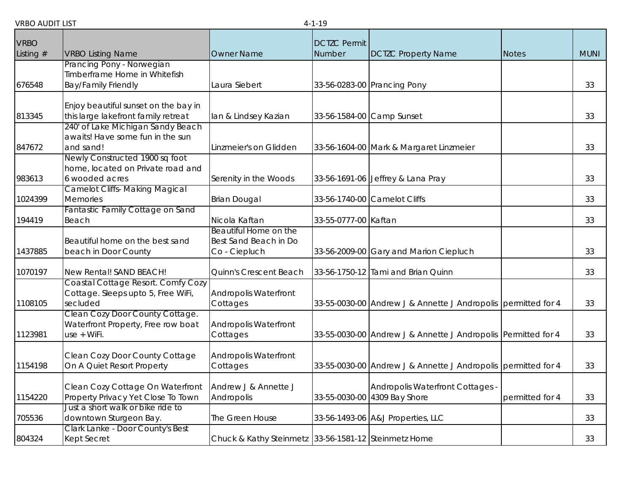| <b>VRBO</b><br><b>DCTZC Permit</b><br>Listing $#$<br><b>VRBO Listing Name</b><br><b>Owner Name</b><br>Number<br><b>DCTZC Property Name</b><br><b>MUNI</b><br><b>Notes</b><br>Prancing Pony - Norwegian<br>Timberframe Home in Whitefish<br><b>Bay/Family Friendly</b><br>Laura Siebert<br>33-56-0283-00 Prancing Pony<br>33<br>Enjoy beautiful sunset on the bay in<br>this large lakefront family retreat<br>33<br>lan & Lindsey Kazian<br>33-56-1584-00 Camp Sunset<br>240' of Lake Michigan Sandy Beach<br>awaits! Have some fun in the sun<br>and sand!<br>33<br>Linzmeier's on Glidden<br>33-56-1604-00 Mark & Margaret Linzmeier<br>Newly Constructed 1900 sq foot<br>home, located on Private road and<br>6 wooded acres<br>983613<br>Serenity in the Woods<br>33-56-1691-06 Jeffrey & Lana Pray<br>33<br><b>Camelot Cliffs- Making Magical</b><br>1024399<br><b>Memories</b><br><b>Brian Dougal</b><br>33-56-1740-00 Camelot Cliffs<br>33<br>Fantastic Family Cottage on Sand<br>33-55-0777-00 Kaftan<br>194419<br>Beach<br>Nicola Kaftan<br>33<br>Beautiful Home on the<br>Best Sand Beach in Do<br>Beautiful home on the best sand<br>Co - Ciepluch<br>33-56-2009-00 Gary and Marion Ciepluch<br>33<br>1437885<br>beach in Door County<br>33<br>1070197<br>New Rental! SAND BEACH!<br>Quinn's Crescent Beach<br>33-56-1750-12 Tami and Brian Quinn<br>Coastal Cottage Resort. Comfy Cozy<br>Cottage. Sleeps upto 5, Free WiFi,<br><b>Andropolis Waterfront</b><br>secluded<br>Cottages<br>33-55-0030-00 Andrew J & Annette J Andropolis permitted for 4<br>33<br>Clean Cozy Door County Cottage.<br>Waterfront Property, Free row boat<br><b>Andropolis Waterfront</b><br>33-55-0030-00 Andrew J & Annette J Andropolis Permitted for 4<br>use + WiFi.<br>33<br>Cottages<br>Clean Cozy Door County Cottage<br><b>Andropolis Waterfront</b><br>On A Quiet Resort Property<br>33-55-0030-00 Andrew J & Annette J Andropolis permitted for 4<br>1154198<br>33<br>Cottages<br>Andrew J & Annette J<br>Clean Cozy Cottage On Waterfront<br>Andropolis Waterfront Cottages -<br>Property Privacy Yet Close To Town<br>33-55-0030-00 4309 Bay Shore<br>33<br>1154220<br>Andropolis<br>permitted for 4<br>Just a short walk or bike ride to<br>705536<br>downtown Sturgeon Bay.<br>The Green House<br>33-56-1493-06 A&J Properties, LLC<br>33<br>Clark Lanke - Door County's Best<br>804324<br>Kept Secret<br>Chuck & Kathy Steinmetz 33-56-1581-12 Steinmetz Home<br>33 |         |  |  |  |
|----------------------------------------------------------------------------------------------------------------------------------------------------------------------------------------------------------------------------------------------------------------------------------------------------------------------------------------------------------------------------------------------------------------------------------------------------------------------------------------------------------------------------------------------------------------------------------------------------------------------------------------------------------------------------------------------------------------------------------------------------------------------------------------------------------------------------------------------------------------------------------------------------------------------------------------------------------------------------------------------------------------------------------------------------------------------------------------------------------------------------------------------------------------------------------------------------------------------------------------------------------------------------------------------------------------------------------------------------------------------------------------------------------------------------------------------------------------------------------------------------------------------------------------------------------------------------------------------------------------------------------------------------------------------------------------------------------------------------------------------------------------------------------------------------------------------------------------------------------------------------------------------------------------------------------------------------------------------------------------------------------------------------------------------------------------------------------------------------------------------------------------------------------------------------------------------------------------------------------------------------------------------------------------------------------------------------------------------------------------------------------------------------------------------------------------------------------------------------|---------|--|--|--|
|                                                                                                                                                                                                                                                                                                                                                                                                                                                                                                                                                                                                                                                                                                                                                                                                                                                                                                                                                                                                                                                                                                                                                                                                                                                                                                                                                                                                                                                                                                                                                                                                                                                                                                                                                                                                                                                                                                                                                                                                                                                                                                                                                                                                                                                                                                                                                                                                                                                                            |         |  |  |  |
|                                                                                                                                                                                                                                                                                                                                                                                                                                                                                                                                                                                                                                                                                                                                                                                                                                                                                                                                                                                                                                                                                                                                                                                                                                                                                                                                                                                                                                                                                                                                                                                                                                                                                                                                                                                                                                                                                                                                                                                                                                                                                                                                                                                                                                                                                                                                                                                                                                                                            |         |  |  |  |
|                                                                                                                                                                                                                                                                                                                                                                                                                                                                                                                                                                                                                                                                                                                                                                                                                                                                                                                                                                                                                                                                                                                                                                                                                                                                                                                                                                                                                                                                                                                                                                                                                                                                                                                                                                                                                                                                                                                                                                                                                                                                                                                                                                                                                                                                                                                                                                                                                                                                            |         |  |  |  |
|                                                                                                                                                                                                                                                                                                                                                                                                                                                                                                                                                                                                                                                                                                                                                                                                                                                                                                                                                                                                                                                                                                                                                                                                                                                                                                                                                                                                                                                                                                                                                                                                                                                                                                                                                                                                                                                                                                                                                                                                                                                                                                                                                                                                                                                                                                                                                                                                                                                                            |         |  |  |  |
|                                                                                                                                                                                                                                                                                                                                                                                                                                                                                                                                                                                                                                                                                                                                                                                                                                                                                                                                                                                                                                                                                                                                                                                                                                                                                                                                                                                                                                                                                                                                                                                                                                                                                                                                                                                                                                                                                                                                                                                                                                                                                                                                                                                                                                                                                                                                                                                                                                                                            | 676548  |  |  |  |
|                                                                                                                                                                                                                                                                                                                                                                                                                                                                                                                                                                                                                                                                                                                                                                                                                                                                                                                                                                                                                                                                                                                                                                                                                                                                                                                                                                                                                                                                                                                                                                                                                                                                                                                                                                                                                                                                                                                                                                                                                                                                                                                                                                                                                                                                                                                                                                                                                                                                            |         |  |  |  |
|                                                                                                                                                                                                                                                                                                                                                                                                                                                                                                                                                                                                                                                                                                                                                                                                                                                                                                                                                                                                                                                                                                                                                                                                                                                                                                                                                                                                                                                                                                                                                                                                                                                                                                                                                                                                                                                                                                                                                                                                                                                                                                                                                                                                                                                                                                                                                                                                                                                                            |         |  |  |  |
|                                                                                                                                                                                                                                                                                                                                                                                                                                                                                                                                                                                                                                                                                                                                                                                                                                                                                                                                                                                                                                                                                                                                                                                                                                                                                                                                                                                                                                                                                                                                                                                                                                                                                                                                                                                                                                                                                                                                                                                                                                                                                                                                                                                                                                                                                                                                                                                                                                                                            | 813345  |  |  |  |
|                                                                                                                                                                                                                                                                                                                                                                                                                                                                                                                                                                                                                                                                                                                                                                                                                                                                                                                                                                                                                                                                                                                                                                                                                                                                                                                                                                                                                                                                                                                                                                                                                                                                                                                                                                                                                                                                                                                                                                                                                                                                                                                                                                                                                                                                                                                                                                                                                                                                            |         |  |  |  |
|                                                                                                                                                                                                                                                                                                                                                                                                                                                                                                                                                                                                                                                                                                                                                                                                                                                                                                                                                                                                                                                                                                                                                                                                                                                                                                                                                                                                                                                                                                                                                                                                                                                                                                                                                                                                                                                                                                                                                                                                                                                                                                                                                                                                                                                                                                                                                                                                                                                                            |         |  |  |  |
|                                                                                                                                                                                                                                                                                                                                                                                                                                                                                                                                                                                                                                                                                                                                                                                                                                                                                                                                                                                                                                                                                                                                                                                                                                                                                                                                                                                                                                                                                                                                                                                                                                                                                                                                                                                                                                                                                                                                                                                                                                                                                                                                                                                                                                                                                                                                                                                                                                                                            | 847672  |  |  |  |
|                                                                                                                                                                                                                                                                                                                                                                                                                                                                                                                                                                                                                                                                                                                                                                                                                                                                                                                                                                                                                                                                                                                                                                                                                                                                                                                                                                                                                                                                                                                                                                                                                                                                                                                                                                                                                                                                                                                                                                                                                                                                                                                                                                                                                                                                                                                                                                                                                                                                            |         |  |  |  |
|                                                                                                                                                                                                                                                                                                                                                                                                                                                                                                                                                                                                                                                                                                                                                                                                                                                                                                                                                                                                                                                                                                                                                                                                                                                                                                                                                                                                                                                                                                                                                                                                                                                                                                                                                                                                                                                                                                                                                                                                                                                                                                                                                                                                                                                                                                                                                                                                                                                                            |         |  |  |  |
|                                                                                                                                                                                                                                                                                                                                                                                                                                                                                                                                                                                                                                                                                                                                                                                                                                                                                                                                                                                                                                                                                                                                                                                                                                                                                                                                                                                                                                                                                                                                                                                                                                                                                                                                                                                                                                                                                                                                                                                                                                                                                                                                                                                                                                                                                                                                                                                                                                                                            |         |  |  |  |
|                                                                                                                                                                                                                                                                                                                                                                                                                                                                                                                                                                                                                                                                                                                                                                                                                                                                                                                                                                                                                                                                                                                                                                                                                                                                                                                                                                                                                                                                                                                                                                                                                                                                                                                                                                                                                                                                                                                                                                                                                                                                                                                                                                                                                                                                                                                                                                                                                                                                            |         |  |  |  |
|                                                                                                                                                                                                                                                                                                                                                                                                                                                                                                                                                                                                                                                                                                                                                                                                                                                                                                                                                                                                                                                                                                                                                                                                                                                                                                                                                                                                                                                                                                                                                                                                                                                                                                                                                                                                                                                                                                                                                                                                                                                                                                                                                                                                                                                                                                                                                                                                                                                                            |         |  |  |  |
|                                                                                                                                                                                                                                                                                                                                                                                                                                                                                                                                                                                                                                                                                                                                                                                                                                                                                                                                                                                                                                                                                                                                                                                                                                                                                                                                                                                                                                                                                                                                                                                                                                                                                                                                                                                                                                                                                                                                                                                                                                                                                                                                                                                                                                                                                                                                                                                                                                                                            |         |  |  |  |
|                                                                                                                                                                                                                                                                                                                                                                                                                                                                                                                                                                                                                                                                                                                                                                                                                                                                                                                                                                                                                                                                                                                                                                                                                                                                                                                                                                                                                                                                                                                                                                                                                                                                                                                                                                                                                                                                                                                                                                                                                                                                                                                                                                                                                                                                                                                                                                                                                                                                            |         |  |  |  |
|                                                                                                                                                                                                                                                                                                                                                                                                                                                                                                                                                                                                                                                                                                                                                                                                                                                                                                                                                                                                                                                                                                                                                                                                                                                                                                                                                                                                                                                                                                                                                                                                                                                                                                                                                                                                                                                                                                                                                                                                                                                                                                                                                                                                                                                                                                                                                                                                                                                                            |         |  |  |  |
|                                                                                                                                                                                                                                                                                                                                                                                                                                                                                                                                                                                                                                                                                                                                                                                                                                                                                                                                                                                                                                                                                                                                                                                                                                                                                                                                                                                                                                                                                                                                                                                                                                                                                                                                                                                                                                                                                                                                                                                                                                                                                                                                                                                                                                                                                                                                                                                                                                                                            |         |  |  |  |
|                                                                                                                                                                                                                                                                                                                                                                                                                                                                                                                                                                                                                                                                                                                                                                                                                                                                                                                                                                                                                                                                                                                                                                                                                                                                                                                                                                                                                                                                                                                                                                                                                                                                                                                                                                                                                                                                                                                                                                                                                                                                                                                                                                                                                                                                                                                                                                                                                                                                            |         |  |  |  |
|                                                                                                                                                                                                                                                                                                                                                                                                                                                                                                                                                                                                                                                                                                                                                                                                                                                                                                                                                                                                                                                                                                                                                                                                                                                                                                                                                                                                                                                                                                                                                                                                                                                                                                                                                                                                                                                                                                                                                                                                                                                                                                                                                                                                                                                                                                                                                                                                                                                                            |         |  |  |  |
|                                                                                                                                                                                                                                                                                                                                                                                                                                                                                                                                                                                                                                                                                                                                                                                                                                                                                                                                                                                                                                                                                                                                                                                                                                                                                                                                                                                                                                                                                                                                                                                                                                                                                                                                                                                                                                                                                                                                                                                                                                                                                                                                                                                                                                                                                                                                                                                                                                                                            |         |  |  |  |
|                                                                                                                                                                                                                                                                                                                                                                                                                                                                                                                                                                                                                                                                                                                                                                                                                                                                                                                                                                                                                                                                                                                                                                                                                                                                                                                                                                                                                                                                                                                                                                                                                                                                                                                                                                                                                                                                                                                                                                                                                                                                                                                                                                                                                                                                                                                                                                                                                                                                            |         |  |  |  |
|                                                                                                                                                                                                                                                                                                                                                                                                                                                                                                                                                                                                                                                                                                                                                                                                                                                                                                                                                                                                                                                                                                                                                                                                                                                                                                                                                                                                                                                                                                                                                                                                                                                                                                                                                                                                                                                                                                                                                                                                                                                                                                                                                                                                                                                                                                                                                                                                                                                                            | 1108105 |  |  |  |
|                                                                                                                                                                                                                                                                                                                                                                                                                                                                                                                                                                                                                                                                                                                                                                                                                                                                                                                                                                                                                                                                                                                                                                                                                                                                                                                                                                                                                                                                                                                                                                                                                                                                                                                                                                                                                                                                                                                                                                                                                                                                                                                                                                                                                                                                                                                                                                                                                                                                            |         |  |  |  |
|                                                                                                                                                                                                                                                                                                                                                                                                                                                                                                                                                                                                                                                                                                                                                                                                                                                                                                                                                                                                                                                                                                                                                                                                                                                                                                                                                                                                                                                                                                                                                                                                                                                                                                                                                                                                                                                                                                                                                                                                                                                                                                                                                                                                                                                                                                                                                                                                                                                                            |         |  |  |  |
|                                                                                                                                                                                                                                                                                                                                                                                                                                                                                                                                                                                                                                                                                                                                                                                                                                                                                                                                                                                                                                                                                                                                                                                                                                                                                                                                                                                                                                                                                                                                                                                                                                                                                                                                                                                                                                                                                                                                                                                                                                                                                                                                                                                                                                                                                                                                                                                                                                                                            | 1123981 |  |  |  |
|                                                                                                                                                                                                                                                                                                                                                                                                                                                                                                                                                                                                                                                                                                                                                                                                                                                                                                                                                                                                                                                                                                                                                                                                                                                                                                                                                                                                                                                                                                                                                                                                                                                                                                                                                                                                                                                                                                                                                                                                                                                                                                                                                                                                                                                                                                                                                                                                                                                                            |         |  |  |  |
|                                                                                                                                                                                                                                                                                                                                                                                                                                                                                                                                                                                                                                                                                                                                                                                                                                                                                                                                                                                                                                                                                                                                                                                                                                                                                                                                                                                                                                                                                                                                                                                                                                                                                                                                                                                                                                                                                                                                                                                                                                                                                                                                                                                                                                                                                                                                                                                                                                                                            |         |  |  |  |
|                                                                                                                                                                                                                                                                                                                                                                                                                                                                                                                                                                                                                                                                                                                                                                                                                                                                                                                                                                                                                                                                                                                                                                                                                                                                                                                                                                                                                                                                                                                                                                                                                                                                                                                                                                                                                                                                                                                                                                                                                                                                                                                                                                                                                                                                                                                                                                                                                                                                            |         |  |  |  |
|                                                                                                                                                                                                                                                                                                                                                                                                                                                                                                                                                                                                                                                                                                                                                                                                                                                                                                                                                                                                                                                                                                                                                                                                                                                                                                                                                                                                                                                                                                                                                                                                                                                                                                                                                                                                                                                                                                                                                                                                                                                                                                                                                                                                                                                                                                                                                                                                                                                                            |         |  |  |  |
|                                                                                                                                                                                                                                                                                                                                                                                                                                                                                                                                                                                                                                                                                                                                                                                                                                                                                                                                                                                                                                                                                                                                                                                                                                                                                                                                                                                                                                                                                                                                                                                                                                                                                                                                                                                                                                                                                                                                                                                                                                                                                                                                                                                                                                                                                                                                                                                                                                                                            |         |  |  |  |
|                                                                                                                                                                                                                                                                                                                                                                                                                                                                                                                                                                                                                                                                                                                                                                                                                                                                                                                                                                                                                                                                                                                                                                                                                                                                                                                                                                                                                                                                                                                                                                                                                                                                                                                                                                                                                                                                                                                                                                                                                                                                                                                                                                                                                                                                                                                                                                                                                                                                            |         |  |  |  |
|                                                                                                                                                                                                                                                                                                                                                                                                                                                                                                                                                                                                                                                                                                                                                                                                                                                                                                                                                                                                                                                                                                                                                                                                                                                                                                                                                                                                                                                                                                                                                                                                                                                                                                                                                                                                                                                                                                                                                                                                                                                                                                                                                                                                                                                                                                                                                                                                                                                                            |         |  |  |  |
|                                                                                                                                                                                                                                                                                                                                                                                                                                                                                                                                                                                                                                                                                                                                                                                                                                                                                                                                                                                                                                                                                                                                                                                                                                                                                                                                                                                                                                                                                                                                                                                                                                                                                                                                                                                                                                                                                                                                                                                                                                                                                                                                                                                                                                                                                                                                                                                                                                                                            |         |  |  |  |
|                                                                                                                                                                                                                                                                                                                                                                                                                                                                                                                                                                                                                                                                                                                                                                                                                                                                                                                                                                                                                                                                                                                                                                                                                                                                                                                                                                                                                                                                                                                                                                                                                                                                                                                                                                                                                                                                                                                                                                                                                                                                                                                                                                                                                                                                                                                                                                                                                                                                            |         |  |  |  |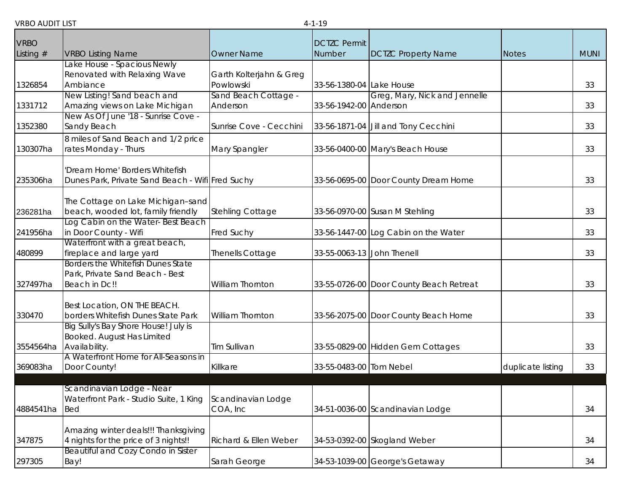| <b>VRBO</b> |                                                  |                         | <b>DCTZC Permit</b>        |                                         |                   |             |
|-------------|--------------------------------------------------|-------------------------|----------------------------|-----------------------------------------|-------------------|-------------|
| Listing $#$ | <b>VRBO Listing Name</b>                         | <b>Owner Name</b>       | Number                     | <b>DCTZC Property Name</b>              | <b>Notes</b>      | <b>MUNI</b> |
|             | ake House - Spacious Newly                       |                         |                            |                                         |                   |             |
|             | Renovated with Relaxing Wave                     | Garth Kolterjahn & Greg |                            |                                         |                   |             |
| 1326854     | Ambiance                                         | Powlowski               | 33-56-1380-04 Lake House   |                                         |                   | 33          |
|             | New Listing! Sand beach and                      | Sand Beach Cottage -    |                            | Greg, Mary, Nick and Jennelle           |                   |             |
| 1331712     | Amazing views on Lake Michigan                   | Anderson                | 33-56-1942-00 Anderson     |                                         |                   | 33          |
|             | New As Of June '18 - Sunrise Cove -              | Sunrise Cove - Cecchini |                            |                                         |                   | 33          |
| 1352380     | Sandy Beach                                      |                         |                            | 33-56-1871-04 Jill and Tony Cecchini    |                   |             |
|             | 8 miles of Sand Beach and 1/2 price              |                         |                            |                                         |                   |             |
| 130307ha    | rates Monday - Thurs                             | Mary Spangler           |                            | 33-56-0400-00 Mary's Beach House        |                   | 33          |
|             | Dream Home' Borders Whitefish                    |                         |                            |                                         |                   |             |
| 235306ha    | Dunes Park, Private Sand Beach - Wifi Fred Suchy |                         |                            | 33-56-0695-00 Door County Dream Home    |                   | 33          |
|             |                                                  |                         |                            |                                         |                   |             |
|             | The Cottage on Lake Michigan-sand                |                         |                            |                                         |                   |             |
| 236281ha    | beach, wooded lot, family friendly               | <b>Stehling Cottage</b> |                            | 33-56-0970-00 Susan M Stehling          |                   | 33          |
|             | Log Cabin on the Water-Best Beach                |                         |                            |                                         |                   |             |
| 241956ha    | in Door County - Wifi                            | <b>Fred Suchy</b>       |                            | 33-56-1447-00 Log Cabin on the Water    |                   | 33          |
|             | Waterfront with a great beach,                   |                         |                            |                                         |                   |             |
| 480899      | fireplace and large yard                         | Thenells Cottage        | 33-55-0063-13 John Thenell |                                         |                   | 33          |
|             | <b>Borders the Whitefish Dunes State</b>         |                         |                            |                                         |                   |             |
|             | Park, Private Sand Beach - Best                  | William Thornton        |                            |                                         |                   |             |
| 327497ha    | Beach in Dc!!                                    |                         |                            | 33-55-0726-00 Door County Beach Retreat |                   | 33          |
|             | Best Location, ON THE BEACH.                     |                         |                            |                                         |                   |             |
| 330470      | borders Whitefish Dunes State Park               | <b>William Thornton</b> |                            | 33-56-2075-00 Door County Beach Home    |                   | 33          |
|             | Big Sully's Bay Shore House! July is             |                         |                            |                                         |                   |             |
|             | Booked. August Has Limited                       |                         |                            |                                         |                   |             |
| 3554564ha   | Availability.                                    | Tim Sullivan            |                            | 33-55-0829-00 Hidden Gem Cottages       |                   | 33          |
|             | A Waterfront Home for All-Seasons in             |                         |                            |                                         |                   |             |
| 369083ha    | Door County!                                     | Killkare                | 33-55-0483-00 Tom Nebel    |                                         | duplicate listing | 33          |
|             |                                                  |                         |                            |                                         |                   |             |
|             | Scandinavian Lodge - Near                        |                         |                            |                                         |                   |             |
|             | Waterfront Park - Studio Suite, 1 King           | Scandinavian Lodge      |                            |                                         |                   |             |
| 4884541ha   | <b>Bed</b>                                       | COA, Inc                |                            | 34-51-0036-00 Scandinavian Lodge        |                   | 34          |
|             | Amazing winter deals!!! Thanksgiving             |                         |                            |                                         |                   |             |
| 347875      | 4 nights for the price of 3 nights!!             | Richard & Ellen Weber   |                            | 34-53-0392-00 Skogland Weber            |                   | 34          |
|             | Beautiful and Cozy Condo in Sister               |                         |                            |                                         |                   |             |
| 297305      | Bay!                                             | Sarah George            |                            | 34-53-1039-00 George's Getaway          |                   | 34          |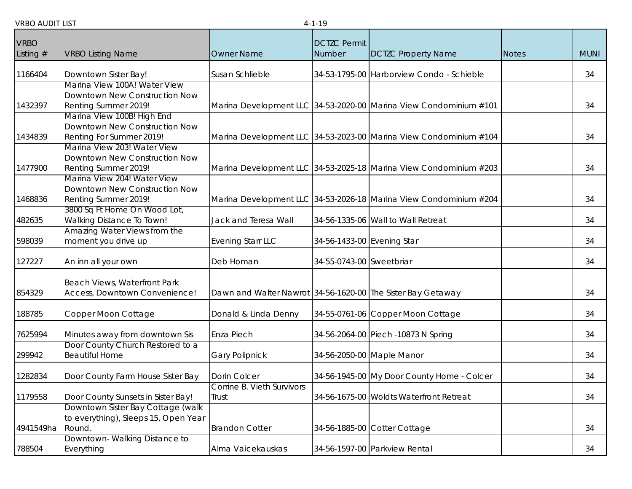| <b>VRBO</b> |                                                              |                                                             | <b>DCTZC Permit</b>        |                                                                   |              |             |
|-------------|--------------------------------------------------------------|-------------------------------------------------------------|----------------------------|-------------------------------------------------------------------|--------------|-------------|
| Listing $#$ | <b>VRBO Listing Name</b>                                     | <b>Owner Name</b>                                           | Number                     | <b>DCTZC Property Name</b>                                        | <b>Notes</b> | <b>MUNI</b> |
| 1166404     | Downtown Sister Bay!                                         | Susan Schlieble                                             |                            | 34-53-1795-00 Harborview Condo - Schieble                         |              | 34          |
|             | Marina View 100A! Water View                                 |                                                             |                            |                                                                   |              |             |
| 1432397     | Downtown New Construction Now<br>Renting Summer 2019!        |                                                             |                            | Marina Development LLC 34-53-2020-00 Marina View Condominium #101 |              | 34          |
|             | Marina View 100B! High End                                   |                                                             |                            |                                                                   |              |             |
|             | Downtown New Construction Now                                |                                                             |                            |                                                                   |              |             |
| 1434839     | Renting For Summer 2019!                                     |                                                             |                            | Marina Development LLC 34-53-2023-00 Marina View Condominium #104 |              | 34          |
|             | Marina View 203! Water View                                  |                                                             |                            |                                                                   |              |             |
|             | Downtown New Construction Now                                |                                                             |                            |                                                                   |              |             |
| 1477900     | Renting Summer 2019!                                         |                                                             |                            | Marina Development LLC 34-53-2025-18 Marina View Condominium #203 |              | 34          |
|             | Marina View 204! Water View<br>Downtown New Construction Now |                                                             |                            |                                                                   |              |             |
| 1468836     | Renting Summer 2019!                                         |                                                             |                            | Marina Development LLC 34-53-2026-18 Marina View Condominium #204 |              | 34          |
|             | 3800 Sq Ft Home On Wood Lot,                                 |                                                             |                            |                                                                   |              |             |
| 482635      | Walking Distance To Town!                                    | Jack and Teresa Wall                                        |                            | 34-56-1335-06 Wall to Wall Retreat                                |              | 34          |
|             | Amazing Water Views from the                                 |                                                             |                            |                                                                   |              |             |
| 598039      | moment you drive up                                          | <b>Evening Starr LLC</b>                                    | 34-56-1433-00 Evening Star |                                                                   |              | 34          |
| 127227      | An inn all your own                                          | Deb Homan                                                   | 34-55-0743-00 Sweetbriar   |                                                                   |              | 34          |
|             |                                                              |                                                             |                            |                                                                   |              |             |
|             | Beach Views, Waterfront Park                                 |                                                             |                            |                                                                   |              |             |
| 854329      | Access, Downtown Convenience!                                | Dawn and Walter Nawrot 34-56-1620-00 The Sister Bay Getaway |                            |                                                                   |              | 34          |
|             |                                                              |                                                             |                            |                                                                   |              |             |
| 188785      | Copper Moon Cottage                                          | Donald & Linda Denny                                        |                            | 34-55-0761-06 Copper Moon Cottage                                 |              | 34          |
| 7625994     | Minutes away from downtown Sis                               | Enza Piech                                                  |                            | 34-56-2064-00 Piech -10873 N Spring                               |              | 34          |
|             | Door County Church Restored to a                             |                                                             |                            |                                                                   |              |             |
| 299942      | <b>Beautiful Home</b>                                        | <b>Gary Polipnick</b>                                       |                            | 34-56-2050-00 Maple Manor                                         |              | 34          |
| 1282834     | Door County Farm House Sister Bay                            | Dorin Colcer                                                |                            | 34-56-1945-00 My Door County Home - Colcer                        |              | 34          |
|             |                                                              | Corrine B. Vieth Survivors                                  |                            |                                                                   |              |             |
| 1179558     | Door County Sunsets in Sister Bay!                           | Trust                                                       |                            | 34-56-1675-00 Woldts Waterfront Retreat                           |              | 34          |
|             | Downtown Sister Bay Cottage (walk                            |                                                             |                            |                                                                   |              |             |
|             | to everything), Sleeps 15, Open Year                         |                                                             |                            |                                                                   |              |             |
| 4941549ha   | Round.                                                       | <b>Brandon Cotter</b>                                       |                            | 34-56-1885-00 Cotter Cottage                                      |              | 34          |
|             | Downtown-Walking Distance to                                 |                                                             |                            |                                                                   |              |             |
| 788504      | Everything                                                   | Alma Vaicekauskas                                           |                            | 34-56-1597-00 Parkview Rental                                     |              | 34          |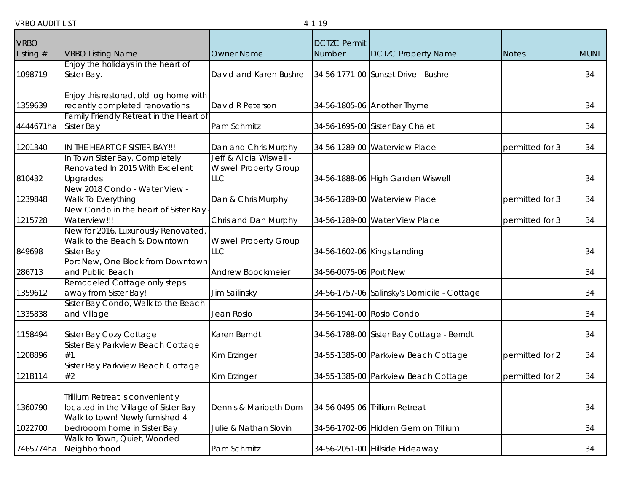| <b>VRBO</b> |                                                     |                               |                               |                                             |                 |             |
|-------------|-----------------------------------------------------|-------------------------------|-------------------------------|---------------------------------------------|-----------------|-------------|
| Listing $#$ | <b>VRBO Listing Name</b>                            | <b>Owner Name</b>             | <b>DCTZC Permit</b><br>Number | <b>DCTZC Property Name</b>                  | <b>Notes</b>    | <b>MUNI</b> |
|             | Enjoy the holidays in the heart of                  |                               |                               |                                             |                 |             |
| 1098719     | Sister Bay.                                         | David and Karen Bushre        |                               | 34-56-1771-00 Sunset Drive - Bushre         |                 | 34          |
|             | Enjoy this restored, old log home with              |                               |                               |                                             |                 |             |
| 1359639     | recently completed renovations                      | David R Peterson              |                               | 34-56-1805-06 Another Thyme                 |                 | 34          |
|             | Family Friendly Retreat in the Heart of             |                               |                               |                                             |                 |             |
| 4444671ha   | <b>Sister Bay</b>                                   | Pam Schmitz                   |                               | 34-56-1695-00 Sister Bay Chalet             |                 | 34          |
| 1201340     | IN THE HEART OF SISTER BAY!!!                       | Dan and Chris Murphy          |                               | 34-56-1289-00 Waterview Place               | permitted for 3 | 34          |
|             | In Town Sister Bay, Completely                      | Jeff & Alicia Wiswell -       |                               |                                             |                 |             |
|             | Renovated In 2015 With Excellent                    | <b>Wiswell Property Group</b> |                               |                                             |                 |             |
| 810432      | Upgrades                                            | <b>LLC</b>                    |                               | 34-56-1888-06 High Garden Wiswell           |                 | 34          |
| 1239848     | New 2018 Condo - Water View -<br>Walk To Everything | Dan & Chris Murphy            |                               | 34-56-1289-00 Waterview Place               | permitted for 3 | 34          |
|             | New Condo in the heart of Sister Bay                |                               |                               |                                             |                 |             |
| 1215728     | Waterview!!!                                        | Chris and Dan Murphy          |                               | 34-56-1289-00 Water View Place              | permitted for 3 | 34          |
|             | New for 2016, Luxuriously Renovated                 |                               |                               |                                             |                 |             |
|             | Walk to the Beach & Downtown                        | <b>Wiswell Property Group</b> |                               |                                             |                 |             |
| 849698      | Sister Bay                                          | <b>LLC</b>                    |                               | 34-56-1602-06 Kings Landing                 |                 | 34          |
|             | Port New, One Block from Downtown                   |                               |                               |                                             |                 |             |
| 286713      | and Public Beach                                    | Andrew Boockmeier             | 34-56-0075-06 Port New        |                                             |                 | 34          |
|             | Remodeled Cottage only steps                        |                               |                               |                                             |                 |             |
| 1359612     | away from Sister Bay!                               | Jim Sailinsky                 |                               | 34-56-1757-06 Salinsky's Domicile - Cottage |                 | 34          |
|             | Sister Bay Condo, Walk to the Beach                 |                               |                               |                                             |                 |             |
| 1335838     | and Village                                         | Jean Rosio                    | 34-56-1941-00 Rosio Condo     |                                             |                 | 34          |
| 1158494     | Sister Bay Cozy Cottage                             | Karen Berndt                  |                               | 34-56-1788-00 Sister Bay Cottage - Berndt   |                 | 34          |
|             | Sister Bay Parkview Beach Cottage                   |                               |                               |                                             |                 |             |
| 1208896     | #1                                                  | Kim Erzinger                  |                               | 34-55-1385-00 Parkview Beach Cottage        | permitted for 2 | 34          |
| 1218114     | Sister Bay Parkview Beach Cottage<br>#2             | Kim Erzinger                  |                               | 34-55-1385-00 Parkview Beach Cottage        | permitted for 2 | 34          |
|             |                                                     |                               |                               |                                             |                 |             |
|             | Trillium Retreat is conveniently                    |                               |                               |                                             |                 |             |
| 1360790     | located in the Village of Sister Bay                | Dennis & Maribeth Dorn        |                               | 34-56-0495-06 Trillium Retreat              |                 | 34          |
|             | Walk to town! Newly furnished 4                     |                               |                               |                                             |                 |             |
| 1022700     | bedrooom home in Sister Bay                         | Julie & Nathan Slovin         |                               | 34-56-1702-06 Hidden Gem on Trillium        |                 | 34          |
|             | Walk to Town, Quiet, Wooded                         |                               |                               |                                             |                 |             |
| 7465774ha   | Neighborhood                                        | Pam Schmitz                   |                               | 34-56-2051-00 Hillside Hideaway             |                 | 34          |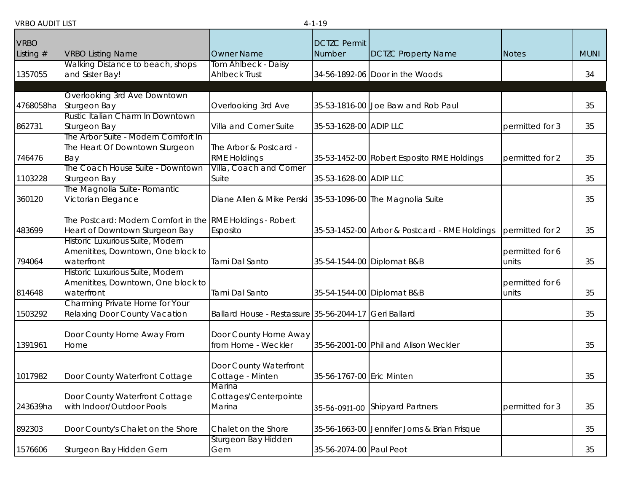|             |                                                           |                                                            | - 1 10                    |                                               |                 |             |
|-------------|-----------------------------------------------------------|------------------------------------------------------------|---------------------------|-----------------------------------------------|-----------------|-------------|
| <b>VRBO</b> |                                                           |                                                            | <b>DCTZC Permit</b>       |                                               |                 |             |
| Listing $#$ | <b>VRBO Listing Name</b>                                  | <b>Owner Name</b>                                          | Number                    | <b>DCTZC Property Name</b>                    | <b>Notes</b>    | <b>MUNI</b> |
|             | Walking Distance to beach, shops                          | Tom Ahlbeck - Daisy                                        |                           |                                               |                 |             |
| 1357055     | and Sister Bay!                                           | <b>Ahlbeck Trust</b>                                       |                           | 34-56-1892-06 Door in the Woods               |                 | 34          |
|             |                                                           |                                                            |                           |                                               |                 |             |
|             | Overlooking 3rd Ave Downtown                              |                                                            |                           |                                               |                 |             |
| 4768058ha   | Sturgeon Bay                                              | Overlooking 3rd Ave                                        |                           | 35-53-1816-00 Joe Baw and Rob Paul            |                 | 35          |
|             | Rustic Italian Charm In Downtown                          |                                                            |                           |                                               |                 |             |
| 862731      | Sturgeon Bay                                              | Villa and Corner Suite                                     | 35-53-1628-00 ADIP LLC    |                                               | permitted for 3 | 35          |
|             | The Arbor Suite - Modern Comfort In                       |                                                            |                           |                                               |                 |             |
|             | The Heart Of Downtown Sturgeon                            | The Arbor & Postcard -                                     |                           |                                               |                 |             |
| 746476      | Bay                                                       | <b>RME Holdings</b>                                        |                           | 35-53-1452-00 Robert Esposito RME Holdings    | permitted for 2 | 35          |
|             | The Coach House Suite - Downtown                          | Villa, Coach and Corner                                    |                           |                                               |                 |             |
| 1103228     | Sturgeon Bay                                              | Suite                                                      | 35-53-1628-00 ADIP LLC    |                                               |                 | 35          |
|             | The Magnolia Suite- Romantic                              |                                                            |                           |                                               |                 |             |
| 360120      | Victorian Elegance                                        | Diane Allen & Mike Perski 35-53-1096-00 The Magnolia Suite |                           |                                               |                 | 35          |
|             |                                                           |                                                            |                           |                                               |                 |             |
|             | The Postcard: Modern Comfort in the RME Holdings - Robert |                                                            |                           |                                               |                 |             |
| 483699      | Heart of Downtown Sturgeon Bay                            | Esposito                                                   |                           | 35-53-1452-00 Arbor & Postcard - RME Holdings | permitted for 2 | 35          |
|             | Historic Luxurious Suite, Modern                          |                                                            |                           |                                               |                 |             |
|             | Amenitites, Downtown, One block to                        |                                                            |                           |                                               | permitted for 6 |             |
| 794064      | waterfront                                                | Tami Dal Santo                                             |                           | 35-54-1544-00 Diplomat B&B                    | units           | 35          |
|             | Historic Luxurious Suite, Modern                          |                                                            |                           |                                               |                 |             |
|             | Amenitites, Downtown, One block to                        |                                                            |                           |                                               | permitted for 6 |             |
| 814648      | waterfront                                                | Tami Dal Santo                                             |                           | 35-54-1544-00 Diplomat B&B                    | units           | 35          |
|             | Charming Private Home for Your                            |                                                            |                           |                                               |                 |             |
| 1503292     | Relaxing Door County Vacation                             | Ballard House - Restassure 35-56-2044-17 Geri Ballard      |                           |                                               |                 | 35          |
|             |                                                           |                                                            |                           |                                               |                 |             |
|             | Door County Home Away From                                | Door County Home Away                                      |                           |                                               |                 |             |
| 1391961     | Home                                                      | from Home - Weckler                                        |                           | 35-56-2001-00 Phil and Alison Weckler         |                 | 35          |
|             |                                                           |                                                            |                           |                                               |                 |             |
|             |                                                           | Door County Waterfront                                     |                           |                                               |                 |             |
| 1017982     | Door County Waterfront Cottage                            | Cottage - Minten                                           | 35-56-1767-00 Eric Minten |                                               |                 | 35          |
|             |                                                           | Marina                                                     |                           |                                               |                 |             |
|             | Door County Waterfront Cottage                            | Cottages/Centerpointe                                      |                           |                                               |                 |             |
| 243639ha    | with Indoor/Outdoor Pools                                 | Marina                                                     |                           | 35-56-0911-00 Shipyard Partners               | permitted for 3 | 35          |
|             |                                                           |                                                            |                           |                                               |                 |             |
| 892303      | Door County's Chalet on the Shore                         | Chalet on the Shore                                        |                           | 35-56-1663-00 Jennifer Jorns & Brian Frisque  |                 | 35          |
|             |                                                           | Sturgeon Bay Hidden                                        |                           |                                               |                 |             |
| 1576606     | Sturgeon Bay Hidden Gem                                   | Gem                                                        | 35-56-2074-00 Paul Peot   |                                               |                 | 35          |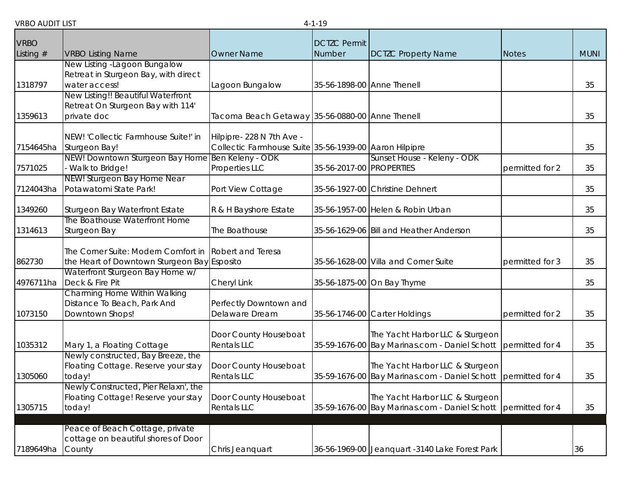| <b>VRBO</b> |                                                                     |                                                        | <b>DCTZC Permit</b>        |                                                               |                 |             |
|-------------|---------------------------------------------------------------------|--------------------------------------------------------|----------------------------|---------------------------------------------------------------|-----------------|-------------|
| Listing $#$ | <b>VRBO Listing Name</b>                                            | <b>Owner Name</b>                                      | Number                     | <b>DCTZC Property Name</b>                                    | <b>Notes</b>    | <b>MUNI</b> |
|             | New Listing - Lagoon Bungalow                                       |                                                        |                            |                                                               |                 |             |
|             | Retreat in Sturgeon Bay, with direct                                |                                                        |                            |                                                               |                 |             |
| 1318797     | water access!                                                       | Lagoon Bungalow                                        | 35-56-1898-00 Anne Thenell |                                                               |                 | 35          |
|             | New Listing!! Beautiful Waterfront                                  |                                                        |                            |                                                               |                 |             |
|             | Retreat On Sturgeon Bay with 114'                                   |                                                        |                            |                                                               |                 |             |
| 1359613     | private doc                                                         | Tacoma Beach Getaway 35-56-0880-00 Anne Thenell        |                            |                                                               |                 | 35          |
|             |                                                                     |                                                        |                            |                                                               |                 |             |
|             | NEW! 'Collectic Farmhouse Suite!' in                                | Hilpipre- 228 N 7th Ave -                              |                            |                                                               |                 |             |
| 7154645ha   | Sturgeon Bay!                                                       | Collectic Farmhouse Suite 35-56-1939-00 Aaron Hilpipre |                            |                                                               |                 | 35          |
| 7571025     | NEW! Downtown Sturgeon Bay Home Ben Keleny - ODK<br>Walk to Bridge! | Properties LLC                                         | 35-56-2017-00 PROPERTIES   | Sunset House - Keleny - ODK                                   | permitted for 2 | 35          |
|             | NEW! Sturgeon Bay Home Near                                         |                                                        |                            |                                                               |                 |             |
| 7124043ha   | Potawatomi State Park!                                              | Port View Cottage                                      |                            | 35-56-1927-00 Christine Dehnert                               |                 | 35          |
|             |                                                                     |                                                        |                            |                                                               |                 |             |
| 1349260     | Sturgeon Bay Waterfront Estate                                      | R & H Bayshore Estate                                  |                            | 35-56-1957-00 Helen & Robin Urban                             |                 | 35          |
|             | The Boathouse Waterfront Home                                       |                                                        |                            |                                                               |                 |             |
| 1314613     | Sturgeon Bay                                                        | The Boathouse                                          |                            | 35-56-1629-06 Bill and Heather Anderson                       |                 | 35          |
|             |                                                                     |                                                        |                            |                                                               |                 |             |
|             | The Corner Suite: Modern Comfort in                                 | Robert and Teresa                                      |                            |                                                               |                 |             |
| 862730      | the Heart of Downtown Sturgeon Bay Esposito                         |                                                        |                            | 35-56-1628-00 Villa and Corner Suite                          | permitted for 3 | 35          |
|             | Waterfront Sturgeon Bay Home w/                                     |                                                        |                            |                                                               |                 |             |
| 4976711ha   | Deck & Fire Pit                                                     | Cheryl Link                                            |                            | 35-56-1875-00 On Bay Thyme                                    |                 | 35          |
|             | Charming Home Within Walking<br>Distance To Beach, Park And         | Perfectly Downtown and                                 |                            |                                                               |                 |             |
| 1073150     | Downtown Shops!                                                     | Delaware Dream                                         |                            | 35-56-1746-00 Carter Holdings                                 | permitted for 2 | 35          |
|             |                                                                     |                                                        |                            |                                                               |                 |             |
|             |                                                                     | Door County Houseboat                                  |                            | The Yacht Harbor LLC & Sturgeon                               |                 |             |
| 1035312     | Mary 1, a Floating Cottage                                          | <b>Rentals LLC</b>                                     |                            | 35-59-1676-00 Bay Marinas.com - Daniel Schott                 | permitted for 4 | 35          |
|             | Newly constructed, Bay Breeze, the                                  |                                                        |                            |                                                               |                 |             |
|             | Floating Cottage. Reserve your stay                                 | Door County Houseboat                                  |                            | The Yacht Harbor LLC & Sturgeon                               |                 |             |
| 1305060     | today!                                                              | <b>Rentals LLC</b>                                     |                            | 35-59-1676-00 Bay Marinas.com - Daniel Schott                 | permitted for 4 | 35          |
|             | Newly Constructed, Pier Relaxn', the                                |                                                        |                            |                                                               |                 |             |
|             | Floating Cottage! Reserve your stay                                 | Door County Houseboat                                  |                            | The Yacht Harbor LLC & Sturgeon                               |                 |             |
| 1305715     | today!                                                              | Rentals LLC                                            |                            | 35-59-1676-00 Bay Marinas.com - Daniel Schott permitted for 4 |                 | 35          |
|             |                                                                     |                                                        |                            |                                                               |                 |             |
|             | Peace of Beach Cottage, private                                     |                                                        |                            |                                                               |                 |             |
|             | cottage on beautiful shores of Door                                 |                                                        |                            |                                                               |                 |             |
| 7189649ha   | County                                                              | Chris Jeanquart                                        |                            | 36-56-1969-00 Jeanquart -3140 Lake Forest Park                |                 | 36          |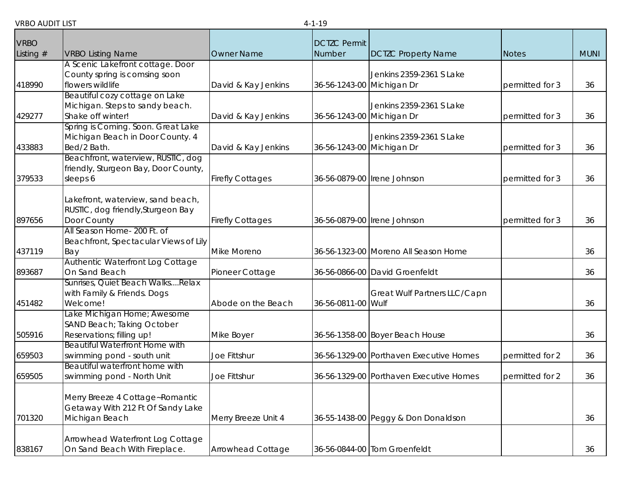| <b>VRBO</b> |                                                                                        |                          | <b>DCTZC Permit</b>       |                                         |                 |             |
|-------------|----------------------------------------------------------------------------------------|--------------------------|---------------------------|-----------------------------------------|-----------------|-------------|
| Listing $#$ | <b>VRBO Listing Name</b>                                                               | <b>Owner Name</b>        | Number                    | <b>DCTZC Property Name</b>              | <b>Notes</b>    | <b>MUNI</b> |
| 418990      | A Scenic Lakefront cottage. Door<br>County spring is comsing soon<br>flowers wildlife  | David & Kay Jenkins      | 36-56-1243-00 Michigan Dr | Jenkins 2359-2361 S Lake                | permitted for 3 | 36          |
| 429277      | Beautiful cozy cottage on Lake<br>Michigan. Steps to sandy beach.<br>Shake off winter! | David & Kay Jenkins      | 36-56-1243-00 Michigan Dr | Jenkins 2359-2361 S Lake                | permitted for 3 | 36          |
| 433883      | Spring is Coming. Soon. Great Lake<br>Michigan Beach in Door County. 4<br>Bed/2 Bath.  | David & Kay Jenkins      | 36-56-1243-00 Michigan Dr | Jenkins 2359-2361 S Lake                | permitted for 3 | 36          |
| 379533      | Beachfront, waterview, RUSTIC, dog<br>friendly, Sturgeon Bay, Door County,<br>sleeps 6 | <b>Firefly Cottages</b>  |                           | 36-56-0879-00 Irene Johnson             | permitted for 3 | 36          |
| 897656      | Lakefront, waterview, sand beach,<br>RUSTIC, dog friendly, Sturgeon Bay<br>Door County | <b>Firefly Cottages</b>  |                           | 36-56-0879-00 Irene Johnson             | permitted for 3 | 36          |
| 437119      | All Season Home- 200 Ft. of<br>Beachfront, Spectacular Views of Lily<br>Bay            | Mike Moreno              |                           | 36-56-1323-00 Moreno All Season Home    |                 | 36          |
| 893687      | Authentic Waterfront Log Cottage<br>On Sand Beach                                      | Pioneer Cottage          |                           | 36-56-0866-00 David Groenfeldt          |                 | 36          |
| 451482      | Sunrises, Quiet Beach WalksRelax<br>with Family & Friends. Dogs<br>Welcome!            | Abode on the Beach       | 36-56-0811-00 Wulf        | Great Wulf Partners LLC/Capn            |                 | 36          |
| 505916      | Lake Michigan Home; Awesome<br>SAND Beach; Taking October<br>Reservations; filling up! | Mike Boyer               |                           | 36-56-1358-00 Boyer Beach House         |                 | 36          |
| 659503      | <b>Beautiful Waterfront Home with</b><br>swimming pond - south unit                    | Joe Fittshur             |                           | 36-56-1329-00 Porthaven Executive Homes | permitted for 2 | 36          |
| 659505      | Beautiful waterfront home with<br>swimming pond - North Unit                           | Joe Fittshur             |                           | 36-56-1329-00 Porthaven Executive Homes | permitted for 2 | 36          |
| 701320      | Merry Breeze 4 Cottage~Romantic<br>Getaway With 212 Ft Of Sandy Lake<br>Michigan Beach | Merry Breeze Unit 4      |                           | 36-55-1438-00 Peggy & Don Donaldson     |                 | 36          |
| 838167      | Arrowhead Waterfront Log Cottage<br>On Sand Beach With Fireplace.                      | <b>Arrowhead Cottage</b> |                           | 36-56-0844-00 Tom Groenfeldt            |                 | 36          |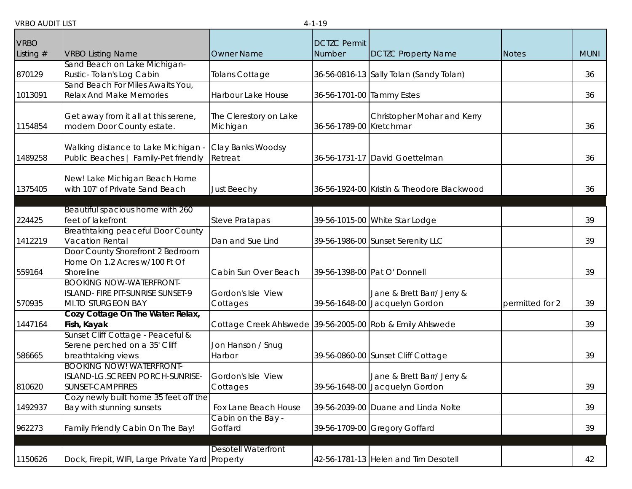|             |                                                                    |                                                           | . <i>.</i>                |                                            |                 |             |
|-------------|--------------------------------------------------------------------|-----------------------------------------------------------|---------------------------|--------------------------------------------|-----------------|-------------|
| <b>VRBO</b> |                                                                    |                                                           | <b>DCTZC Permit</b>       |                                            |                 |             |
| Listing $#$ | <b>VRBO Listing Name</b>                                           | <b>Owner Name</b>                                         | Number                    | <b>DCTZC Property Name</b>                 | <b>Notes</b>    | <b>MUNI</b> |
|             | Sand Beach on Lake Michigan-                                       |                                                           |                           |                                            |                 |             |
| 870129      | Rustic- Tolan's Log Cabin                                          | <b>Tolans Cottage</b>                                     |                           | 36-56-0816-13 Sally Tolan (Sandy Tolan)    |                 | 36          |
|             | Sand Beach For Miles Awaits You,                                   |                                                           |                           |                                            |                 |             |
| 1013091     | <b>Relax And Make Memories</b>                                     | Harbour Lake House                                        | 36-56-1701-00 Tammy Estes |                                            |                 | 36          |
|             |                                                                    | The Clerestory on Lake                                    |                           |                                            |                 |             |
| 1154854     | Get away from it all at this serene,<br>modern Door County estate. | Michigan                                                  | 36-56-1789-00 Kretchmar   | Christopher Mohar and Kerry                |                 | 36          |
|             |                                                                    |                                                           |                           |                                            |                 |             |
|             | Walking distance to Lake Michigan -                                | Clay Banks Woodsy                                         |                           |                                            |                 |             |
| 1489258     | Public Beaches   Family-Pet friendly                               | Retreat                                                   |                           | 36-56-1731-17 David Goettelman             |                 | 36          |
|             |                                                                    |                                                           |                           |                                            |                 |             |
|             | New! Lake Michigan Beach Home                                      |                                                           |                           |                                            |                 |             |
| 1375405     | with 107' of Private Sand Beach                                    | <b>Just Beechy</b>                                        |                           | 36-56-1924-00 Kristin & Theodore Blackwood |                 | 36          |
|             |                                                                    |                                                           |                           |                                            |                 |             |
| 224425      | Beautiful spacious home with 260<br>feet of lakefront              | <b>Steve Pratapas</b>                                     |                           | 39-56-1015-00 White Star Lodge             |                 | 39          |
|             | Breathtaking peaceful Door County                                  |                                                           |                           |                                            |                 |             |
| 1412219     | Vacation Rental                                                    | Dan and Sue Lind                                          |                           | 39-56-1986-00 Sunset Serenity LLC          |                 | 39          |
|             | Door County Shorefront 2 Bedroom                                   |                                                           |                           |                                            |                 |             |
|             | Home On 1.2 Acres w/100 Ft Of                                      |                                                           |                           |                                            |                 |             |
| 559164      | Shoreline                                                          | Cabin Sun Over Beach                                      |                           | 39-56-1398-00 Pat O' Donnell               |                 | 39          |
|             | <b>BOOKING NOW-WATERFRONT-</b>                                     |                                                           |                           |                                            |                 |             |
|             | ISLAND- FIRE PIT-SUNRISE SUNSET-9                                  | Gordon's Isle View                                        |                           | Jane & Brett Barr/ Jerry &                 |                 |             |
| 570935      | MI.TO STURGEON BAY                                                 | Cottages                                                  |                           | 39-56-1648-00 Jacquelyn Gordon             | permitted for 2 | 39          |
|             | Cozy Cottage On The Water: Relax,                                  |                                                           |                           |                                            |                 |             |
| 1447164     | Fish, Kayak<br>Sunset Cliff Cottage - Peaceful &                   | Cottage Creek Ahlswede 39-56-2005-00 Rob & Emily Ahlswede |                           |                                            |                 | 39          |
|             | Serene perched on a 35' Cliff                                      | Jon Hanson / Snug                                         |                           |                                            |                 |             |
| 586665      | breathtaking views                                                 | Harbor                                                    |                           | 39-56-0860-00 Sunset Cliff Cottage         |                 | 39          |
|             | <b>BOOKING NOW! WATERFRONT-</b>                                    |                                                           |                           |                                            |                 |             |
|             | ISLAND-LG.SCREEN PORCH-SUNRISE-                                    | Gordon's Isle View                                        |                           | Jane & Brett Barr/ Jerry &                 |                 |             |
| 810620      | <b>SUNSET-CAMPFIRES</b>                                            | Cottages                                                  |                           | 39-56-1648-00 Jacquelyn Gordon             |                 | 39          |
|             | Cozy newly built home 35 feet off the                              |                                                           |                           |                                            |                 |             |
| 1492937     | Bay with stunning sunsets                                          | Fox Lane Beach House                                      |                           | 39-56-2039-00 Duane and Linda Nolte        |                 | 39          |
|             |                                                                    | Cabin on the Bay -                                        |                           |                                            |                 |             |
| 962273      | Family Friendly Cabin On The Bay!                                  | Goffard                                                   |                           | 39-56-1709-00 Gregory Goffard              |                 | 39          |
|             |                                                                    | <b>Desotell Waterfront</b>                                |                           |                                            |                 |             |
| 1150626     | Dock, Firepit, WIFI, Large Private Yard Property                   |                                                           |                           | 42-56-1781-13 Helen and Tim Desotell       |                 | 42          |
|             |                                                                    |                                                           |                           |                                            |                 |             |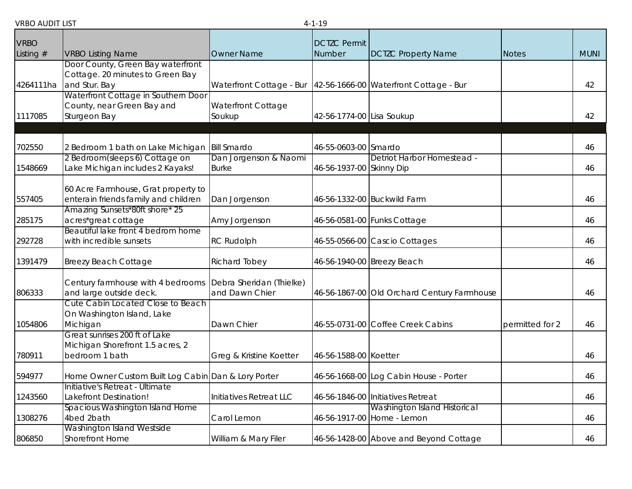| <b>VRBO AUDIT LIST</b> |  |  |
|------------------------|--|--|
|------------------------|--|--|

| <b>VRBO AUDIT LIST</b><br>$4 - 1 - 19$ |                                                                                        |                                            |                               |                                                                   |                 |             |
|----------------------------------------|----------------------------------------------------------------------------------------|--------------------------------------------|-------------------------------|-------------------------------------------------------------------|-----------------|-------------|
| <b>VRBO</b><br>Listing $#$             | <b>VRBO Listing Name</b>                                                               | <b>Owner Name</b>                          | <b>DCTZC Permit</b><br>Number | <b>DCTZC Property Name</b>                                        | <b>Notes</b>    | <b>MUNI</b> |
| 4264111ha                              | Door County, Green Bay waterfront<br>Cottage. 20 minutes to Green Bay<br>and Stur. Bay | Waterfront Cottage - Bur                   |                               | 42-56-1666-00 Waterfront Cottage - Bur                            |                 | 42          |
| 1117085                                | Waterfront Cottage in Southern Door<br>County, near Green Bay and<br>Sturgeon Bay      | Waterfront Cottage<br>Soukup               | 42-56-1774-00 Lisa Soukup     |                                                                   |                 | 42          |
| 702550                                 | 2 Bedroom 1 bath on Lake Michigan                                                      | <b>Bill Smardo</b>                         | 46-55-0603-00 Smardo          |                                                                   |                 | 46          |
| 1548669                                | 2 Bedroom(sleeps 6) Cottage on<br>Lake Michigan includes 2 Kayaks!                     | Dan Jorgenson & Naomi<br><b>Burke</b>      | 46-56-1937-00 Skinny Dip      | Detriot Harbor Homestead -                                        |                 | 46          |
| 557405                                 | 60 Acre Farmhouse, Grat property to<br>enterain friends family and children            | Dan Jorgenson                              |                               | 46-56-1332-00 Buckwild Farm                                       |                 | 46          |
| 285175                                 | Amazing Sunsets*80ft shore* 25<br>acres*great cottage                                  | Amy Jorgenson                              |                               | 46-56-0581-00 Funks Cottage                                       |                 | 46          |
| 292728                                 | Beautiful lake front 4 bedrom home<br>with incredible sunsets                          | <b>RC Rudolph</b>                          |                               | 46-55-0566-00 Cascio Cottages                                     |                 | 46          |
| 1391479                                | <b>Breezy Beach Cottage</b>                                                            | <b>Richard Tobey</b>                       |                               | 46-56-1940-00 Breezy Beach                                        |                 | 46          |
| 806333                                 | Century farmhouse with 4 bedrooms<br>and large outside deck.                           | Debra Sheridan (Thielke)<br>and Dawn Chier |                               | 46-56-1867-00 Old Orchard Century Farmhouse                       |                 | 46          |
| 1054806                                | Cute Cabin Located Close to Beach<br>On Washington Island, Lake<br>Michigan            | Dawn Chier                                 |                               | 46-55-0731-00 Coffee Creek Cabins                                 | permitted for 2 | 46          |
| 780911                                 | Great sunrises 200 ft of Lake<br>Michigan Shorefront 1.5 acres, 2<br>bedroom 1 bath    | Greg & Kristine Koetter                    | 46-56-1588-00 Koetter         |                                                                   |                 | 46          |
| 594977                                 | Home Owner Custom Built Log Cabin Dan & Lory Porter                                    |                                            |                               | 46-56-1668-00 Log Cabin House - Porter                            |                 | 46          |
| 1243560                                | Initiative's Retreat - Ultimate<br>Lakefront Destination!                              | Initiatives Retreat LLC                    |                               | 46-56-1846-00 Initiatives Retreat                                 |                 | 46          |
| 1308276                                | Spacious Washington Island Home<br>4bed 2bath                                          | Carol Lemon                                |                               | <b>Washington Island Historical</b><br>46-56-1917-00 Home - Lemon |                 | 46          |
| 806850                                 | Washington Island Westside<br><b>Shorefront Home</b>                                   | William & Mary Filer                       |                               | 46-56-1428-00 Above and Beyond Cottage                            |                 | 46          |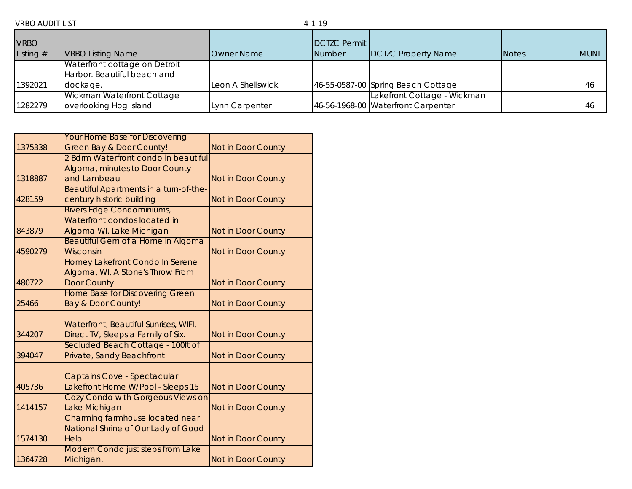| <b>VRBO</b><br>Listing $#$ | <b>VRBO Listing Name</b>                                                 | <b>Owner Name</b> | DCTZC Permit<br>Number | <b>DCTZC Property Name</b>                                        | <b>Notes</b> | <b>MUNI</b> |
|----------------------------|--------------------------------------------------------------------------|-------------------|------------------------|-------------------------------------------------------------------|--------------|-------------|
| 1392021                    | Waterfront cottage on Detroit<br>Harbor. Beautiful beach and<br>dockage. | Leon A Shellswick |                        | 46-55-0587-00 Spring Beach Cottage                                |              | 46          |
| 1282279                    | Wickman Waterfront Cottage<br>overlooking Hog Island                     | Lynn Carpenter    |                        | Lakefront Cottage - Wickman<br>46-56-1968-00 Waterfront Carpenter |              | 46          |

|         | <b>Your Home Base for Discovering</b>                            |                           |
|---------|------------------------------------------------------------------|---------------------------|
| 1375338 | <b>Green Bay &amp; Door County!</b>                              | Not in Door County        |
|         | 2 Bdrm Waterfront condo in beautiful                             |                           |
|         | Algoma, minutes to Door County                                   |                           |
| 1318887 | and Lambeau                                                      | Not in Door County        |
|         | Beautiful Apartments in a turn-of-the-                           |                           |
| 428159  | century historic building                                        | <b>Not in Door County</b> |
|         | Rivers Edge Condominiums,                                        |                           |
|         | Waterfront condos located in                                     |                           |
| 843879  | Algoma WI. Lake Michigan                                         | Not in Door County        |
|         | <b>Beautiful Gem of a Home in Algoma</b>                         |                           |
| 4590279 | Wisconsin                                                        | Not in Door County        |
|         | <b>Homey Lakefront Condo In Serene</b>                           |                           |
|         | Algoma, WI, A Stone's Throw From                                 |                           |
| 480722  | <b>Door County</b>                                               | Not in Door County        |
|         | <b>Home Base for Discovering Green</b>                           |                           |
| 25466   | <b>Bay &amp; Door County!</b>                                    | Not in Door County        |
|         |                                                                  |                           |
|         | Waterfront, Beautiful Sunrises, WIFI,                            |                           |
| 344207  | Direct TV, Sleeps a Family of Six.                               | Not in Door County        |
| 394047  | Secluded Beach Cottage - 100ft of                                |                           |
|         | Private, Sandy Beachfront                                        | Not in Door County        |
|         |                                                                  |                           |
| 405736  | Captains Cove - Spectacular<br>Lakefront Home W/Pool - Sleeps 15 |                           |
|         | Cozy Condo with Gorgeous Views on                                | Not in Door County        |
| 1414157 | Lake Michigan                                                    | Not in Door County        |
|         | Charming farmhouse located near                                  |                           |
|         | National Shrine of Our Lady of Good                              |                           |
| 1574130 | Help                                                             | <b>Not in Door County</b> |
|         | Modern Condo just steps from Lake                                |                           |
| 1364728 | Michigan.                                                        | <b>Not in Door County</b> |
|         |                                                                  |                           |